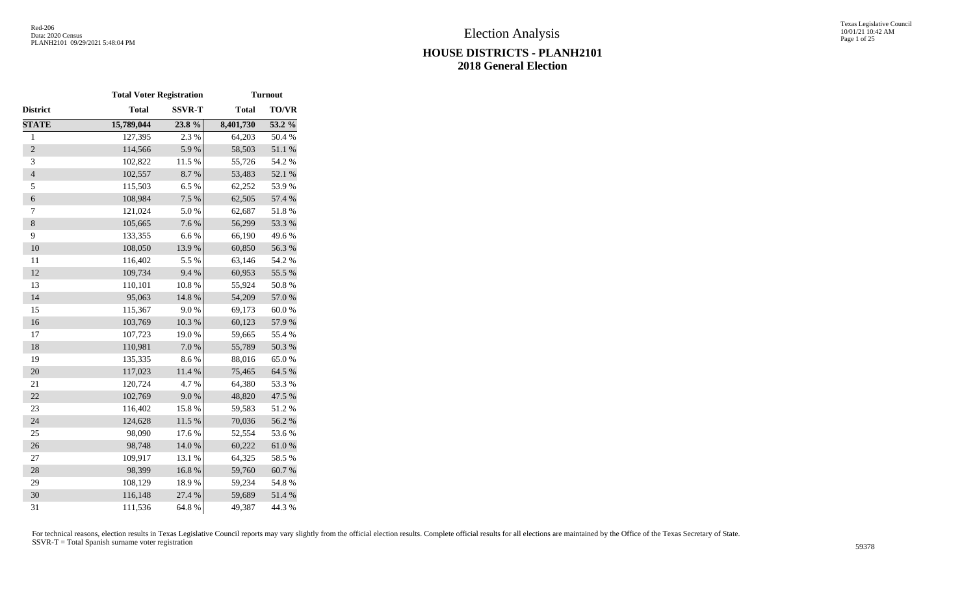|                          | <b>Total Voter Registration</b> |               |              | <b>Turnout</b>   |
|--------------------------|---------------------------------|---------------|--------------|------------------|
| District                 | <b>Total</b>                    | <b>SSVR-T</b> | <b>Total</b> | TO/VR            |
| <b>STATE</b>             | 15,789,044                      | 23.8%         | 8,401,730    | 53.2 %           |
| $\mathbf{1}$             | 127,395                         | 2.3 %         | 64,203       | 50.4%            |
| $\overline{2}$           | 114,566                         | 5.9%          | 58,503       | $51.1\text{ }\%$ |
| 3                        | 102,822                         | 11.5 %        | 55,726       | 54.2 %           |
| $\overline{\mathcal{L}}$ | 102,557                         | 8.7%          | 53,483       | 52.1 %           |
| 5                        | 115,503                         | 6.5%          | 62,252       | 53.9%            |
| $\boldsymbol{6}$         | 108,984                         | 7.5 %         | 62,505       | 57.4 %           |
| $\tau$                   | 121,024                         | 5.0%          | 62,687       | 51.8%            |
| $\,8\,$                  | 105,665                         | 7.6%          | 56,299       | 53.3 %           |
| 9                        | 133,355                         | 6.6%          | 66,190       | 49.6%            |
| 10                       | 108,050                         | 13.9%         | 60,850       | 56.3%            |
| 11                       | 116,402                         | 5.5 %         | 63,146       | 54.2 %           |
| 12                       | 109,734                         | 9.4%          | 60,953       | 55.5 %           |
| 13                       | 110,101                         | $10.8~\%$     | 55,924       | 50.8%            |
| 14                       | 95,063                          | 14.8 %        | 54,209       | 57.0 %           |
| 15                       | 115,367                         | 9.0%          | 69,173       | 60.0%            |
| 16                       | 103,769                         | $10.3~\%$     | 60,123       | 57.9%            |
| 17                       | 107,723                         | 19.0%         | 59,665       | 55.4 %           |
| 18                       | 110,981                         | $7.0\ \%$     | 55,789       | 50.3 %           |
| 19                       | 135,335                         | 8.6%          | 88,016       | 65.0%            |
| 20                       | 117,023                         | 11.4 %        | 75,465       | 64.5 %           |
| 21                       | 120,724                         | 4.7%          | 64,380       | 53.3%            |
| 22                       | 102,769                         | 9.0%          | 48,820       | 47.5 %           |
| 23                       | 116,402                         | 15.8 %        | 59,583       | 51.2%            |
| 24                       | 124,628                         | $11.5~\%$     | 70,036       | 56.2%            |
| 25                       | 98,090                          | 17.6 %        | 52,554       | 53.6%            |
| 26                       | 98,748                          | 14.0 %        | 60,222       | $61.0\ \%$       |
| 27                       | 109,917                         | 13.1 %        | 64,325       | 58.5%            |
| 28                       | 98,399                          | 16.8%         | 59,760       | 60.7%            |
| 29                       | 108,129                         | 18.9%         | 59,234       | 54.8%            |
| 30                       | 116,148                         | 27.4 %        | 59,689       | 51.4 %           |
| 31                       | 111,536                         | 64.8 %        | 49,387       | 44.3 %           |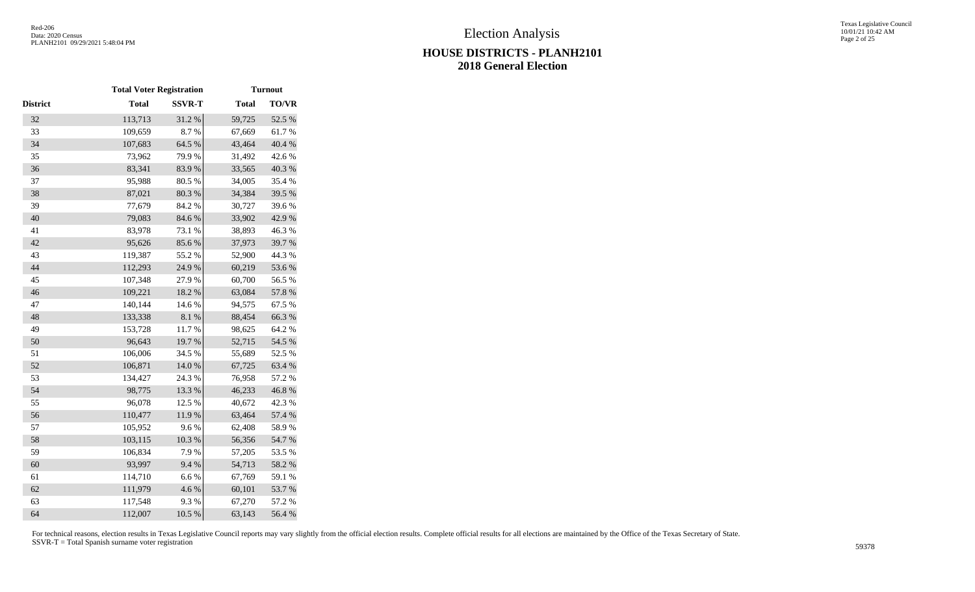|          | <b>Total Voter Registration</b> |               |              | <b>Turnout</b> |
|----------|---------------------------------|---------------|--------------|----------------|
| District | <b>Total</b>                    | <b>SSVR-T</b> | <b>Total</b> | TO/VR          |
| 32       | 113,713                         | 31.2%         | 59,725       | 52.5 %         |
| 33       | 109,659                         | 8.7%          | 67,669       | 61.7%          |
| 34       | 107,683                         | 64.5 %        | 43,464       | 40.4 %         |
| 35       | 73,962                          | 79.9%         | 31,492       | 42.6 %         |
| 36       | 83,341                          | 83.9%         | 33,565       | 40.3 %         |
| 37       | 95,988                          | 80.5%         | 34,005       | 35.4 %         |
| 38       | 87,021                          | 80.3%         | 34,384       | 39.5 %         |
| 39       | 77,679                          | 84.2%         | 30,727       | 39.6%          |
| 40       | 79,083                          | 84.6 %        | 33,902       | 42.9%          |
| 41       | 83,978                          | 73.1 %        | 38,893       | 46.3%          |
| 42       | 95,626                          | 85.6%         | 37,973       | 39.7%          |
| 43       | 119,387                         | 55.2%         | 52,900       | 44.3 %         |
| 44       | 112,293                         | 24.9%         | 60,219       | 53.6%          |
| 45       | 107,348                         | 27.9%         | 60,700       | 56.5 %         |
| 46       | 109,221                         | 18.2 %        | 63,084       | 57.8 %         |
| 47       | 140,144                         | 14.6 %        | 94,575       | 67.5 %         |
| 48       | 133,338                         | $8.1~\%$      | 88,454       | 66.3%          |
| 49       | 153,728                         | 11.7%         | 98,625       | 64.2 %         |
| 50       | 96,643                          | 19.7%         | 52,715       | 54.5 %         |
| 51       | 106,006                         | 34.5 %        | 55,689       | 52.5 %         |
| 52       | 106,871                         | $14.0\ \%$    | 67,725       | 63.4 %         |
| 53       | 134,427                         | 24.3 %        | 76,958       | 57.2 %         |
| 54       | 98,775                          | 13.3 %        | 46,233       | 46.8%          |
| 55       | 96,078                          | 12.5 %        | 40,672       | 42.3 %         |
| 56       | 110,477                         | 11.9%         | 63,464       | 57.4 %         |
| 57       | 105,952                         | 9.6%          | 62,408       | 58.9%          |
| 58       | 103,115                         | 10.3%         | 56,356       | 54.7%          |
| 59       | 106,834                         | 7.9%          | 57,205       | 53.5%          |
| 60       | 93,997                          | 9.4%          | 54,713       | 58.2 %         |
| 61       | 114,710                         | 6.6%          | 67,769       | 59.1 %         |
| 62       | 111,979                         | 4.6%          | 60,101       | 53.7%          |
| 63       | 117,548                         | 9.3%          | 67,270       | 57.2 %         |
| 64       | 112,007                         | 10.5 %        | 63,143       | 56.4%          |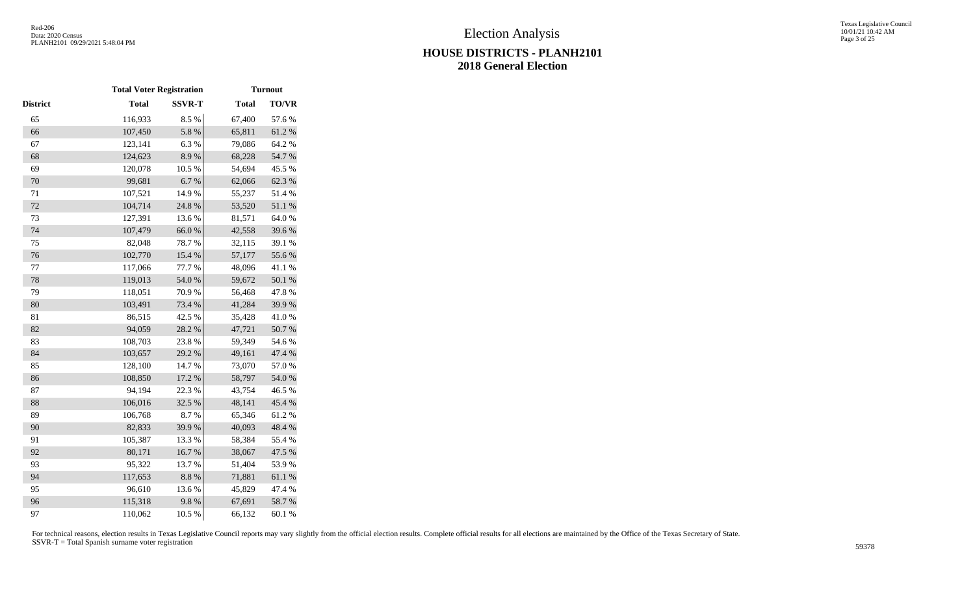|          | <b>Total Voter Registration</b> |               |              | <b>Turnout</b>   |
|----------|---------------------------------|---------------|--------------|------------------|
| District | <b>Total</b>                    | <b>SSVR-T</b> | <b>Total</b> | <b>TO/VR</b>     |
| 65       | 116,933                         | 8.5 %         | 67,400       | 57.6%            |
| 66       | 107,450                         | 5.8 %         | 65,811       | 61.2%            |
| 67       | 123,141                         | 6.3%          | 79,086       | 64.2 %           |
| 68       | 124,623                         | 8.9%          | 68,228       | 54.7 %           |
| 69       | 120,078                         | 10.5 %        | 54,694       | 45.5 %           |
| 70       | 99,681                          | 6.7%          | 62,066       | 62.3 %           |
| $71\,$   | 107,521                         | 14.9%         | 55,237       | 51.4%            |
| 72       | 104,714                         | 24.8 %        | 53,520       | $51.1\text{ }\%$ |
| 73       | 127,391                         | 13.6%         | 81,571       | 64.0%            |
| 74       | 107,479                         | 66.0%         | 42,558       | 39.6%            |
| 75       | 82,048                          | 78.7%         | 32,115       | 39.1 %           |
| 76       | 102,770                         | 15.4 %        | 57,177       | 55.6%            |
| 77       | 117,066                         | 77.7 %        | 48,096       | 41.1%            |
| 78       | 119,013                         | 54.0 %        | 59,672       | 50.1 %           |
| 79       | 118,051                         | 70.9%         | 56,468       | 47.8%            |
| 80       | 103,491                         | 73.4 %        | 41,284       | 39.9%            |
| 81       | 86,515                          | 42.5 %        | 35,428       | 41.0%            |
| 82       | 94,059                          | 28.2 %        | 47,721       | $50.7~\%$        |
| 83       | 108,703                         | 23.8%         | 59,349       | 54.6 %           |
| 84       | 103,657                         | 29.2 %        | 49,161       | 47.4 %           |
| 85       | 128,100                         | 14.7 %        | 73,070       | 57.0%            |
| 86       | 108,850                         | 17.2 %        | 58,797       | 54.0 %           |
| 87       | 94,194                          | 22.3 %        | 43,754       | 46.5 %           |
| 88       | 106,016                         | 32.5 %        | 48,141       | 45.4 %           |
| 89       | 106,768                         | 8.7%          | 65,346       | 61.2%            |
| 90       | 82,833                          | 39.9%         | 40,093       | 48.4%            |
| 91       | 105,387                         | 13.3 %        | 58,384       | 55.4 %           |
| 92       | 80,171                          | 16.7%         | 38,067       | 47.5 %           |
| 93       | 95,322                          | 13.7%         | 51,404       | 53.9%            |
| 94       | 117,653                         | $8.8~\%$      | 71,881       | $61.1\text{ }\%$ |
| 95       | 96,610                          | 13.6%         | 45,829       | 47.4 %           |
| 96       | 115,318                         | 9.8%          | 67,691       | 58.7%            |
| 97       | 110,062                         | 10.5 %        | 66,132       | 60.1%            |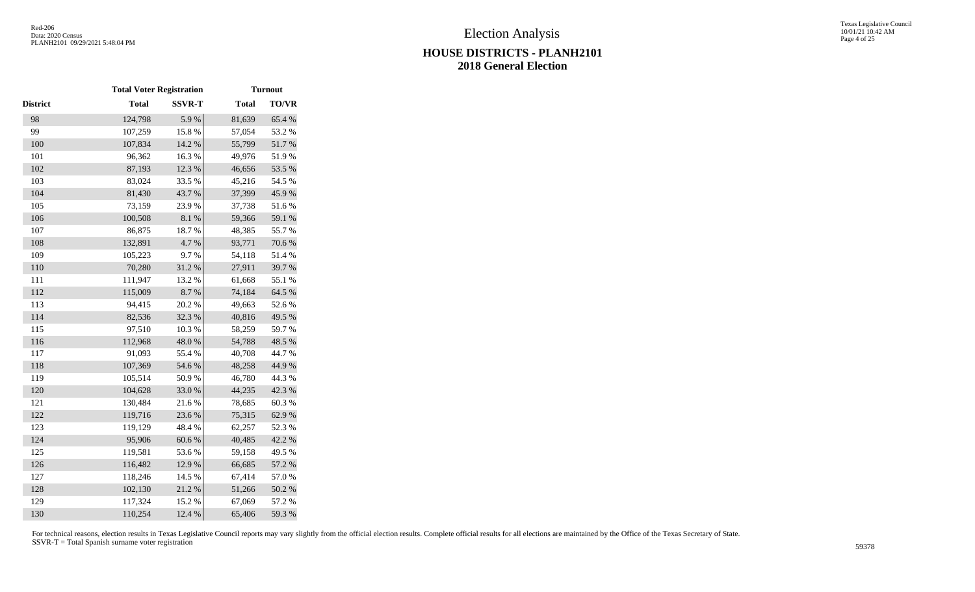|                 | <b>Total Voter Registration</b> |               |              | <b>Turnout</b> |
|-----------------|---------------------------------|---------------|--------------|----------------|
| <b>District</b> | <b>Total</b>                    | <b>SSVR-T</b> | <b>Total</b> | TO/VR          |
| 98              | 124,798                         | 5.9%          | 81,639       | 65.4 %         |
| 99              | 107,259                         | 15.8%         | 57,054       | 53.2 %         |
| 100             | 107,834                         | 14.2 %        | 55,799       | 51.7%          |
| 101             | 96,362                          | 16.3%         | 49,976       | 51.9%          |
| 102             | 87,193                          | 12.3 %        | 46,656       | 53.5 %         |
| 103             | 83,024                          | 33.5 %        | 45,216       | 54.5 %         |
| 104             | 81,430                          | 43.7%         | 37,399       | 45.9%          |
| 105             | 73,159                          | 23.9%         | 37,738       | 51.6%          |
| 106             | 100,508                         | 8.1 %         | 59,366       | 59.1 %         |
| 107             | 86,875                          | 18.7 %        | 48,385       | 55.7%          |
| 108             | 132,891                         | 4.7 %         | 93,771       | 70.6 %         |
| 109             | 105,223                         | 9.7%          | 54,118       | 51.4%          |
| 110             | 70,280                          | 31.2 %        | 27,911       | 39.7%          |
| 111             | 111,947                         | 13.2 %        | 61,668       | 55.1 %         |
| 112             | 115,009                         | 8.7%          | 74,184       | 64.5 %         |
| 113             | 94,415                          | 20.2 %        | 49,663       | 52.6 %         |
| 114             | 82,536                          | 32.3 %        | 40,816       | 49.5 %         |
| 115             | 97,510                          | 10.3 %        | 58,259       | 59.7%          |
| 116             | 112,968                         | 48.0%         | 54,788       | 48.5 %         |
| 117             | 91,093                          | 55.4 %        | 40,708       | 44.7 %         |
| 118             | 107,369                         | 54.6%         | 48,258       | 44.9%          |
| 119             | 105,514                         | 50.9%         | 46,780       | 44.3 %         |
| 120             | 104,628                         | 33.0%         | 44,235       | 42.3 %         |
| 121             | 130,484                         | 21.6%         | 78,685       | 60.3%          |
| 122             | 119,716                         | 23.6 %        | 75,315       | 62.9%          |
| 123             | 119,129                         | 48.4%         | 62,257       | 52.3 %         |
| 124             | 95,906                          | 60.6%         | 40,485       | 42.2 %         |
| 125             | 119,581                         | 53.6%         | 59,158       | 49.5 %         |
| 126             | 116,482                         | 12.9%         | 66,685       | 57.2 %         |
| 127             | 118,246                         | 14.5 %        | 67,414       | 57.0%          |
| 128             | 102,130                         | 21.2%         | 51,266       | 50.2 %         |
| 129             | 117,324                         | 15.2 %        | 67,069       | 57.2 %         |
| 130             | 110,254                         | 12.4 %        | 65,406       | 59.3%          |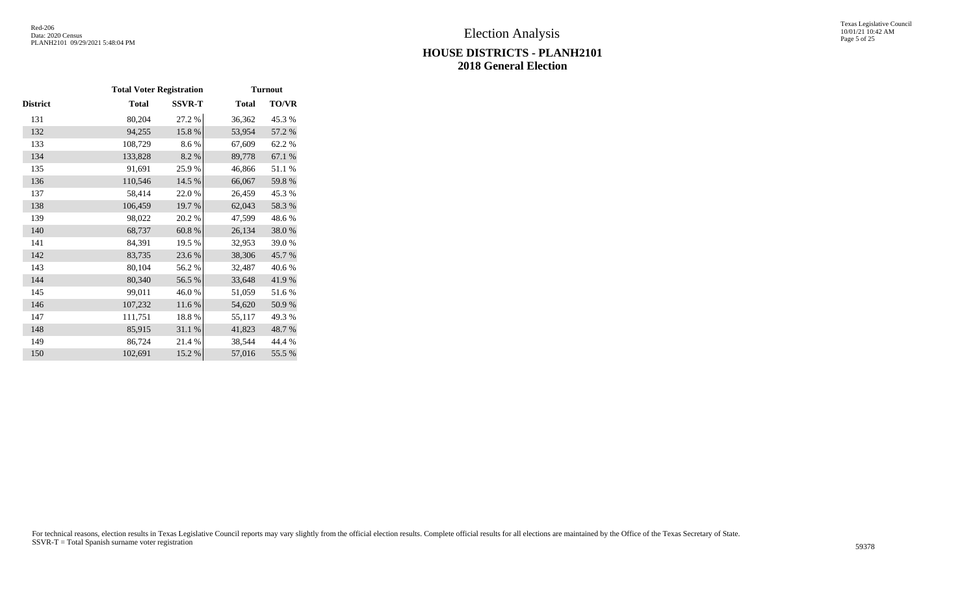#### Texas Legislative Council 10/01/21 10:42 AM Page 5 of 25

# **HOUSE DISTRICTS - PLANH2101 2018 General Election**

|          | <b>Total Voter Registration</b> |               |              | <b>Turnout</b> |
|----------|---------------------------------|---------------|--------------|----------------|
| District | <b>Total</b>                    | <b>SSVR-T</b> | <b>Total</b> | TO/VR          |
| 131      | 80,204                          | 27.2 %        | 36,362       | 45.3 %         |
| 132      | 94,255                          | 15.8%         | 53,954       | 57.2 %         |
| 133      | 108,729                         | 8.6%          | 67,609       | 62.2%          |
| 134      | 133,828                         | 8.2%          | 89,778       | 67.1 %         |
| 135      | 91,691                          | 25.9%         | 46,866       | 51.1%          |
| 136      | 110,546                         | 14.5 %        | 66,067       | 59.8%          |
| 137      | 58,414                          | 22.0%         | 26,459       | 45.3 %         |
| 138      | 106,459                         | 19.7%         | 62,043       | 58.3%          |
| 139      | 98,022                          | 20.2 %        | 47,599       | 48.6%          |
| 140      | 68,737                          | 60.8%         | 26,134       | 38.0%          |
| 141      | 84,391                          | 19.5 %        | 32,953       | 39.0%          |
| 142      | 83,735                          | 23.6 %        | 38,306       | 45.7%          |
| 143      | 80,104                          | 56.2%         | 32,487       | 40.6%          |
| 144      | 80,340                          | 56.5 %        | 33,648       | 41.9%          |
| 145      | 99,011                          | 46.0%         | 51,059       | 51.6%          |
| 146      | 107,232                         | 11.6 %        | 54,620       | 50.9%          |
| 147      | 111,751                         | 18.8%         | 55,117       | 49.3 %         |
| 148      | 85,915                          | 31.1 %        | 41,823       | 48.7%          |
| 149      | 86,724                          | 21.4%         | 38,544       | 44.4 %         |
| 150      | 102,691                         | 15.2 %        | 57,016       | 55.5 %         |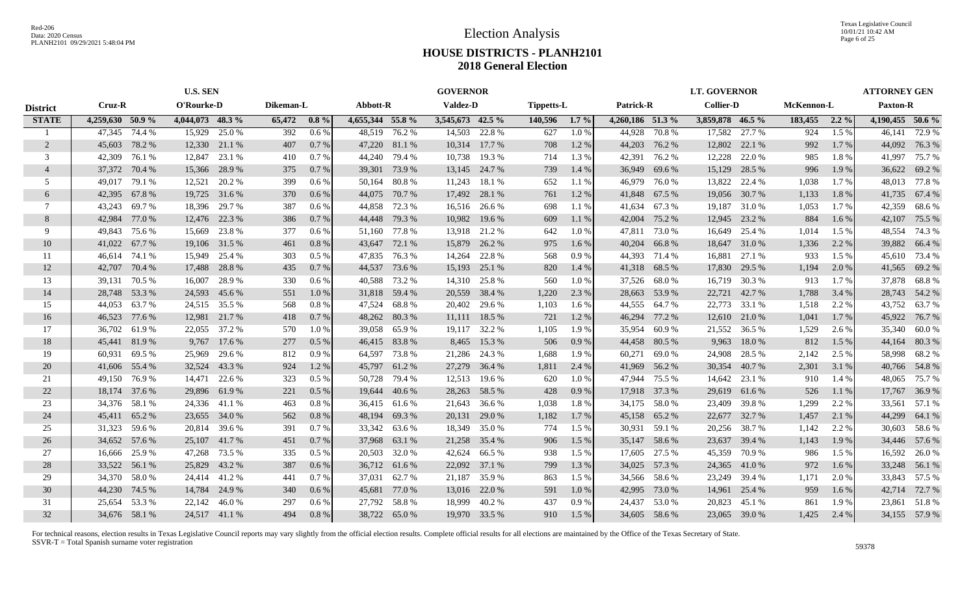|                 | <b>U.S. SEN</b>  |               |                  |               |           |          |                  |               | <b>GOVERNOR</b>  |               |            |         |                  |               | <b>LT. GOVERNOR</b> |        |            |         | <b>ATTORNEY GEN</b> |               |
|-----------------|------------------|---------------|------------------|---------------|-----------|----------|------------------|---------------|------------------|---------------|------------|---------|------------------|---------------|---------------------|--------|------------|---------|---------------------|---------------|
| <b>District</b> | Cruz-R           |               | O'Rourke-D       |               | Dikeman-L |          | Abbott-R         |               | <b>Valdez-D</b>  |               | Tippetts-L |         | Patrick-R        |               | <b>Collier-D</b>    |        | McKennon-L |         | <b>Paxton-R</b>     |               |
| <b>STATE</b>    | 4,259,630 50.9 % |               | 4,044,073 48.3 % |               | 65,472    | $0.8\%$  | 4,655,344 55.8 % |               | 3,545,673 42.5 % |               | 140,596    | $1.7\%$ | 4,260,186 51.3 % |               | 3,859,878 46.5 %    |        | 183,455    | $2.2\%$ | $4,190,455$ 50.6 %  |               |
|                 | 47,345           | 74.4 %        | 15,929           | 25.0 %        | 392       | 0.6%     | 48,519           | 76.2 %        | 14,503           | 22.8 %        | 627        | 1.0%    | 44.928           | 70.8%         | 17,582              | 27.7 % | 924        | 1.5 %   | 46,141              | 72.9 %        |
| 2               | 45,603           | 78.2 %        | 12,330           | 21.1 %        | 407       | $0.7\%$  |                  | 47,220 81.1 % |                  | 10,314 17.7 % | 708        | 1.2%    | 44,203           | 76.2 %        | 12,802              | 22.1 % | 992        | 1.7 %   |                     | 44,092 76.3 % |
| 3               | 42,309           | 76.1 %        | 12,847           | 23.1 %        | 410       | 0.7%     | 44,240           | 79.4 %        | 10,738           | 19.3 %        | 714        | 1.3%    | 42,391           | 76.2 %        | 12,228              | 22.0 % | 985        | 1.8%    | 41,997              | 75.7 %        |
| $\overline{4}$  | 37,372           | 70.4 %        | 15,366           | 28.9%         | 375       | 0.7%     | 39,301           | 73.9 %        | 13,145           | 24.7 %        | 739        | 1.4 %   | 36,949           | 69.6 %        | 15,129              | 28.5 % | 996        | 1.9 %   | 36,622              | 69.2%         |
| .5              | 49,017           | 79.1 %        | 12,521           | 20.2 %        | 399       | 0.6%     | 50,164           | 80.8%         | 11,243           | 18.1 %        | 652        | 1.1%    | 46,979           | 76.0%         | 13,822              | 22.4 % | 1,038      | 1.7%    | 48.013              | 77.8%         |
| 6               | 42,395           | 67.8%         | 19,725           | 31.6 %        | 370       | 0.6 %    | 44,075           | 70.7%         | 17,492           | 28.1 %        | 761        | 1.2%    | 41,848           | 67.5 %        | 19,056              | 30.7%  | 1,133      | 1.8%    | 41,735              | 67.4 %        |
| 7               | 43,243           | 69.7%         | 18,396           | 29.7 %        | 387       | $0.6\%$  | 44,858           | 72.3 %        |                  | 16,516 26.6 % | 698        | 1.1%    | 41,634           | 67.3 %        | 19,187              | 31.0 % | 1,053      | 1.7 %   | 42,359              | 68.6%         |
| 8               | 42,984           | 77.0 %        | 12,476           | 22.3 %        | 386       | 0.7%     |                  | 44,448 79.3 % | 10,982           | 19.6 %        | 609        | 1.1%    | 42,004           | 75.2 %        | 12,945              | 23.2 % | 884        | $1.6\%$ | 42,107              | 75.5 %        |
| 9               | 49,843           | 75.6 %        | 15,669           | 23.8%         | 377       | $0.6\%$  | 51,160           | 77.8 %        | 13,918           | 21.2 %        | 642        | 1.0%    | 47,811           | 73.0 %        | 16,649              | 25.4 % | 1,014      | 1.5 %   | 48,554              | 74.3 %        |
| 10              | 41,022           | 67.7 %        | 19,106           | 31.5 %        | 461       | $0.8 \%$ | 43,647           | 72.1 %        | 15,879           | 26.2 %        | 975        | $1.6\%$ | 40,204           | 66.8%         | 18,647              | 31.0%  | 1,336      | 2.2 %   | 39,882              | 66.4 %        |
| 11              | 46,614           | 74.1 %        | 15,949           | 25.4 %        | 303       | $0.5\%$  | 47,835           | 76.3 %        | 14,264           | 22.8%         | 568        | 0.9%    | 44,393           | 71.4 %        | 16,881              | 27.1 % | 933        | 1.5 %   | 45,610              | 73.4 %        |
| 12              | 42,707           | 70.4 %        | 17,488           | 28.8%         | 435       | 0.7%     | 44,537           | 73.6 %        | 15,193           | 25.1 %        | 820        | 1.4%    |                  | 41,318 68.5 % | 17,830              | 29.5 % | 1,194      | 2.0 %   | 41,565              | 69.2%         |
| 13              | 39,131           | 70.5 %        | 16,007           | 28.9%         | 330       | $0.6\%$  | 40,588           | 73.2 %        |                  | 14,310 25.8 % | 560        | 1.0%    |                  | 37,526 68.0 % | 16,719              | 30.3%  | 913        | 1.7 %   | 37,878              | 68.8%         |
| 14              | 28,748 53.3 %    |               | 24,593           | 45.6 %        | 551       | 1.0%     | 31,818 59.4 %    |               |                  | 20,559 38.4 % | 1,220      | 2.3 %   | 28,663           | 53.9 %        | 22,721              | 42.7%  | 1,788      | 3.4 %   |                     | 28,743 54.2 % |
| 15              | 44,053           | 63.7 %        |                  | 24,515 35.5 % | 568       | 0.8%     | 47,524           | 68.8%         |                  | 20,402 29.6 % | 1,103      | 1.6 %   |                  | 44,555 64.7 % | 22,773              | 33.1 % | 1,518      | 2.2 %   | 43,752              | 63.7%         |
| 16              | 46,523           | 77.6 %        | 12,981           | 21.7 %        | 418       | 0.7%     | 48,262           | 80.3%         |                  | 11,111 18.5 % | 721        | 1.2%    | 46,294           | 77.2 %        | 12,610              | 21.0 % | 1,041      | $1.7\%$ | 45,922              | 76.7 %        |
| 17              | 36,702           | 61.9%         | 22,055           | 37.2 %        | 570       | 1.0%     | 39,058           | 65.9 %        |                  | 19,117 32.2 % | 1,105      | 1.9%    | 35,954           | 60.9 %        | 21,552              | 36.5 % | 1,529      | 2.6 %   | 35,340              | 60.0%         |
| 18              | 45,441           | 81.9%         | 9,767            | 17.6 %        | 277       | 0.5 %    | 46,415           | 83.8%         | 8,465            | 15.3 %        | 506        | 0.9%    | 44,458           | 80.5 %        | 9,963               | 18.0%  | 812        | 1.5 %   | 44,164              | 80.3%         |
| 19              | 60,931           | 69.5 %        | 25,969           | 29.6 %        | 812       | 0.9%     | 64,597           | 73.8%         | 21,286           | 24.3 %        | 1,688      | 1.9%    | 60,271           | 69.0%         | 24,908              | 28.5 % | 2,142      | 2.5 %   | 58,998              | 68.2%         |
| 20              | 41,606           | 55.4 %        | 32,524           | 43.3 %        | 924       | $1.2\%$  | 45,797           | 61.2%         | 27,279           | 36.4 %        | 1,811      | 2.4 %   | 41,969           | 56.2 %        | 30,354              | 40.7 % | 2,301      | 3.1 %   | 40,766              | 54.8%         |
| 21              | 49,150           | 76.9 %        | 14,471           | 22.6 %        | 323       | $0.5\%$  | 50,728           | 79.4 %        | 12,513           | 19.6 %        | 620        | 1.0%    | 47,944           | 75.5 %        | 14,642              | 23.1 % | 910        | 1.4 %   | 48,065              | 75.7 %        |
| 22              | 18,174 37.6 %    |               | 29,896           | 61.9%         | 221       | 0.5%     | 19,644           | 40.6 %        | 28,263           | 58.5 %        | 428        | 0.9%    | 17,918           | 37.3 %        | 29,619              | 61.6%  | 526        | $1.1\%$ | 17,767              | 36.9%         |
| 23              | 34,376           | 58.1 %        |                  | 24,336 41.1 % | 463       | 0.8%     | 36,415           | 61.6 %        | 21,643           | 36.6 %        | 1,038      | 1.8%    | 34,175           | 58.0%         | 23,409              | 39.8%  | 1,299      | 2.2 %   | 33,561              | 57.1 %        |
| 24              | 45,411           | 65.2 %        | 23,655           | 34.0 %        | 562       | 0.8%     | 48,194           | 69.3%         | 20,131           | 29.0 %        | 1,182      | 1.7%    | 45,158           | 65.2 %        | 22,677              | 32.7 % | 1,457      | 2.1%    | 44,299              | 64.1 %        |
| 25              | 31,323           | 59.6 %        | 20,814           | 39.6 %        | 391       | 0.7%     | 33,342           | 63.6 %        |                  | 18,349 35.0 % | 774        | 1.5 %   | 30,931           | 59.1 %        | 20,256              | 38.7 % | 1,142      | 2.2 %   |                     | 30,603 58.6 % |
| 26              | 34,652 57.6 %    |               | 25,107           | 41.7 %        | 451       | 0.7%     | 37,968           | 63.1 %        | 21,258           | 35.4 %        | 906        | 1.5 %   | 35,147           | 58.6 %        | 23,637              | 39.4 % | 1,143      | 1.9 %   |                     | 34,446 57.6 % |
| 27              | 16,666           | 25.9%         | 47,268           | 73.5 %        | 335       | $0.5\%$  | 20,503           | 32.0 %        | 42,624           | 66.5 %        | 938        | 1.5 %   | 17,605           | 27.5 %        | 45,359              | 70.9%  | 986        | 1.5 %   | 16,592              | 26.0%         |
| 28              | 33,522           | 56.1 %        | 25,829           | 43.2 %        | 387       | $0.6\%$  |                  | 36,712 61.6 % |                  | 22,092 37.1 % | 799        | 1.3 %   | 34,025           | 57.3 %        | 24,365              | 41.0%  | 972        | $1.6\%$ |                     | 33,248 56.1 % |
| 29              | 34,370           | 58.0%         | 24,414           | 41.2 %        | 441       | 0.7%     | 37,031           | 62.7 %        | 21,187           | 35.9%         | 863        | $1.5\%$ |                  | 34,566 58.6 % | 23,249              | 39.4 % | 1,171      | 2.0 %   |                     | 33,843 57.5 % |
| 30              | 44,230           | 74.5 %        | 14,784           | 24.9 %        | 340       | $0.6\%$  | 45,681           | 77.0 %        |                  | 13,016 22.0 % | 591        | 1.0%    | 42,995           | 73.0 %        | 14,961              | 25.4 % | 959        | $1.6\%$ |                     | 42,714 72.7 % |
| 31              | 25,654 53.3 %    |               | 22,142           | 46.0%         | 297       | 0.6%     | 27.792           | 58.8%         |                  | 18,999 40.2 % | 437        | 0.9%    | 24,437           | 53.0%         | 20,823              | 45.1 % | 861        | 1.9%    |                     | 23,861 51.8 % |
| 32              |                  | 34,676 58.1 % |                  | 24,517 41.1 % | 494       | 0.8%     |                  | 38,722 65.0 % |                  | 19,970 33.5 % | 910        | 1.5 %   |                  | 34,605 58.6 % | 23,065              | 39.0 % | 1,425      | 2.4 %   |                     | 34,155 57.9 % |
|                 |                  |               |                  |               |           |          |                  |               |                  |               |            |         |                  |               |                     |        |            |         |                     |               |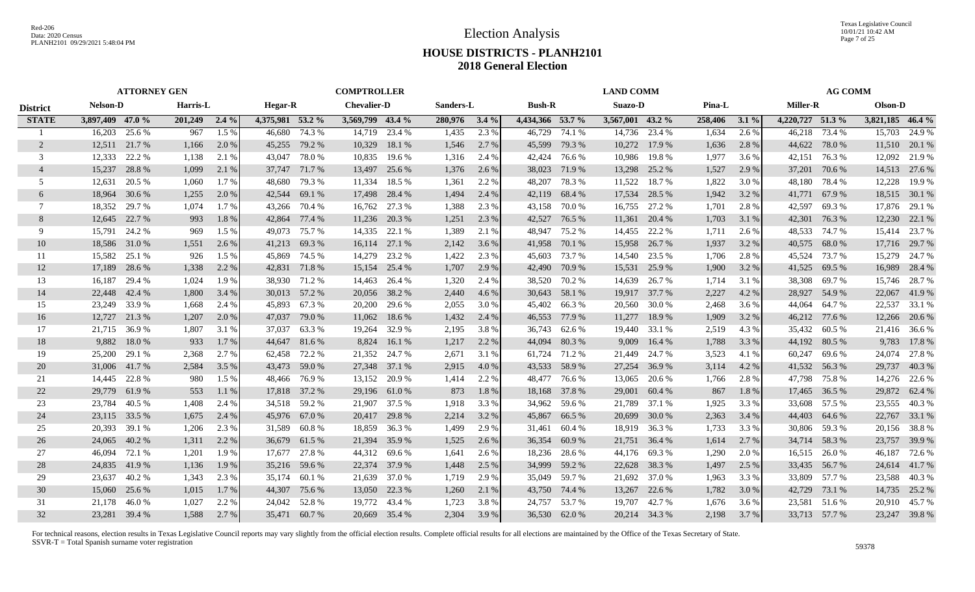Texas Legislative Council 10/01/21 10:42 AM Page 7 of 25

## **HOUSE DISTRICTS - PLANH2101 2018 General Election**

|                 | <b>ATTORNEY GEN</b> |        |          |         |                  |               | <b>COMPTROLLER</b> |               |           |         |                  |               | <b>LAND COMM</b> |               |         |       |                  | <b>AG COMM</b> |                  |               |
|-----------------|---------------------|--------|----------|---------|------------------|---------------|--------------------|---------------|-----------|---------|------------------|---------------|------------------|---------------|---------|-------|------------------|----------------|------------------|---------------|
| <b>District</b> | <b>Nelson-D</b>     |        | Harris-L |         | <b>Hegar-R</b>   |               | <b>Chevalier-D</b> |               | Sanders-L |         | <b>Bush-R</b>    |               | Suazo-D          |               | Pina-L  |       | <b>Miller-R</b>  |                | Olson-D          |               |
| <b>STATE</b>    | 3,897,409 47.0 %    |        | 201,249  | $2.4\%$ | 4,375,981 53.2 % |               | 3,569,799 43.4 %   |               | 280,976   | $3.4\%$ | 4,434,366 53.7 % |               | 3,567,001 43.2 % |               | 258,406 | 3.1%  | 4,220,727 51.3 % |                | 3,821,185 46.4 % |               |
|                 | 16,203              | 25.6 % | 967      | 1.5 %   | 46.680           | 74.3 %        | 14,719             | 23.4 %        | 1,435     | 2.3 %   | 46,729           | 74.1 %        | 14,736           | 23.4 %        | 1,634   | 2.6%  | 46,218           | 73.4 %         | 15,703           | 24.9 %        |
| 2               | 12,511 21.7 %       |        | 1,166    | 2.0 %   | 45,255           | 79.2 %        | 10,329             | 18.1 %        | 1,546     | 2.7 %   | 45,599           | 79.3 %        | 10,272           | 17.9 %        | 1,636   | 2.8%  | 44,622           | 78.0 %         |                  | 11,510 20.1 % |
| 3               | 12,333              | 22.2 % | 1,138    | 2.1 %   | 43,047           | 78.0%         | 10,835             | 19.6 %        | 1,316     | 2.4 %   | 42,424           | 76.6 %        | 10,986           | 19.8%         | 1,977   | 3.6 % | 42,151           | 76.3%          |                  | 12,092 21.9 % |
| $\overline{4}$  | 15,237              | 28.8%  | 1,099    | 2.1 %   | 37,747           | 71.7 %        | 13,497             | 25.6 %        | 1,376     | 2.6 %   | 38,023           | 71.9 %        | 13,298           | 25.2 %        | 1,527   | 2.9 % | 37,201           | 70.6 %         |                  | 14,513 27.6 % |
| 5               | 12,631              | 20.5 % | 1,060    | 1.7 %   | 48,680           | 79.3 %        | 11,334             | 18.5 %        | 1,361     | 2.2 %   | 48,207           | 78.3%         | 11,522           | 18.7%         | 1,822   | 3.0 % | 48,180           | 78.4 %         | 12,228           | 19.9 %        |
| 6               | 18,964              | 30.6%  | 1,255    | 2.0 %   | 42,544           | 69.1 %        | 17,498             | 28.4 %        | 1,494     | 2.4 %   | 42,119           | 68.4 %        | 17,534           | 28.5 %        | 1,942   | 3.2 % | 41,771           | 67.9%          |                  | 18,515 30.1 % |
| 7               | 18,352              | 29.7 % | 1,074    | 1.7 %   | 43,266           | 70.4 %        | 16,762             | 27.3 %        | 1,388     | 2.3 %   | 43,158           | 70.0 %        | 16,755           | 27.2 %        | 1,701   | 2.8 % | 42,597           | 69.3%          |                  | 17,876 29.1 % |
| 8               | 12,645              | 22.7 % | 993      | 1.8%    | 42,864           | 77.4 %        |                    | 11,236 20.3 % | 1,251     | 2.3 %   | 42,527           | 76.5 %        | 11,361           | 20.4 %        | 1,703   | 3.1 % | 42,301           | 76.3 %         | 12,230           | 22.1 %        |
| 9               | 15,791              | 24.2 % | 969      | 1.5 %   | 49,073           | 75.7 %        | 14,335             | 22.1 %        | 1,389     | 2.1 %   | 48,947           | 75.2 %        | 14,455           | 22.2 %        | 1,711   | 2.6 % | 48,533           | 74.7 %         | 15,414           | 23.7 %        |
| 10              | 18,586              | 31.0 % | 1,551    | 2.6 %   | 41,213           | 69.3%         | 16,114             | 27.1 %        | 2,142     | 3.6 %   | 41,958           | 70.1 %        | 15,958           | 26.7 %        | 1,937   | 3.2 % | 40,575           | 68.0%          | 17,716           | 29.7 %        |
| 11              | 15,582              | 25.1 % | 926      | 1.5 %   | 45,869           | 74.5 %        | 14,279             | 23.2 %        | 1,422     | 2.3 %   | 45,603           | 73.7 %        | 14,540           | 23.5 %        | 1,706   | 2.8%  | 45,524           | 73.7 %         | 15,279           | 24.7 %        |
| 12              | 17,189              | 28.6 % | 1,338    | 2.2 %   |                  | 42,831 71.8 % | 15,154             | 25.4 %        | 1,707     | 2.9 %   | 42,490           | 70.9 %        | 15,531           | 25.9%         | 1,900   | 3.2 % | 41,525 69.5 %    |                | 16,989           | 28.4 %        |
| 13              | 16,187              | 29.4 % | 1,024    | 1.9 %   |                  | 38,930 71.2 % | 14,463             | 26.4 %        | 1,320     | 2.4 %   | 38,520           | 70.2 %        | 14,639           | 26.7 %        | 1,714   | 3.1 % |                  | 38,308 69.7 %  | 15,746           | 28.7 %        |
| 14              | 22,448              | 42.4 % | 1,800    | 3.4 %   |                  | 30,013 57.2 % |                    | 20,056 38.2 % | 2,440     | 4.6 %   | 30,643           | 58.1 %        |                  | 19,917 37.7 % | 2,227   | 4.2 % |                  | 28,927 54.9 %  | 22,067           | 41.9%         |
| 15              | 23,249              | 33.9%  | 1,668    | 2.4 %   |                  | 45,893 67.3 % | 20,200             | 29.6 %        | 2,055     | 3.0 %   | 45,402           | 66.3%         | 20,560           | 30.0 %        | 2,468   | 3.6 % | 44,064           | 64.7 %         | 22,537           | 33.1 %        |
| 16              | 12,727              | 21.3 % | 1,207    | 2.0 %   |                  | 47,037 79.0 % |                    | 11,062 18.6 % | 1,432     | 2.4 %   | 46,553           | 77.9 %        | 11,277           | 18.9%         | 1,909   | 3.2 % | 46,212 77.6 %    |                | 12,266           | 20.6 %        |
| 17              | 21,715              | 36.9 % | 1,807    | 3.1 %   | 37,037           | 63.3 %        | 19,264             | 32.9 %        | 2,195     | 3.8%    | 36,743           | 62.6 %        | 19,440           | 33.1 %        | 2,519   | 4.3 % |                  | 35,432 60.5 %  | 21,416           | 36.6 %        |
| 18              | 9,882               | 18.0%  | 933      | 1.7 %   | 44,647           | 81.6%         | 8,824              | 16.1 $%$      | 1,217     | 2.2 %   | 44,094           | 80.3%         | 9,009            | 16.4 %        | 1,788   | 3.3 % | 44,192 80.5 %    |                | 9,783            | 17.8%         |
| 19              | 25,200              | 29.1 % | 2,368    | 2.7 %   | 62,458           | 72.2 %        | 21,352             | 24.7 %        | 2,671     | 3.1 %   | 61,724           | 71.2 %        | 21,449           | 24.7 %        | 3,523   | 4.1 % | 60,247           | 69.6 %         | 24,074           | 27.8%         |
| 20              | 31,006              | 41.7 % | 2,584    | 3.5 %   | 43,473           | 59.0 %        |                    | 27,348 37.1 % | 2,915     | 4.0 %   | 43,533           | 58.9%         | 27,254           | 36.9%         | 3,114   | 4.2 % | 41,532 56.3 %    |                | 29,737           | 40.3%         |
| 21              | 14,445              | 22.8%  | 980      | 1.5 %   | 48,466           | 76.9 %        | 13,152             | 20.9 %        | 1,414     | 2.2 %   | 48,477           | 76.6 %        | 13,065           | 20.6 %        | 1,766   | 2.8%  |                  | 47,798 75.8 %  | 14,276           | 22.6 %        |
| 22              | 29,779              | 61.9%  | 553      | 1.1 %   | 17,818           | 37.2 %        |                    | 29,196 61.0 % | 873       | 1.8%    | 18,168           | 37.8 %        | 29,001           | 60.4%         | 867     | 1.8%  | 17,465           | 36.5 %         | 29,872           | 62.4 %        |
| 23              | 23,784              | 40.5 % | 1,408    | 2.4 %   |                  | 34,518 59.2 % | 21,907             | 37.5 %        | 1,918     | 3.3 %   | 34,962           | 59.6 %        | 21,789           | 37.1 %        | 1,925   | 3.3 % |                  | 33,608 57.5 %  | 23,555           | 40.3%         |
| 24              | 23,115              | 33.5 % | 1,675    | 2.4 %   |                  | 45,976 67.0 % | 20,417             | 29.8%         | 2,214     | 3.2 %   | 45,867           | 66.5 %        | 20,699           | 30.0 %        | 2,363   | 3.4 % | 44,403 64.6 %    |                | 22,767           | 33.1 %        |
| 25              | 20,393              | 39.1 % | 1,206    | 2.3 %   | 31,589           | 60.8%         | 18,859             | 36.3 %        | 1,499     | 2.9 %   | 31,461           | 60.4 %        |                  | 18,919 36.3 % | 1,733   | 3.3 % |                  | 30,806 59.3 %  |                  | 20,156 38.8 % |
| 26              | 24,065              | 40.2 % | 1,311    | 2.2 %   | 36,679           | 61.5 %        | 21,394             | 35.9%         | 1,525     | 2.6 %   | 36,354           | 60.9%         | 21,751           | 36.4 %        | 1,614   | 2.7 % |                  | 34,714 58.3 %  | 23,757           | 39.9 %        |
| 27              | 46,094              | 72.1 % | 1,201    | 1.9%    | 17,677           | 27.8 %        | 44,312             | 69.6 %        | 1,641     | 2.6 %   | 18,236           | 28.6 %        | 44,176           | 69.3%         | 1,290   | 2.0 % | 16,515           | 26.0%          | 46,187           | 72.6 %        |
| 28              | 24,835              | 41.9%  | 1,136    | 1.9 %   |                  | 35,216 59.6 % |                    | 22,374 37.9 % | 1,448     | 2.5 %   | 34,999           | 59.2 %        | 22,628           | 38.3 %        | 1,497   | 2.5 % |                  | 33,435 56.7 %  | 24,614           | 41.7 %        |
| 29              | 23,637              | 40.2 % | 1,343    | 2.3 %   |                  | 35,174 60.1 % |                    | 21,639 37.0 % | 1,719     | 2.9 %   | 35,049           | 59.7 %        | 21,692           | 37.0 %        | 1,963   | 3.3 % |                  | 33,809 57.7 %  | 23,588           | 40.3%         |
| 30              | 15,060              | 25.6 % | 1,015    | $1.7\%$ |                  | 44,307 75.6 % | 13,050             | 22.3 %        | 1,260     | 2.1 %   | 43,750           | 74.4 %        | 13,267           | 22.6 %        | 1,782   | 3.0 % | 42,729           | 73.1 %         |                  | 14,735 25.2 % |
| 31              | 21,178              | 46.0%  | 1,027    | 2.2 %   |                  | 24,042 52.8 % | 19,772             | 43.4 %        | 1,723     | 3.8%    | 24,757           | 53.7 %        | 19,707           | 42.7%         | 1,676   | 3.6 % | 23,581           | 51.6 %         | 20,910           | 45.7%         |
| 32              | 23,281 39.4 %       |        | 1,588    | 2.7 %   |                  | 35,471 60.7%  |                    | 20,669 35.4 % | 2,304     | 3.9 %   |                  | 36,530 62.0 % |                  | 20,214 34.3 % | 2,198   | 3.7 % |                  | 33,713 57.7 %  |                  | 23,247 39.8 % |
|                 |                     |        |          |         |                  |               |                    |               |           |         |                  |               |                  |               |         |       |                  |                |                  |               |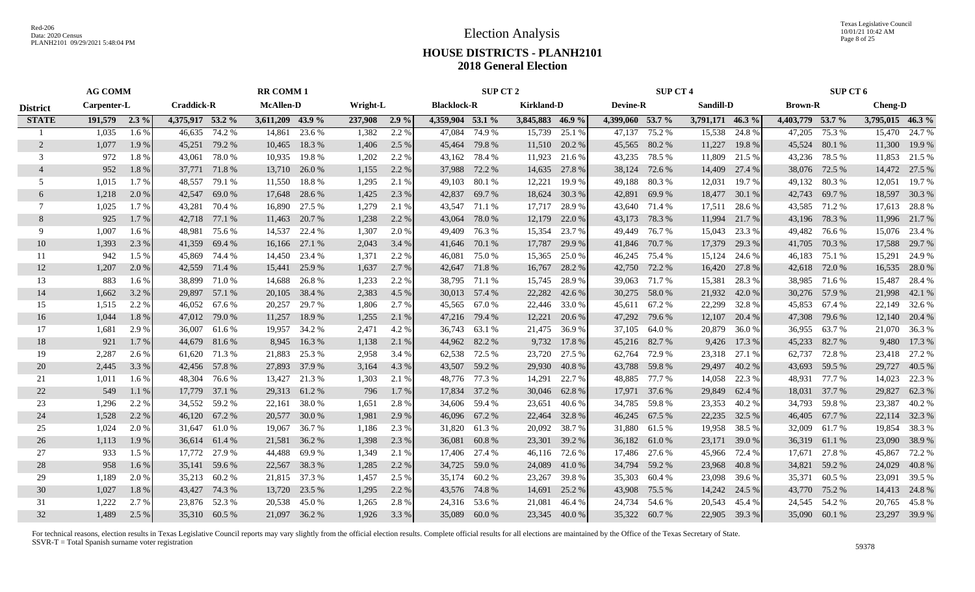Texas Legislative Council 10/01/21 10:42 AM Page 8 of 25

# **HOUSE DISTRICTS - PLANH2101 2018 General Election**

|                 | <b>AG COMM</b> |         |                   |               | <b>RR COMM1</b>  |               |          |       |                    | SUP CT 2      |                   |               |                  | <b>SUP CT 4</b> |                  |        |                  | <b>SUP CT 6</b> |                  |               |
|-----------------|----------------|---------|-------------------|---------------|------------------|---------------|----------|-------|--------------------|---------------|-------------------|---------------|------------------|-----------------|------------------|--------|------------------|-----------------|------------------|---------------|
| <b>District</b> | Carpenter-L    |         | <b>Craddick-R</b> |               | <b>McAllen-D</b> |               | Wright-L |       | <b>Blacklock-R</b> |               | <b>Kirkland-D</b> |               | <b>Devine-R</b>  |                 | Sandill-D        |        | <b>Brown-R</b>   |                 | <b>Cheng-D</b>   |               |
| <b>STATE</b>    | 191,579        | $2.3\%$ | 4,375,917 53.2 %  |               | 3,611,209 43.9 % |               | 237,908  | 2.9%  | 4,359,904 53.1 %   |               | 3,845,883 46.9 %  |               | 4,399,060 53.7 % |                 | 3,791,171 46.3 % |        | 4,403,779 53.7 % |                 | 3,795,015 46.3 % |               |
|                 | 1,035          | 1.6 %   | 46,635            | 74.2 %        | 14,861           | 23.6 %        | 1,382    | 2.2 % | 47,084             | 74.9 %        | 15,739            | 25.1 %        | 47,137           | 75.2 %          | 15,538           | 24.8%  | 47,205           | 75.3 %          | 15,470           | 24.7 %        |
| 2               | 1,077          | 1.9 %   | 45,251            | 79.2 %        | 10,465           | 18.3%         | 1,406    | 2.5 % | 45,464             | 79.8 %        | 11,510            | 20.2 %        | 45,565           | 80.2 %          | 11,227           | 19.8%  | 45,524           | 80.1 %          | 11,300           | 19.9 %        |
| 3               | 972            | 1.8%    | 43,061            | 78.0%         | 10,935           | 19.8%         | 1,202    | 2.2 % |                    | 43,162 78.4 % | 11,923            | 21.6 %        | 43,235           | 78.5 %          | 11,809           | 21.5 % | 43,236           | 78.5 %          | 11,853           | 21.5 %        |
| $\overline{4}$  | 952            | 1.8%    | 37,771            | 71.8%         | 13,710           | 26.0%         | 1,155    | 2.2 % | 37,988             | 72.2 %        | 14,635            | 27.8 %        | 38,124           | 72.6 %          | 14,409           | 27.4 % | 38,076           | 72.5 %          | 14,472           | 27.5 %        |
| 5               | 1,015          | 1.7%    | 48,557            | 79.1 %        | 11,550           | 18.8%         | 1,295    | 2.1 % | 49,103             | 80.1%         | 12,221            | 19.9 %        | 49,188           | 80.3%           | 12,031           | 19.7 % | 49,132           | 80.3%           | 12,051           | 19.7 %        |
| 6               | 1,218          | 2.0 %   | 42,547            | 69.0 %        | 17,648           | 28.6 %        | 1,425    | 2.3 % | 42,837             | 69.7 %        | 18,624            | 30.3 %        | 42,891           | 69.9 %          | 18,477           | 30.1 % | 42,743           | 69.7 %          | 18,597           | 30.3 %        |
| 7               | 1,025          | 1.7 %   | 43,281            | 70.4 %        | 16,890           | 27.5 %        | 1,279    | 2.1 % |                    | 43,547 71.1 % | 17,717            | 28.9%         |                  | 43,640 71.4 %   | 17,511           | 28.6 % |                  | 43,585 71.2 %   |                  | 17,613 28.8 % |
| 8               | 925            | 1.7%    | 42,718            | 77.1 %        | 11,463           | 20.7 %        | 1,238    | 2.2 % | 43,064             | 78.0%         | 12,179            | 22.0 %        | 43,173           | 78.3 %          | 11,994           | 21.7 % | 43,196           | 78.3%           |                  | 11,996 21.7 % |
| 9               | 1,007          | 1.6 %   | 48,981            | 75.6 %        | 14,537           | 22.4 %        | 1,307    | 2.0 % | 49,409             | 76.3 %        | 15,354            | 23.7 %        | 49,449           | 76.7 %          | 15,043           | 23.3 % | 49,482           | 76.6 %          | 15,076           | 23.4 %        |
| 10              | 1,393          | 2.3 %   | 41,359            | 69.4 %        | 16,166           | 27.1 %        | 2,043    | 3.4 % |                    | 41,646 70.1 % | 17,787            | 29.9 %        | 41,846           | 70.7 %          | 17,379           | 29.3 % | 41,705           | 70.3 %          | 17,588           | 29.7 %        |
| 11              | 942            | 1.5 %   | 45,869            | 74.4 %        | 14,450           | 23.4 %        | 1,371    | 2.2 % | 46,081             | 75.0 %        | 15,365            | 25.0 %        | 46,245           | 75.4 %          | 15,124           | 24.6 % | 46,183           | 75.1 %          | 15,291           | 24.9 %        |
| 12              | 1,207          | 2.0%    | 42,559            | 71.4 %        | 15,441           | 25.9%         | 1,637    | 2.7 % |                    | 42,647 71.8 % | 16,767            | 28.2 %        | 42,750           | 72.2 %          | 16,420           | 27.8 % | 42,618           | 72.0 %          | 16,535           | 28.0 %        |
| 13              | 883            | 1.6 %   | 38,899            | 71.0 %        | 14.688           | 26.8%         | 1,233    | 2.2 % |                    | 38,795 71.1 % | 15,745            | 28.9%         | 39,063           | 71.7 %          | 15,381           | 28.3 % | 38,985           | 71.6 %          | 15,487           | 28.4 %        |
| 14              | 1,662          | 3.2 %   |                   | 29,897 57.1 % | 20,105           | 38.4 %        | 2,383    | 4.5 % |                    | 30,013 57.4 % | 22,282            | 42.6 %        |                  | 30,275 58.0 %   | 21,932           | 42.0%  |                  | 30,276 57.9 %   | 21,998           | 42.1 %        |
| 15              | 1,515          | 2.2 %   | 46,052            | 67.6 %        | 20,257           | 29.7 %        | 1,806    | 2.7 % |                    | 45,565 67.0 % | 22,446 33.0 %     |               |                  | 45,611 67.2 %   | 22,299           | 32.8 % |                  | 45,853 67.4 %   |                  | 22,149 32.6 % |
| 16              | 1,044          | 1.8%    | 47,012            | 79.0 %        | 11,257           | 18.9%         | 1,255    | 2.1 % |                    | 47,216 79.4 % | 12,221            | 20.6 %        | 47,292           | 79.6 %          | 12,107           | 20.4 % | 47,308           | 79.6 %          |                  | 12,140 20.4 % |
| 17              | 1,681          | 2.9 %   | 36,007            | 61.6 %        | 19,957           | 34.2 %        | 2,471    | 4.2 % |                    | 36,743 63.1 % | 21,475            | 36.9%         | 37,105           | 64.0 %          | 20,879           | 36.0%  | 36,955           | 63.7 %          |                  | 21,070 36.3 % |
| 18              | 921            | 1.7%    | 44,679            | 81.6%         | 8,945            | 16.3%         | 1,138    | 2.1 % |                    | 44,962 82.2 % | 9,732             | 17.8 %        | 45,216           | 82.7 %          | 9,426            | 17.3 % | 45,233           | 82.7 %          | 9,480            | 17.3 %        |
| 19              | 2,287          | 2.6 %   | 61,620            | 71.3 %        | 21,883           | 25.3 %        | 2,958    | 3.4 % |                    | 62,538 72.5 % | 23,720            | 27.5 %        | 62,764           | 72.9 %          | 23,318           | 27.1 % | 62,737           | 72.8%           | 23,418           | 27.2 %        |
| 20              | 2,445          | 3.3 %   | 42,456            | 57.8%         | 27,893           | 37.9 %        | 3,164    | 4.3 % |                    | 43,507 59.2 % | 29,930            | 40.8%         | 43,788           | 59.8%           | 29,497           | 40.2 % | 43,693           | 59.5 %          | 29,727           | 40.5 %        |
| 21              | 1,011          | 1.6 %   | 48,304            | 76.6 %        | 13,427           | 21.3 %        | 1,303    | 2.1 % | 48,776             | 77.3 %        | 14,291            | 22.7 %        | 48,885           | 77.7 %          | 14,058           | 22.3 % | 48,931           | 77.7 %          | 14,023           | 22.3 %        |
| 22              | 549            | 1.1%    | 17,779            | 37.1 %        | 29,313           | 61.2%         | 796      | 1.7 % |                    | 17,834 37.2 % | 30,046            | 62.8%         | 17,971           | 37.6 %          | 29,849           | 62.4 % | 18,031           | 37.7 %          | 29,827           | 62.3 %        |
| 23              | 1,296          | 2.2 %   | 34,552            | 59.2 %        | 22,161           | 38.0%         | 1,651    | 2.8 % |                    | 34,606 59.4 % | 23,651            | 40.6 %        | 34,785           | 59.8 %          | 23,353           | 40.2 % | 34,793           | 59.8 %          | 23,387           | 40.2 %        |
| 24              | 1,528          | 2.2 %   | 46,120            | 67.2 %        | 20,577           | 30.0 %        | 1,981    | 2.9 % |                    | 46,096 67.2 % | 22,464            | 32.8%         | 46,245           | 67.5 %          | 22,235           | 32.5 % | 46,405           | 67.7 %          | 22,114           | 32.3 %        |
| 25              | 1,024          | 2.0 %   | 31,647            | 61.0 %        | 19,067           | 36.7%         | 1,186    | 2.3 % | 31,820             | 61.3%         | 20,092            | 38.7%         | 31,880           | 61.5 %          | 19,958           | 38.5 % | 32,009           | 61.7%           | 19,854           | 38.3%         |
| 26              | 1,113          | 1.9%    | 36,614            | 61.4 %        | 21,581           | 36.2 %        | 1,398    | 2.3 % | 36,081             | 60.8%         | 23,301            | 39.2 %        | 36,182           | 61.0%           | 23,171           | 39.0 % | 36,319           | 61.1 %          | 23,090           | 38.9%         |
| 27              | 933            | 1.5 %   | 17,772            | 27.9 %        | 44,488           | 69.9%         | 1,349    | 2.1 % | 17,406             | 27.4 %        | 46,116            | 72.6 %        | 17,486           | 27.6 %          | 45,966           | 72.4 % | 17,671           | 27.8 %          | 45,867           | 72.2 %        |
| 28              | 958            | $1.6\%$ | 35,141            | 59.6 %        | 22,567           | 38.3%         | 1,285    | 2.2 % |                    | 34,725 59.0 % | 24,089            | 41.0 %        | 34,794           | 59.2 %          | 23,968           | 40.8%  | 34,821           | 59.2 %          | 24,029           | 40.8%         |
| 29              | 1,189          | 2.0 %   | 35,213            | 60.2 %        |                  | 21,815 37.3 % | 1,457    | 2.5 % |                    | 35,174 60.2 % | 23,267            | 39.8%         | 35,303           | 60.4 %          | 23,098           | 39.6 % | 35,371           | 60.5 %          | 23,091           | 39.5 %        |
| 30              | 1,027          | 1.8%    |                   | 43,427 74.3 % | 13,720           | 23.5 %        | 1,295    | 2.2 % |                    | 43,576 74.8 % | 14,691 25.2 %     |               | 43,908           | 75.5 %          | 14,242           | 24.5 % | 43,770           | 75.2 %          |                  | 14,413 24.8 % |
| 31              | 1,222          | 2.7 %   |                   | 23.876 52.3 % | 20,538           | 45.0%         | 1,265    | 2.8%  |                    | 24,316 53.6 % | 21,081            | 46.4 %        | 24,734           | 54.6 %          | 20,543           | 45.4 % | 24,545 54.2 %    |                 | 20,765           | 45.8%         |
| 32              | 1,489          | 2.5 %   |                   | 35,310 60.5 % |                  | 21,097 36.2 % | 1,926    | 3.3 % |                    | 35,089 60.0 % |                   | 23,345 40.0 % |                  | 35,322 60.7 %   | 22,905           | 39.3 % |                  | 35,090 60.1 %   |                  | 23,297 39.9 % |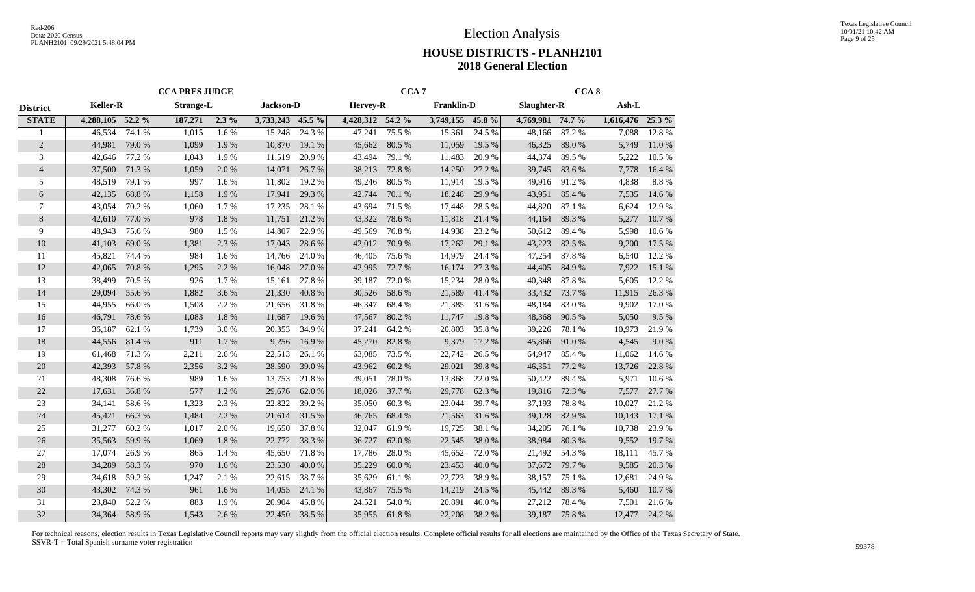|                 |                  |        | <b>CCA PRES JUDGE</b> |         |           |        |                  | CCA <sub>7</sub> |                   |        |                  | CCA <sub>8</sub> |           |        |
|-----------------|------------------|--------|-----------------------|---------|-----------|--------|------------------|------------------|-------------------|--------|------------------|------------------|-----------|--------|
| <b>District</b> | <b>Keller-R</b>  |        | <b>Strange-L</b>      |         | Jackson-D |        | <b>Hervey-R</b>  |                  | <b>Franklin-D</b> |        | Slaughter-R      |                  | Ash-L     |        |
| <b>STATE</b>    | 4,288,105 52.2 % |        | 187,271               | $2.3\%$ | 3,733,243 | 45.5 % | 4,428,312 54.2 % |                  | 3,749,155 45.8 %  |        | 4,769,981 74.7 % |                  | 1,616,476 | 25.3 % |
|                 | 46,534           | 74.1 % | 1,015                 | 1.6 %   | 15,248    | 24.3 % | 47,241           | 75.5 %           | 15,361            | 24.5 % | 48,166           | 87.2 %           | 7,088     | 12.8%  |
| $\overline{2}$  | 44,981           | 79.0%  | 1,099                 | 1.9%    | 10,870    | 19.1 % | 45,662           | 80.5 %           | 11,059            | 19.5 % | 46,325           | 89.0%            | 5,749     | 11.0%  |
| 3               | 42,646           | 77.2 % | 1,043                 | 1.9%    | 11,519    | 20.9%  | 43,494           | 79.1 %           | 11,483            | 20.9%  | 44,374           | 89.5%            | 5,222     | 10.5 % |
| $\overline{4}$  | 37,500           | 71.3%  | 1,059                 | 2.0%    | 14,071    | 26.7%  | 38,213           | 72.8 %           | 14,250            | 27.2 % | 39,745           | 83.6%            | 7,778     | 16.4 % |
| 5               | 48,519           | 79.1 % | 997                   | 1.6%    | 11,802    | 19.2%  | 49,246           | 80.5%            | 11,914            | 19.5 % | 49,916           | 91.2%            | 4,838     | 8.8%   |
| 6               | 42,135           | 68.8%  | 1,158                 | 1.9%    | 17,941    | 29.3%  | 42,744           | 70.1 %           | 18,248            | 29.9%  | 43,951           | 85.4 %           | 7,535     | 14.6 % |
| $\overline{7}$  | 43,054           | 70.2 % | 1,060                 | 1.7 %   | 17,235    | 28.1 % | 43,694           | 71.5 %           | 17,448            | 28.5 % | 44,820           | 87.1 %           | 6,624     | 12.9%  |
| 8               | 42,610           | 77.0 % | 978                   | 1.8%    | 11,751    | 21.2%  | 43,322           | 78.6%            | 11,818            | 21.4 % | 44,164           | 89.3%            | 5,277     | 10.7%  |
| 9               | 48,943           | 75.6 % | 980                   | 1.5 %   | 14,807    | 22.9 % | 49,569           | 76.8%            | 14,938            | 23.2 % | 50,612           | 89.4%            | 5,998     | 10.6%  |
| 10              | 41,103           | 69.0%  | 1,381                 | 2.3 %   | 17,043    | 28.6%  | 42,012           | 70.9%            | 17,262            | 29.1 % | 43,223           | 82.5 %           | 9,200     | 17.5 % |
| 11              | 45,821           | 74.4 % | 984                   | 1.6 %   | 14,766    | 24.0 % | 46,405           | 75.6 %           | 14,979            | 24.4 % | 47,254           | 87.8%            | 6,540     | 12.2 % |
| 12              | 42,065           | 70.8%  | 1,295                 | 2.2 %   | 16,048    | 27.0%  | 42,995           | 72.7 %           | 16,174            | 27.3 % | 44,405           | 84.9%            | 7,922     | 15.1 % |
| 13              | 38,499           | 70.5 % | 926                   | 1.7%    | 15,161    | 27.8%  | 39,187           | 72.0%            | 15,234            | 28.0%  | 40,348           | 87.8%            | 5,605     | 12.2 % |
| 14              | 29,094           | 55.6%  | 1,882                 | 3.6%    | 21,330    | 40.8%  | 30,526           | 58.6%            | 21,589            | 41.4%  | 33,432           | 73.7%            | 11,915    | 26.3 % |
| 15              | 44,955           | 66.0%  | 1,508                 | 2.2 %   | 21,656    | 31.8%  | 46,347           | 68.4%            | 21,385            | 31.6%  | 48,184           | 83.0%            | 9,902     | 17.0%  |
| 16              | 46,791           | 78.6%  | 1,083                 | 1.8%    | 11,687    | 19.6%  | 47,567           | 80.2%            | 11,747            | 19.8%  | 48,368           | 90.5 %           | 5,050     | 9.5 %  |
| 17              | 36,187           | 62.1 % | 1,739                 | 3.0%    | 20,353    | 34.9%  | 37,241           | 64.2%            | 20,803            | 35.8%  | 39,226           | 78.1 %           | 10,973    | 21.9%  |
| 18              | 44,556           | 81.4%  | 911                   | 1.7%    | 9,256     | 16.9%  | 45,270           | 82.8%            | 9,379             | 17.2 % | 45,866           | 91.0%            | 4,545     | 9.0%   |
| 19              | 61,468           | 71.3%  | 2,211                 | 2.6 %   | 22,513    | 26.1 % | 63,085           | 73.5 %           | 22,742            | 26.5 % | 64,947           | 85.4 %           | 11,062    | 14.6 % |
| 20              | 42,393           | 57.8%  | 2,356                 | 3.2 %   | 28,590    | 39.0%  | 43,962           | 60.2%            | 29,021            | 39.8%  | 46,351           | 77.2 %           | 13,726    | 22.8%  |
| 21              | 48,308           | 76.6%  | 989                   | 1.6 %   | 13,753    | 21.8%  | 49,051           | 78.0%            | 13,868            | 22.0%  | 50,422           | 89.4%            | 5,971     | 10.6%  |
| 22              | 17,631           | 36.8%  | 577                   | 1.2%    | 29,676    | 62.0%  | 18,026           | 37.7 %           | 29,778            | 62.3%  | 19,816           | 72.3 %           | 7,577     | 27.7 % |
| 23              | 34,141           | 58.6%  | 1,323                 | 2.3%    | 22,822    | 39.2%  | 35,050           | 60.3%            | 23,044            | 39.7%  | 37,193           | 78.8%            | 10,027    | 21.2%  |
| 24              | 45,421           | 66.3%  | 1,484                 | 2.2 %   | 21,614    | 31.5%  | 46,765           | 68.4 %           | 21,563            | 31.6%  | 49,128           | 82.9%            | 10,143    | 17.1 % |
| 25              | 31,277           | 60.2%  | 1,017                 | 2.0%    | 19,650    | 37.8%  | 32,047           | 61.9%            | 19,725            | 38.1 % | 34,205           | 76.1 %           | 10,738    | 23.9%  |
| 26              | 35,563           | 59.9%  | 1,069                 | 1.8%    | 22,772    | 38.3%  | 36,727           | 62.0%            | 22,545            | 38.0%  | 38,984           | 80.3%            | 9,552     | 19.7%  |
| 27              | 17,074           | 26.9%  | 865                   | 1.4 %   | 45,650    | 71.8%  | 17,786           | 28.0%            | 45,652            | 72.0 % | 21,492           | 54.3 %           | 18,111    | 45.7%  |
| 28              | 34,289           | 58.3%  | 970                   | 1.6 %   | 23,530    | 40.0%  | 35,229           | 60.0%            | 23,453            | 40.0%  | 37,672           | 79.7%            | 9,585     | 20.3 % |
| 29              | 34,618           | 59.2%  | 1,247                 | 2.1 %   | 22,615    | 38.7%  | 35,629           | 61.1 %           | 22,723            | 38.9%  | 38,157           | 75.1 %           | 12,681    | 24.9%  |
| 30              | 43,302           | 74.3 % | 961                   | 1.6 %   | 14,055    | 24.1 % | 43,867           | 75.5 %           | 14,219            | 24.5 % | 45,442           | 89.3%            | 5,460     | 10.7%  |
| 31              | 23,840           | 52.2%  | 883                   | 1.9%    | 20,904    | 45.8%  | 24,521           | 54.0%            | 20,891            | 46.0%  | 27,212           | 78.4%            | 7,501     | 21.6%  |
| 32              | 34,364           | 58.9%  | 1,543                 | 2.6 %   | 22,450    | 38.5 % | 35,955           | 61.8%            | 22,208            | 38.2%  | 39,187           | 75.8%            | 12,477    | 24.2 % |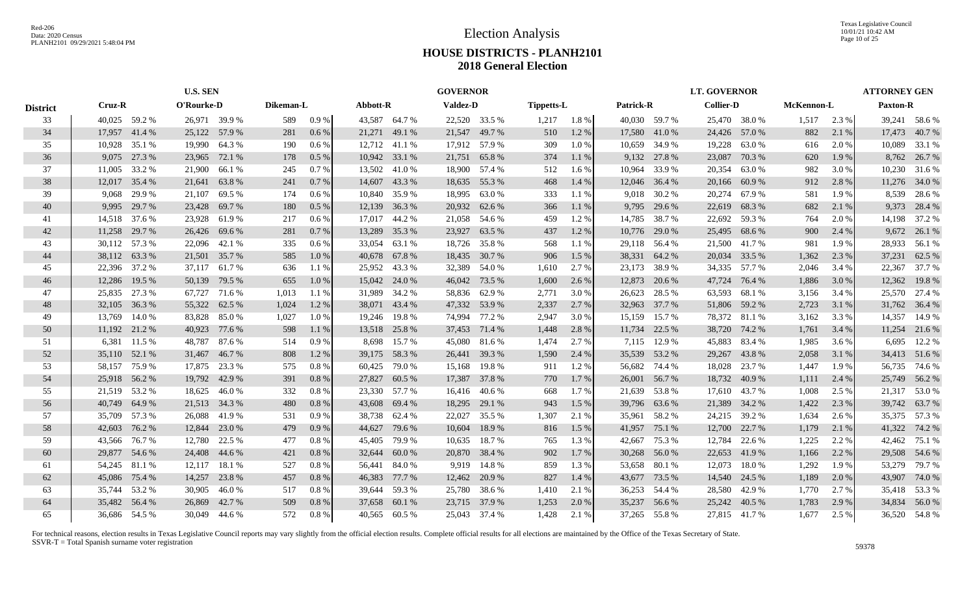Texas Legislative Council 10/01/21 10:42 AM Page 10 of 25

# **HOUSE DISTRICTS - PLANH2101 2018 General Election**

|                 | <b>U.S. SEN</b> |               |               |               |           |         |               |               | <b>GOVERNOR</b> |               |                   |         |           |               | <b>LT. GOVERNOR</b> |               |            |       | <b>ATTORNEY GEN</b> |               |
|-----------------|-----------------|---------------|---------------|---------------|-----------|---------|---------------|---------------|-----------------|---------------|-------------------|---------|-----------|---------------|---------------------|---------------|------------|-------|---------------------|---------------|
| <b>District</b> | Cruz-R          |               | O'Rourke-D    |               | Dikeman-L |         | Abbott-R      |               | <b>Valdez-D</b> |               | <b>Tippetts-L</b> |         | Patrick-R |               | <b>Collier-D</b>    |               | McKennon-L |       | <b>Paxton-R</b>     |               |
| 33              |                 | 40,025 59.2 % | 26,971 39.9 % |               | 589       | $0.9\%$ |               | 43,587 64.7 % |                 | 22,520 33.5 % | 1,217             | 1.8 %   |           | 40,030 59.7 % |                     | 25,470 38.0 % | 1,517      | 2.3 % |                     | 39,241 58.6 % |
| 34              | 17,957 41.4 %   |               |               | 25,122 57.9 % | 281       | $0.6\%$ | 21,271        | 49.1 %        |                 | 21,547 49.7 % | 510               | 1.2 %   |           | 17,580 41.0 % |                     | 24,426 57.0 % | 882        | 2.1 % |                     | 17,473 40.7 % |
| 35              | 10,928          | 35.1 %        |               | 19,990 64.3 % | 190       | $0.6\%$ |               | 12,712 41.1 % |                 | 17,912 57.9 % | 309               | $1.0\%$ | 10,659    | 34.9 %        | 19,228              | 63.0%         | 616        | 2.0 % |                     | 10,089 33.1 % |
| 36              | 9,075           | 27.3 %        | 23,965        | 72.1 %        | 178       | $0.5\%$ |               | 10,942 33.1 % | 21,751          | 65.8%         | 374               | 1.1%    |           | 9,132 27.8 %  | 23,087              | 70.3%         | 620        | 1.9%  |                     | 8,762 26.7 %  |
| 37              | 11,005          | 33.2 %        | 21,900        | 66.1 %        | 245       | 0.7%    | 13,502        | 41.0 %        |                 | 18,900 57.4 % | 512               | 1.6 %   | 10,964    | 33.9 %        | 20,354              | 63.0%         | 982        | 3.0 % |                     | 10,230 31.6 % |
| 38              | 12,017          | 35.4 %        | 21,641        | 63.8%         | 241       | 0.7%    | 14,607        | 43.3 %        |                 | 18,635 55.3 % | 468               | 1.4 %   |           | 12,046 36.4 % | 20,166              | 60.9%         | 912        | 2.8 % |                     | 11,276 34.0 % |
| 39              | 9,068           | 29.9%         | 21,107        | 69.5 %        | 174       | 0.6 %   |               | 10,840 35.9 % | 18,995          | 63.0%         | 333               | 1.1 %   |           | 9,018 30.2 %  | 20,274              | 67.9%         | 581        | 1.9%  |                     | 8,539 28.6 %  |
| 40              | 9,995           | 29.7 %        | 23,428        | 69.7 %        | 180       | $0.5\%$ |               | 12,139 36.3 % |                 | 20,932 62.6 % | 366               | 1.1 %   |           | 9,795 29.6 %  | 22,619              | 68.3%         | 682        | 2.1 % | 9,373               | 28.4 %        |
| 41              | 14,518          | 37.6 %        | 23,928        | 61.9%         | 217       | $0.6\%$ | 17,017        | 44.2 %        | 21,058          | 54.6 %        | 459               | 1.2%    | 14,785    | 38.7 %        | 22,692              | 59.3%         | 764        | 2.0 % | 14,198              | 37.2 %        |
| 42              | 11,258          | 29.7 %        |               | 26,426 69.6 % | 281       | $0.7\%$ | 13,289        | 35.3 %        | 23,927          | 63.5 %        | 437               | 1.2%    | 10,776    | 29.0 %        | 25,495              | 68.6 %        | 900        | 2.4 % | 9,672               | 26.1 %        |
| 43              |                 | 30,112 57.3 % | 22,096 42.1 % |               | 335       | $0.6\%$ |               | 33,054 63.1 % |                 | 18,726 35.8 % | 568               | 1.1 %   |           | 29,118 56.4 % | 21,500              | 41.7%         | 981        | 1.9%  |                     | 28,933 56.1 % |
| 44              | 38,112 63.3 %   |               |               | 21,501 35.7%  | 585       | 1.0%    | 40,678 67.8%  |               |                 | 18,435 30.7 % | 906               | 1.5 %   |           | 38,331 64.2 % | 20,034              | 33.5 %        | 1,362      | 2.3 % | 37,231              | 62.5 %        |
| 45              |                 | 22,396 37.2 % | 37,117 61.7 % |               | 636       | 1.1%    |               | 25,952 43.3 % |                 | 32,389 54.0 % | 1,610             | 2.7 %   |           | 23,173 38.9 % | 34,335              | 57.7 %        | 2,046      | 3.4 % | 22,367              | 37.7 %        |
| 46              |                 | 12,286 19.5 % |               | 50,139 79.5 % | 655       | $1.0\%$ |               | 15,042 24.0 % |                 | 46,042 73.5 % | 1,600             | 2.6 %   |           | 12,873 20.6 % | 47,724              | 76.4 %        | 1,886      | 3.0 % | 12,362              | 19.8%         |
| 47              |                 | 25,835 27.3 % |               | 67,727 71.6 % | 1,013     | 1.1 %   | 31,989 34.2 % |               |                 | 58,836 62.9 % | 2,771             | 3.0%    |           | 26,623 28.5 % | 63,593              | 68.1 %        | 3,156      | 3.4 % |                     | 25,570 27.4 % |
| 48              | 32,105 36.3 %   |               | 55,322        | 62.5 %        | 1,024     | 1.2%    |               | 38,071 43.4 % |                 | 47,332 53.9 % | 2,337             | 2.7%    |           | 32,963 37.7 % |                     | 51,806 59.2 % | 2,723      | 3.1 % |                     | 31,762 36.4 % |
| 49              | 13,769          | 14.0 %        | 83,828        | 85.0%         | 1,027     | $1.0\%$ |               | 19,246 19.8 % |                 | 74,994 77.2 % | 2,947             | 3.0%    | 15,159    | 15.7 %        | 78,372              | 81.1 %        | 3,162      | 3.3 % | 14,357              | 14.9 %        |
| 50              | 11,192 21.2 %   |               | 40,923        | 77.6 %        | 598       | 1.1 %   |               | 13,518 25.8 % |                 | 37,453 71.4 % | 1,448             | 2.8 %   | 11,734    | 22.5 %        | 38,720              | 74.2 %        | 1,761      | 3.4 % |                     | 11,254 21.6 % |
| 51              |                 | 6,381 11.5 %  | 48,787        | 87.6 %        | 514       | 0.9%    |               | 8,698 15.7 %  |                 | 45,080 81.6 % | 1,474             | 2.7 %   | 7,115     | 12.9 %        | 45,883              | 83.4 %        | 1,985      | 3.6 % |                     | 6,695 12.2 %  |
| 52              | 35,110 52.1 %   |               | 31,467        | 46.7 %        | 808       | 1.2 %   | 39,175 58.3%  |               |                 | 26,441 39.3 % | 1,590             | 2.4 %   |           | 35,539 53.2 % | 29,267              | 43.8%         | 2,058      | 3.1 % |                     | 34,413 51.6 % |
| 53              | 58,157          | 75.9 %        | 17,875        | 23.3 %        | 575       | 0.8 %   | 60,425        | 79.0%         | 15,168          | 19.8 %        | 911               | 1.2%    | 56,682    | 74.4 %        | 18,028              | 23.7 %        | 1,447      | 1.9%  |                     | 56,735 74.6 % |
| 54              | 25,918 56.2 %   |               | 19,792        | 42.9%         | 391       | 0.8%    | 27,827        | 60.5 %        |                 | 17,387 37.8 % | 770               | 1.7%    |           | 26,001 56.7 % | 18,732              | 40.9%         | 1,111      | 2.4 % |                     | 25,749 56.2 % |
| 55              |                 | 21,519 53.2 % | 18,625        | 46.0 %        | 332       | 0.8%    | 23,330 57.7 % |               |                 | 16,416 40.6 % | 668               | 1.7 %   |           | 21,639 53.8 % | 17,610              | 43.7 %        | 1,008      | 2.5 % |                     | 21,317 53.0 % |
| 56              | 40,749          | 64.9%         |               | 21,513 34.3 % | 480       | 0.8%    |               | 43,608 69.4 % |                 | 18,295 29.1 % | 943               | 1.5 %   |           | 39,796 63.6 % | 21,389              | 34.2 %        | 1,422      | 2.3 % |                     | 39,742 63.7%  |
| 57              |                 | 35,709 57.3 % | 26,088        | 41.9%         | 531       | 0.9%    |               | 38,738 62.4 % | 22,027          | 35.5 %        | 1,307             | 2.1 %   | 35,961    | 58.2%         | 24,215              | 39.2 %        | 1,634      | 2.6 % |                     | 35,375 57.3 % |
| 58              | 42,603          | 76.2 %        | 12,844        | 23.0 %        | 479       | 0.9%    | 44,627        | 79.6 %        | 10,604          | 18.9%         | 816               | 1.5 %   | 41,957    | 75.1 %        | 12,700              | 22.7 %        | 1,179      | 2.1 % |                     | 41,322 74.2 % |
| 59              | 43,566 76.7 %   |               | 12,780        | 22.5 %        | 477       | 0.8 %   | 45,405        | 79.9 %        | 10,635          | 18.7 %        | 765               | 1.3%    | 42,667    | 75.3 %        | 12,784              | 22.6 %        | 1,225      | 2.2 % |                     | 42,462 75.1 % |
| 60              |                 | 29,877 54.6 % |               | 24,408 44.6 % | 421       | 0.8%    | 32,644 60.0 % |               |                 | 20,870 38.4 % | 902               | 1.7%    |           | 30,268 56.0 % | 22,653              | 41.9%         | 1,166      | 2.2 % |                     | 29,508 54.6 % |
| 61              |                 | 54,245 81.1 % | 12,117        | 18.1 %        | 527       | 0.8%    | 56,441 84.0 % |               |                 | 9,919 14.8 %  | 859               | 1.3%    |           | 53,658 80.1 % | 12,073              | 18.0%         | 1,292      | 1.9%  |                     | 53,279 79.7 % |
| 62              | 45,086          | 75.4 %        | 14,257        | 23.8 %        | 457       | 0.8%    | 46,383 77.7 % |               |                 | 12,462 20.9 % | 827               | 1.4 %   |           | 43,677 73.5 % | 14,540              | 24.5 %        | 1,189      | 2.0 % |                     | 43,907 74.0 % |
| 63              | 35,744 53.2 %   |               | 30,905        | 46.0 %        | 517       | 0.8 %   | 39,644 59.3 % |               |                 | 25,780 38.6 % | 1,410             | 2.1 %   |           | 36,253 54.4 % | 28,580              | 42.9%         | 1,770      | 2.7 % |                     | 35,418 53.3 % |
| 64              | 35,482 56.4 %   |               | 26,869        | 42.7 %        | 509       | 0.8 %   | 37,658 60.1 % |               |                 | 23,715 37.9 % | 1,253             | 2.0%    | 35,237    | 56.6 %        | 25,242              | 40.5 %        | 1,783      | 2.9 % |                     | 34,834 56.0 % |
| 65              |                 | 36.686 54.5 % |               | 30.049 44.6 % | 572       | 0.8 %   |               | 40.565 60.5 % |                 | 25,043 37.4 % | 1.428             | 2.1 %   |           | 37.265 55.8 % |                     | 27.815 41.7 % | 1,677      | 2.5 % |                     | 36,520 54.8 % |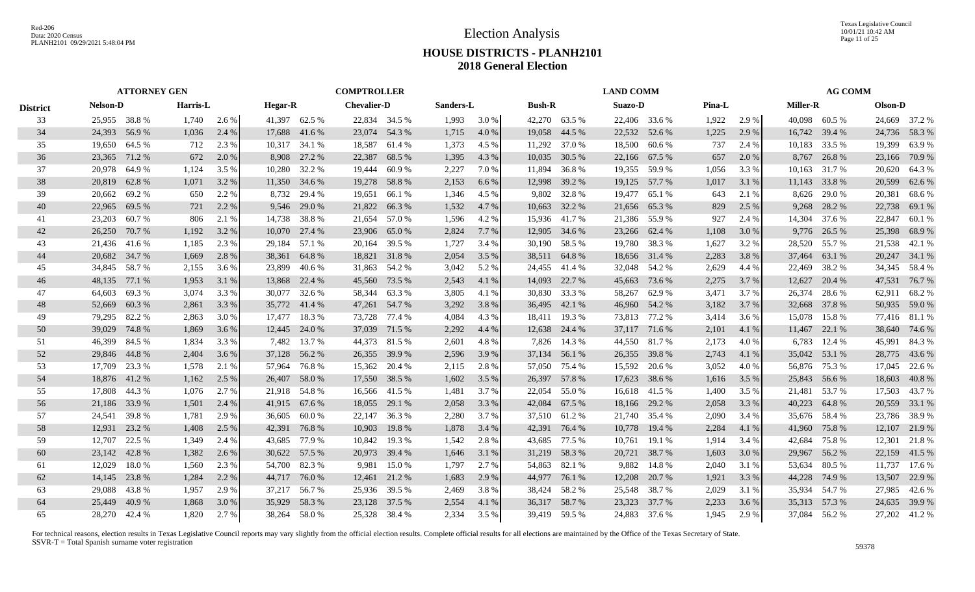Texas Legislative Council 10/01/21 10:42 AM Page 11 of 25

# **HOUSE DISTRICTS - PLANH2101 2018 General Election**

|                 | <b>ATTORNEY GEN</b> |        |          |       |                |        | <b>COMPTROLLER</b> |        |           |       |               |               | <b>LAND COMM</b> |               |        |       |                 | <b>AG COMM</b> |         |               |
|-----------------|---------------------|--------|----------|-------|----------------|--------|--------------------|--------|-----------|-------|---------------|---------------|------------------|---------------|--------|-------|-----------------|----------------|---------|---------------|
| <b>District</b> | <b>Nelson-D</b>     |        | Harris-L |       | <b>Hegar-R</b> |        | <b>Chevalier-D</b> |        | Sanders-L |       | <b>Bush-R</b> |               | <b>Suazo-D</b>   |               | Pina-L |       | <b>Miller-R</b> |                | Olson-D |               |
| 33              | 25,955 38.8 %       |        | 1,740    | 2.6 % | 41,397 62.5 %  |        | 22,834 34.5 %      |        | 1,993     | 3.0 % |               | 42,270 63.5 % |                  | 22,406 33.6 % | 1,922  | 2.9 % | 40,098 60.5 %   |                |         | 24,669 37.2 % |
| 34              | 24,393 56.9 %       |        | 1,036    | 2.4 % | 17,688 41.6 %  |        | 23,074 54.3 %      |        | 1,715     | 4.0 % | 19,058 44.5 % |               |                  | 22,532 52.6 % | 1,225  | 2.9 % | 16,742 39.4 %   |                |         | 24,736 58.3 % |
| 35              | 19,650 64.5 %       |        | 712      | 2.3 % | 10,317 34.1 %  |        | 18,587             | 61.4 % | 1,373     | 4.5 % | 11,292 37.0 % |               | 18,500           | 60.6 %        | 737    | 2.4 % | 10,183          | 33.5 %         | 19,399  | 63.9 %        |
| 36              | 23,365 71.2 %       |        | 672      | 2.0 % | 8,908          | 27.2 % | 22,387             | 68.5 % | 1,395     | 4.3 % | 10,035        | 30.5 %        | 22,166           | 67.5 %        | 657    | 2.0 % | 8,767           | 26.8%          |         | 23,166 70.9 % |
| 37              | 20,978 64.9 %       |        | 1,124    | 3.5 % | 10,280         | 32.2 % | 19,444             | 60.9%  | 2,227     | 7.0 % | 11,894        | 36.8%         | 19,355           | 59.9 %        | 1,056  | 3.3 % | 10,163          | 31.7 %         |         | 20,620 64.3 % |
| 38              | 20,819              | 62.8%  | 1,071    | 3.2 % | 11,350         | 34.6 % | 19,278             | 58.8%  | 2,153     | 6.6 % | 12,998        | 39.2 %        | 19,125           | 57.7 %        | 1,017  | 3.1 % | 11,143          | 33.8%          | 20,599  | 62.6 %        |
| 39              | 20,662              | 69.2 % | 650      | 2.2 % | 8,732          | 29.4 % | 19,651             | 66.1 % | 1,346     | 4.5 % | 9,802         | 32.8%         | 19,477           | 65.1 %        | 643    | 2.1 % | 8,626           | 29.0 %         |         | 20,381 68.6 % |
| 40              | 22,965              | 69.5 % | 721      | 2.2 % | 9,546          | 29.0 % | 21,822             | 66.3%  | 1,532     | 4.7 % | 10,663        | 32.2 %        | 21,656           | 65.3%         | 829    | 2.5 % | 9,268           | 28.2 %         | 22,738  | 69.1 %        |
| 41              | 23,203              | 60.7%  | 806      | 2.1 % | 14,738         | 38.8 % | 21,654             | 57.0 % | 1,596     | 4.2 % | 15,936        | 41.7 %        | 21,386           | 55.9%         | 927    | 2.4 % | 14,304          | 37.6 %         | 22,847  | 60.1%         |
| 42              | 26,250              | 70.7 % | 1,192    | 3.2 % | 10,070         | 27.4 % | 23,906             | 65.0%  | 2,824     | 7.7 % | 12,905        | 34.6 %        | 23,266           | 62.4 %        | 1,108  | 3.0 % | 9,776           | 26.5 %         | 25,398  | 68.9%         |
| 43              | 21,436 41.6 %       |        | 1,185    | 2.3 % | 29,184         | 57.1 % | 20,164             | 39.5 % | 1,727     | 3.4 % |               | 30,190 58.5 % |                  | 19,780 38.3 % | 1,627  | 3.2 % | 28,520          | 55.7 %         |         | 21,538 42.1 % |
| 44              | 20,682 34.7 %       |        | 1,669    | 2.8%  | 38,361         | 64.8%  | 18,821 31.8 %      |        | 2,054     | 3.5 % | 38,511        | 64.8%         |                  | 18,656 31.4 % | 2,283  | 3.8%  | 37,464          | 63.1 %         |         | 20,247 34.1 % |
| 45              | 34,845 58.7 %       |        | 2,155    | 3.6 % | 23,899         | 40.6 % | 31,863 54.2 %      |        | 3,042     | 5.2 % | 24,455 41.4 % |               |                  | 32,048 54.2 % | 2,629  | 4.4 % | 22,469          | 38.2 %         |         | 34,345 58.4 % |
| 46              | 48,135 77.1 %       |        | 1,953    | 3.1 % | 13,868 22.4 %  |        | 45,560             | 73.5 % | 2,543     | 4.1 % | 14,093 22.7 % |               |                  | 45,663 73.6 % | 2,275  | 3.7 % | 12,627          | 20.4 %         | 47,531  | 76.7 %        |
| 47              | 64,603 69.3 %       |        | 3,074    | 3.3 % | 30,077         | 32.6 % | 58,344 63.3 %      |        | 3,805     | 4.1 % | 30,830 33.3 % |               |                  | 58,267 62.9 % | 3,471  | 3.7 % | 26,374          | 28.6 %         |         | 62,911 68.2 % |
| 48              | 52,669              | 60.3%  | 2,861    | 3.3 % | 35,772 41.4 %  |        | 47,261 54.7 %      |        | 3,292     | 3.8 % | 36,495 42.1 % |               |                  | 46,960 54.2 % | 3,182  | 3.7 % | 32,668 37.8 %   |                |         | 50,935 59.0 % |
| 49              | 79,295              | 82.2 % | 2,863    | 3.0 % | 17.477         | 18.3%  | 73,728             | 77.4 % | 4,084     | 4.3 % | 18.411        | 19.3 %        |                  | 73,813 77.2 % | 3,414  | 3.6 % | 15,078          | 15.8%          |         | 77,416 81.1 % |
| 50              | 39,029              | 74.8%  | 1,869    | 3.6 % | 12,445         | 24.0 % | 37,039             | 71.5 % | 2,292     | 4.4 % | 12,638        | 24.4 %        |                  | 37,117 71.6 % | 2,101  | 4.1 % | 11,467          | 22.1 %         |         | 38,640 74.6 % |
| 51              | 46,399              | 84.5 % | 1,834    | 3.3 % | 7,482          | 13.7 % | 44,373             | 81.5 % | 2,601     | 4.8%  | 7,826         | 14.3 %        |                  | 44,550 81.7 % | 2,173  | 4.0%  | 6,783           | 12.4 %         | 45,991  | 84.3 %        |
| 52              | 29,846 44.8 %       |        | 2,404    | 3.6 % | 37,128         | 56.2 % | 26,355             | 39.9 % | 2,596     | 3.9%  | 37,134 56.1 % |               | 26,355           | 39.8%         | 2,743  | 4.1 % | 35,042          | 53.1 %         | 28,775  | 43.6 %        |
| 53              | 17,709 23.3 %       |        | 1,578    | 2.1 % | 57,964         | 76.8%  | 15,362             | 20.4 % | 2,115     | 2.8 % | 57,050        | 75.4 %        | 15,592           | 20.6 %        | 3,052  | 4.0%  | 56,876          | 75.3 %         | 17,045  | 22.6 %        |
| 54              | 18,876 41.2 %       |        | 1,162    | 2.5 % | 26,407         | 58.0%  | 17,550             | 38.5 % | 1,602     | 3.5 % | 26,397 57.8 % |               | 17,623           | 38.6 %        | 1,616  | 3.5 % | 25,843          | 56.6 %         | 18,603  | 40.8%         |
| 55              | 17,808 44.3 %       |        | 1,076    | 2.7 % | 21,918 54.8 %  |        | 16,566             | 41.5 % | 1,481     | 3.7 % | 22,054        | 55.0 %        |                  | 16,618 41.5 % | 1,400  | 3.5 % | 21.481          | 53.7 %         |         | 17,503 43.7 % |
| 56              | 21,186 33.9 %       |        | 1,501    | 2.4 % | 41,915 67.6 %  |        | 18,055             | 29.1 % | 2,058     | 3.3 % | 42,084        | 67.5 %        |                  | 18,166 29.2 % | 2,058  | 3.3 % | 40,223          | 64.8%          | 20,559  | 33.1 %        |
| 57              | 24,541              | 39.8%  | 1,781    | 2.9 % | 36,605         | 60.0%  | 22,147             | 36.3 % | 2,280     | 3.7 % | 37,510 61.2 % |               |                  | 21,740 35.4 % | 2,090  | 3.4 % | 35.676          | 58.4 %         | 23,786  | 38.9 %        |
| 58              | 12,931              | 23.2 % | 1,408    | 2.5 % | 42,391         | 76.8%  | 10,903             | 19.8%  | 1,878     | 3.4 % | 42,391        | 76.4 %        | 10,778           | 19.4 %        | 2,284  | 4.1 % | 41,960          | 75.8%          | 12,107  | 21.9 %        |
| 59              | 12,707              | 22.5 % | 1,349    | 2.4 % | 43,685         | 77.9 % | 10,842             | 19.3 % | 1,542     | 2.8%  | 43,685        | 77.5 %        | 10,761           | 19.1 %        | 1,914  | 3.4 % | 42,684          | 75.8%          | 12,301  | 21.8%         |
| 60              | 23,142              | 42.8%  | 1,382    | 2.6 % | 30,622 57.5 %  |        | 20,973             | 39.4 % | 1,646     | 3.1 % | 31,219 58.3 % |               |                  | 20,721 38.7 % | 1,603  | 3.0 % | 29,967          | 56.2%          | 22,159  | 41.5 %        |
| 61              | 12,029              | 18.0%  | 1,560    | 2.3 % | 54,700 82.3 %  |        | 9,981              | 15.0 % | 1,797     | 2.7 % | 54,863 82.1 % |               | 9,882            | 14.8 %        | 2,040  | 3.1 % | 53,634          | 80.5 %         | 11,737  | 17.6 %        |
| 62              | 14,145 23.8 %       |        | 1,284    | 2.2 % | 44,717         | 76.0 % | 12,461             | 21.2 % | 1,683     | 2.9 % | 44,977 76.1 % |               |                  | 12,208 20.7 % | 1,921  | 3.3 % | 44,228          | 74.9 %         | 13,507  | 22.9 %        |
| 63              | 29,088 43.8 %       |        | 1,957    | 2.9 % | 37,217         | 56.7 % | 25,936 39.5 %      |        | 2,469     | 3.8%  | 38,424        | 58.2 %        |                  | 25,548 38.7 % | 2,029  | 3.1 % | 35,934 54.7 %   |                |         | 27,985 42.6 % |
| 64              | 25,449              | 40.9%  | 1,868    | 3.0%  | 35,929         | 58.3%  | 23,128 37.5 %      |        | 2,554     | 4.1 % | 36,317        | 58.7 %        | 23,323           | 37.7 %        | 2,233  | 3.6 % | 35,313 57.3 %   |                | 24,635  | 39.9 %        |
| 65              | 28,270 42.4 %       |        | 1.820    | 2.7 % | 38.264 58.0 %  |        | 25.328 38.4 %      |        | 2.334     | 3.5 % |               | 39.419 59.5 % |                  | 24,883 37.6 % | 1.945  | 2.9 % | 37.084 56.2 %   |                |         | 27.202 41.2 % |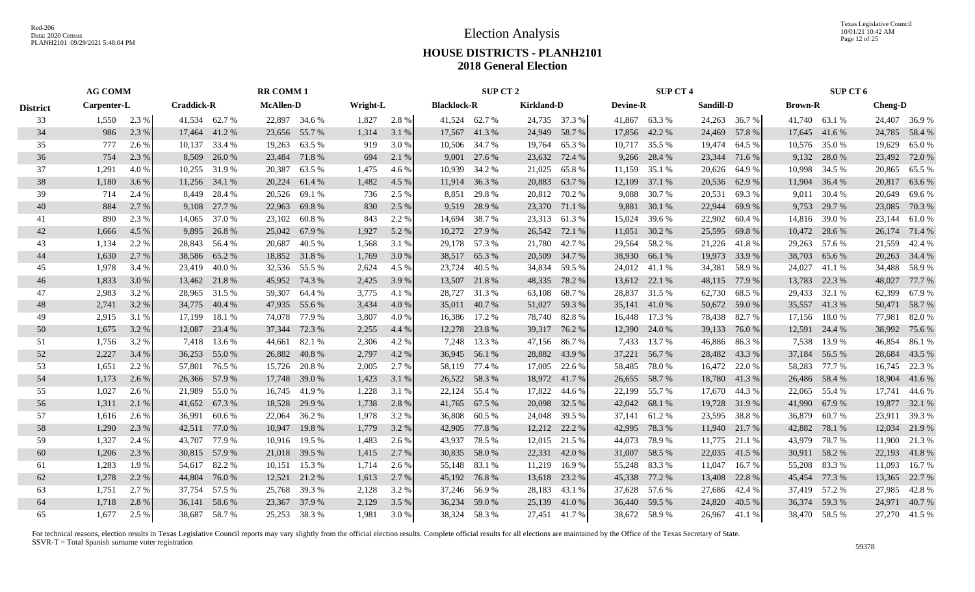Texas Legislative Council 10/01/21 10:42 AM Page 12 of 25

# **HOUSE DISTRICTS - PLANH2101 2018 General Election**

|                 | <b>AG COMM</b> |       |                   |               | <b>RR COMM1</b>  |               |          |       |                    | SUP CT 2      |                   |               |                 | <b>SUP CT 4</b> |               |               |                | SUP CT 6 |                |               |
|-----------------|----------------|-------|-------------------|---------------|------------------|---------------|----------|-------|--------------------|---------------|-------------------|---------------|-----------------|-----------------|---------------|---------------|----------------|----------|----------------|---------------|
| <b>District</b> | Carpenter-L    |       | <b>Craddick-R</b> |               | <b>McAllen-D</b> |               | Wright-L |       | <b>Blacklock-R</b> |               | <b>Kirkland-D</b> |               | <b>Devine-R</b> |                 | Sandill-D     |               | <b>Brown-R</b> |          | <b>Cheng-D</b> |               |
| 33              | 1,550          | 2.3 % |                   | 41,534 62.7 % |                  | 22,897 34.6 % | 1,827    | 2.8 % |                    | 41,524 62.7 % |                   | 24,735 37.3 % |                 | 41,867 63.3 %   |               | 24,263 36.7 % | 41,740 63.1 %  |          |                | 24,407 36.9 % |
| 34              | 986            | 2.3 % |                   | 17,464 41.2 % |                  | 23,656 55.7 % | 1,314    | 3.1 % |                    | 17,567 41.3 % |                   | 24,949 58.7 % |                 | 17,856 42.2 %   |               | 24,469 57.8 % | 17,645 41.6 %  |          |                | 24,785 58.4 % |
| 35              | 777            | 2.6 % | 10,137            | 33.4 %        | 19,263           | 63.5 %        | 919      | 3.0 % |                    | 10,506 34.7 % | 19,764            | 65.3%         |                 | 10,717 35.5 %   |               | 19,474 64.5 % | 10,576 35.0 %  |          |                | 19,629 65.0 % |
| 36              | 754            | 2.3 % | 8,509             | 26.0%         | 23,484           | 71.8%         | 694      | 2.1 % |                    | 9,001 27.6 %  | 23,632            | 72.4 %        | 9,266           | 28.4 %          | 23,344        | 71.6 %        | 9,132          | 28.0 %   |                | 23,492 72.0 % |
| 37              | 1,291          | 4.0%  | 10,255            | 31.9%         | 20,387           | 63.5 %        | 1,475    | 4.6 % |                    | 10,939 34.2 % | 21,025            | 65.8%         | 11,159          | 35.1 %          | 20,626        | 64.9%         | 10,998         | 34.5 %   | 20,865         | 65.5 %        |
| 38              | 1,180          | 3.6 % | 11,256            | 34.1 %        | 20,224           | 61.4 %        | 1,482    | 4.5 % |                    | 11,914 36.3 % | 20,883            | 63.7%         | 12,109          | 37.1 %          | 20,536        | 62.9 %        | 11,904         | 36.4 %   |                | 20,817 63.6 % |
| 39              | 714            | 2.4 % | 8.449             | 28.4 %        | 20,526           | 69.1 %        | 736      | 2.5 % | 8,851              | 29.8%         |                   | 20,812 70.2 % | 9,088           | 30.7 %          | 20,531        | 69.3%         | 9,011          | 30.4 %   |                | 20,649 69.6 % |
| 40              | 884            | 2.7 % | 9,108             | 27.7 %        | 22,963           | 69.8%         | 830      | 2.5 % |                    | 9,519 28.9 %  |                   | 23,370 71.1 % | 9,881           | 30.1 %          | 22,944        | 69.9%         | 9,753          | 29.7 %   | 23,085         | 70.3 %        |
| 41              | 890            | 2.3 % | 14,065            | 37.0 %        | 23,102           | 60.8%         | 843      | 2.2 % | 14,694             | 38.7%         | 23,313            | 61.3%         | 15,024          | 39.6 %          | 22,902        | 60.4 %        | 14,816         | 39.0%    | 23,144         | 61.0 %        |
| 42              | 1,666          | 4.5 % | 9,895             | 26.8%         |                  | 25,042 67.9 % | 1,927    | 5.2 % |                    | 10,272 27.9 % | 26,542            | 72.1 %        | 11,051          | 30.2 %          | 25,595        | 69.8%         | 10,472         | 28.6 %   |                | 26,174 71.4 % |
| 43              | 1,134          | 2.2 % | 28,843            | 56.4 %        | 20,687           | 40.5 %        | 1,568    | 3.1 % |                    | 29,178 57.3 % | 21,780            | 42.7 %        |                 | 29,564 58.2 %   | 21,226        | 41.8 %        | 29,263 57.6 %  |          |                | 21,559 42.4 % |
| 44              | 1,630          | 2.7 % | 38,586            | 65.2 %        |                  | 18,852 31.8 % | 1,769    | 3.0 % |                    | 38,517 65.3 % |                   | 20,509 34.7 % |                 | 38,930 66.1 %   | 19,973        | 33.9%         | 38,703 65.6 %  |          |                | 20,263 34.4 % |
| 45              | 1,978          | 3.4 % | 23,419            | 40.0 %        |                  | 32,536 55.5 % | 2,624    | 4.5 % |                    | 23,724 40.5 % | 34,834            | 59.5 %        |                 | 24,012 41.1 %   | 34,381        | 58.9%         | 24,027         | 41.1 %   |                | 34,488 58.9 % |
| 46              | 1,833          | 3.0 % |                   | 13,462 21.8 % |                  | 45,952 74.3 % | 2,425    | 3.9 % |                    | 13,507 21.8 % | 48,335            | 78.2 %        |                 | 13,612 22.1 %   | 48,115        | 77.9 %        | 13,783         | 22.3 %   | 48,027         | 77.7 %        |
| 47              | 2,983          | 3.2 % |                   | 28,965 31.5 % |                  | 59,307 64.4 % | 3,775    | 4.1 % |                    | 28,727 31.3 % | 63,108            | 68.7 %        |                 | 28,837 31.5 %   | 62,730        | 68.5 %        | 29,433 32.1 %  |          |                | 62,399 67.9 % |
| 48              | 2,741          | 3.2 % | 34,775            | 40.4 %        |                  | 47,935 55.6 % | 3,434    | 4.0 % |                    | 35,011 40.7 % |                   | 51,027 59.3 % |                 | 35,141 41.0 %   | 50,672        | 59.0 %        | 35,557 41.3 %  |          |                | 50,471 58.7 % |
| 49              | 2,915          | 3.1 % | 17,199            | 18.1 %        | 74,078           | 77.9 %        | 3,807    | 4.0%  |                    | 16,386 17.2 % | 78,740            | 82.8%         | 16,448          | 17.3 %          | 78,438        | 82.7 %        | 17,156         | 18.0%    | 77,981         | 82.0%         |
| 50              | 1,675          | 3.2 % | 12,087            | 23.4 %        | 37,344           | 72.3 %        | 2,255    | 4.4 % |                    | 12,278 23.8 % |                   | 39,317 76.2 % |                 | 12,390 24.0 %   | 39,133        | 76.0%         | 12,591         | 24.4 %   |                | 38,992 75.6 % |
| 51              | 1,756          | 3.2 % | 7.418             | 13.6 %        | 44,661           | 82.1 %        | 2,306    | 4.2 % |                    | 7,248 13.3 %  |                   | 47,156 86.7 % | 7,433           | 13.7 %          | 46,886 86.3 % |               | 7,538          | 13.9 %   | 46,854         | 86.1 %        |
| 52              | 2,227          | 3.4 % | 36,253            | 55.0 %        | 26,882           | 40.8%         | 2,797    | 4.2 % |                    | 36,945 56.1 % | 28,882            | 43.9%         |                 | 37,221 56.7 %   |               | 28,482 43.3 % | 37,184 56.5 %  |          | 28,684         | 43.5 %        |
| 53              | 1,651          | 2.2 % | 57,801            | 76.5 %        | 15,726           | 20.8%         | 2,005    | 2.7 % |                    | 58,119 77.4 % | 17,005            | 22.6 %        | 58,485          | 78.0 %          |               | 16,472 22.0 % | 58,283         | 77.7 %   |                | 16,745 22.3 % |
| 54              | 1,173          | 2.6 % |                   | 26,366 57.9 % | 17,748           | 39.0 %        | 1,423    | 3.1 % |                    | 26,522 58.3 % | 18,972            | 41.7%         | 26,655          | 58.7%           |               | 18,780 41.3 % | 26,486         | 58.4 %   | 18,904         | 41.6 %        |
| 55              | 1,027          | 2.6 % | 21,989            | 55.0 %        |                  | 16,745 41.9 % | 1,228    | 3.1 % |                    | 22,124 55.4 % | 17,822            | 44.6 %        | 22,199          | 55.7 %          |               | 17,670 44.3 % | 22,065 55.4 %  |          |                | 17,741 44.6 % |
| 56              | 1,311          | 2.1 % | 41,652            | 67.3 %        | 18,528           | 29.9 %        | 1,738    | 2.8 % |                    | 41,765 67.5 % | 20,098            | 32.5 %        | 42,042          | 68.1 %          | 19,728        | 31.9 %        | 41,990 67.9 %  |          |                | 19,877 32.1 % |
| 57              | 1,616          | 2.6 % | 36,991            | 60.6 %        | 22,064           | 36.2 %        | 1,978    | 3.2 % | 36,808             | 60.5 %        | 24,048            | 39.5 %        | 37,141          | 61.2 %          | 23,595        | 38.8%         | 36,879         | 60.7%    | 23,911         | 39.3 %        |
| 58              | 1,290          | 2.3 % | 42,511            | 77.0 %        | 10,947           | 19.8%         | 1,779    | 3.2 % | 42,905             | 77.8 %        | 12,212            | 22.2 %        | 42,995          | 78.3 %          | 11,940        | 21.7 %        | 42,882         | 78.1 %   | 12,034         | 21.9 %        |
| 59              | 1,327          | 2.4 % | 43,707            | 77.9 %        | 10,916           | 19.5 %        | 1,483    | 2.6 % | 43,937 78.5 %      |               | 12,015            | 21.5 %        | 44,073          | 78.9 %          | 11,775        | 21.1 %        | 43,979         | 78.7%    |                | 11,900 21.3 % |
| 60              | 1,206          | 2.3 % | 30,815            | 57.9 %        |                  | 21,018 39.5 % | 1,415    | 2.7 % |                    | 30,835 58.0 % |                   | 22,331 42.0 % |                 | 31,007 58.5 %   | 22,035        | 41.5 %        | 30,911 58.2 %  |          |                | 22,193 41.8 % |
| 61              | 1,283          | 1.9%  | 54,617 82.2 %     |               | 10,151           | 15.3 %        | 1,714    | 2.6 % |                    | 55,148 83.1 % | 11,219            | 16.9 %        |                 | 55,248 83.3 %   | 11,047        | 16.7 %        | 55,208 83.3 %  |          | 11,093         | 16.7 %        |
| 62              | 1,278          | 2.2 % | 44,804            | 76.0 %        |                  | 12,521 21.2 % | 1,613    | 2.7 % |                    | 45,192 76.8 % |                   | 13,618 23.2 % |                 | 45,338 77.2 %   | 13,408        | 22.8 %        | 45,454 77.3 %  |          | 13,365         | 22.7 %        |
| 63              | 1,751          | 2.7 % |                   | 37,754 57.5 % |                  | 25,768 39.3 % | 2,128    | 3.2 % | 37,246 56.9 %      |               | 28,183            | 43.1 %        |                 | 37,628 57.6 %   | 27,686        | 42.4 %        | 37,419 57.2 %  |          | 27,985         | 42.8%         |
| 64              | 1,718          | 2.8%  | 36,141 58.6 %     |               |                  | 23,367 37.9 % | 2,129    | 3.5 % |                    | 36,234 59.0 % |                   | 25,139 41.0 % |                 | 36,440 59.5 %   | 24,820        | 40.5 %        | 36,374 59.3 %  |          | 24,971         | 40.7%         |
| 65              | 1.677          | 2.5 % |                   | 38,687 58.7%  |                  | 25,253 38.3 % | 1.981    | 3.0 % |                    | 38,324 58.3 % |                   | 27.451 41.7 % |                 | 38.672 58.9 %   | 26,967        | 41.1 %        | 38.470 58.5 %  |          |                | 27.270 41.5 % |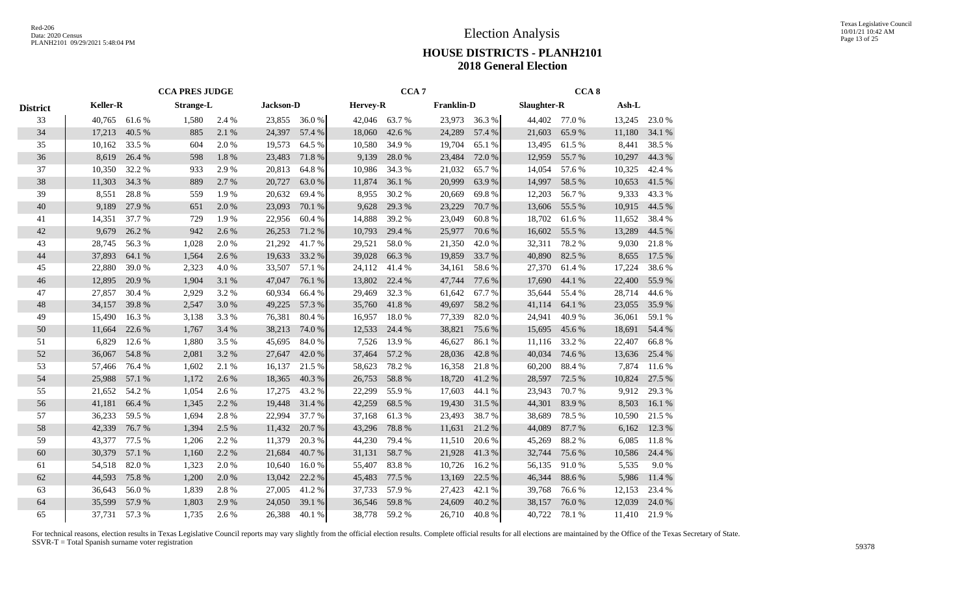|                 |                 |               | <b>CCA PRES JUDGE</b> |       |                  |        |                 | CCA <sub>7</sub> |                   |        |             | CCA <sub>8</sub> |        |        |
|-----------------|-----------------|---------------|-----------------------|-------|------------------|--------|-----------------|------------------|-------------------|--------|-------------|------------------|--------|--------|
| <b>District</b> | <b>Keller-R</b> |               | <b>Strange-L</b>      |       | <b>Jackson-D</b> |        | <b>Hervey-R</b> |                  | <b>Franklin-D</b> |        | Slaughter-R |                  | Ash-L  |        |
| 33              | 40,765          | 61.6%         | 1,580                 | 2.4 % | 23,855           | 36.0%  | 42,046          | 63.7%            | 23,973            | 36.3 % | 44,402      | 77.0 %           | 13,245 | 23.0%  |
| 34              | 17,213          | 40.5 %        | 885                   | 2.1 % | 24,397           | 57.4 % | 18,060          | 42.6 %           | 24,289            | 57.4 % | 21,603      | 65.9%            | 11,180 | 34.1 % |
| 35              | 10,162          | 33.5 %        | 604                   | 2.0 % | 19,573           | 64.5 % | 10,580          | 34.9%            | 19,704            | 65.1 % | 13,495      | 61.5%            | 8,441  | 38.5%  |
| 36              | 8,619           | 26.4 %        | 598                   | 1.8%  | 23,483           | 71.8%  | 9,139           | 28.0%            | 23,484            | 72.0 % | 12,959      | 55.7%            | 10,297 | 44.3%  |
| 37              | 10,350          | 32.2 %        | 933                   | 2.9%  | 20,813           | 64.8%  | 10,986          | 34.3 %           | 21,032            | 65.7%  | 14,054      | 57.6 %           | 10,325 | 42.4 % |
| 38              | 11,303          | 34.3 %        | 889                   | 2.7 % | 20,727           | 63.0%  | 11,874          | 36.1 %           | 20,999            | 63.9%  | 14,997      | 58.5 %           | 10,653 | 41.5 % |
| 39              | 8,551           | 28.8%         | 559                   | 1.9 % | 20,632           | 69.4%  | 8,955           | 30.2 %           | 20,669            | 69.8%  | 12,203      | 56.7%            | 9,333  | 43.3 % |
| $40\,$          | 9,189           | 27.9 %        | 651                   | 2.0%  | 23,093           | 70.1 % | 9,628           | 29.3 %           | 23,229            | 70.7%  | 13,606      | 55.5 %           | 10,915 | 44.5 % |
| 41              | 14,351          | 37.7 %        | 729                   | 1.9%  | 22,956           | 60.4%  | 14,888          | 39.2%            | 23,049            | 60.8%  | 18,702      | 61.6%            | 11,652 | 38.4%  |
| 42              | 9,679           | 26.2%         | 942                   | 2.6 % | 26,253           | 71.2 % | 10,793          | 29.4 %           | 25,977            | 70.6%  | 16,602      | 55.5 %           | 13,289 | 44.5 % |
| 43              | 28,745          | 56.3%         | 1,028                 | 2.0%  | 21,292           | 41.7%  | 29,521          | 58.0%            | 21,350            | 42.0%  | 32,311      | 78.2%            | 9,030  | 21.8%  |
| 44              | 37,893          | 64.1 %        | 1,564                 | 2.6 % | 19,633           | 33.2 % | 39,028          | 66.3%            | 19,859            | 33.7%  | 40,890      | 82.5 %           | 8,655  | 17.5 % |
| 45              | 22,880          | 39.0%         | 2,323                 | 4.0 % | 33,507           | 57.1 % | 24,112          | 41.4 %           | 34,161            | 58.6%  | 27,370      | 61.4%            | 17,224 | 38.6%  |
| 46              | 12,895          | 20.9%         | 1,904                 | 3.1 % | 47,047           | 76.1 % | 13,802          | 22.4 %           | 47,744            | 77.6 % | 17,690      | 44.1 %           | 22,400 | 55.9%  |
| 47              | 27,857          | 30.4 %        | 2,929                 | 3.2 % | 60,934           | 66.4 % | 29,469          | 32.3 %           | 61,642            | 67.7%  | 35,644      | 55.4 %           | 28,714 | 44.6 % |
| 48              | 34,157          | 39.8%         | 2,547                 | 3.0%  | 49,225           | 57.3 % | 35,760          | 41.8%            | 49,697            | 58.2%  | 41,114      | 64.1 %           | 23,055 | 35.9%  |
| 49              | 15,490          | 16.3%         | 3,138                 | 3.3 % | 76,381           | 80.4%  | 16,957          | 18.0%            | 77,339            | 82.0%  | 24,941      | 40.9%            | 36,061 | 59.1 % |
| 50              | 11,664          | 22.6 %        | 1,767                 | 3.4 % | 38,213           | 74.0%  | 12,533          | 24.4 %           | 38,821            | 75.6%  | 15,695      | 45.6 %           | 18,691 | 54.4 % |
| 51              | 6,829           | 12.6 %        | 1,880                 | 3.5 % | 45,695           | 84.0%  | 7,526           | 13.9%            | 46,627            | 86.1%  | 11,116      | 33.2%            | 22,407 | 66.8%  |
| 52              | 36,067          | 54.8%         | 2,081                 | 3.2 % | 27,647           | 42.0 % | 37,464          | 57.2 %           | 28,036            | 42.8%  | 40,034      | 74.6 %           | 13,636 | 25.4 % |
| 53              | 57,466          | 76.4 %        | 1,602                 | 2.1 % | 16,137           | 21.5 % | 58,623          | 78.2 %           | 16,358            | 21.8%  | 60,200      | 88.4%            | 7,874  | 11.6 % |
| 54              | 25,988          | 57.1 %        | 1,172                 | 2.6 % | 18,365           | 40.3%  | 26,753          | 58.8%            | 18,720            | 41.2%  | 28,597      | 72.5 %           | 10,824 | 27.5 % |
| 55              | 21,652          | 54.2 %        | 1,054                 | 2.6 % | 17,275           | 43.2%  | 22,299          | 55.9%            | 17,603            | 44.1 % | 23,943      | 70.7%            | 9,912  | 29.3%  |
| 56              | 41,181          | 66.4 %        | 1,345                 | 2.2 % | 19,448           | 31.4 % | 42,259          | 68.5 %           | 19,430            | 31.5 % | 44,301      | 83.9%            | 8,503  | 16.1%  |
| 57              | 36,233          | 59.5 %        | 1,694                 | 2.8%  | 22,994           | 37.7 % | 37,168          | 61.3%            | 23,493            | 38.7%  | 38,689      | 78.5%            | 10,590 | 21.5 % |
| 58              | 42,339          | 76.7%         | 1,394                 | 2.5 % | 11,432           | 20.7%  | 43,296          | 78.8%            | 11,631            | 21.2%  | 44,089      | 87.7%            | 6,162  | 12.3 % |
| 59              | 43,377          | 77.5 %        | 1,206                 | 2.2 % | 11,379           | 20.3 % | 44,230          | 79.4 %           | 11,510            | 20.6 % | 45,269      | 88.2%            | 6,085  | 11.8%  |
| 60              | 30,379          | 57.1 %        | 1,160                 | 2.2 % | 21,684           | 40.7%  | 31,131          | 58.7%            | 21,928            | 41.3%  | 32,744      | 75.6 %           | 10,586 | 24.4 % |
| 61              | 54,518          | 82.0%         | 1,323                 | 2.0 % | 10,640           | 16.0%  | 55,407          | 83.8%            | 10,726            | 16.2 % | 56,135      | 91.0%            | 5,535  | 9.0%   |
| 62              | 44,593          | 75.8%         | 1,200                 | 2.0 % | 13,042           | 22.2 % | 45,483          | 77.5 %           | 13,169            | 22.5 % | 46,344      | 88.6%            | 5,986  | 11.4 % |
| 63              | 36,643          | 56.0%         | 1,839                 | 2.8%  | 27,005           | 41.2%  | 37,733          | 57.9%            | 27,423            | 42.1 % | 39,768      | 76.6%            | 12,153 | 23.4 % |
| 64              | 35,599          | 57.9%         | 1,803                 | 2.9%  | 24,050           | 39.1 % | 36,546          | 59.8%            | 24,609            | 40.2 % | 38,157      | 76.0%            | 12,039 | 24.0%  |
| 65              |                 | 37,731 57.3 % | 1,735                 | 2.6 % | 26,388           | 40.1 % | 38,778          | 59.2 %           | 26,710            | 40.8%  | 40,722      | 78.1 %           | 11,410 | 21.9%  |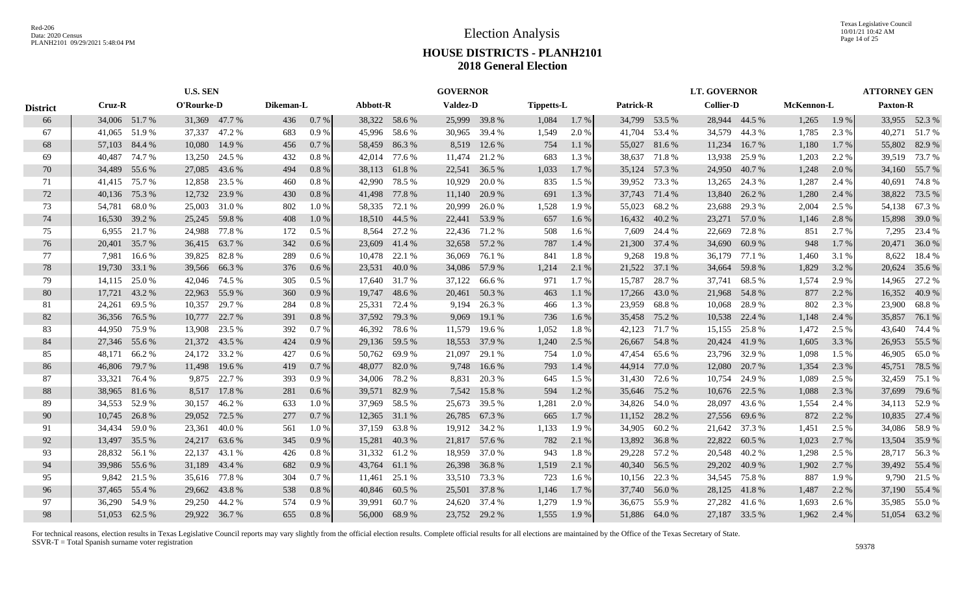Texas Legislative Council 10/01/21 10:42 AM Page 14 of 25

# **HOUSE DISTRICTS - PLANH2101 2018 General Election**

|                 |               |               | <b>U.S. SEN</b> |               |           |          |               |               | <b>GOVERNOR</b> |               |                   |       |           |               | <b>LT. GOVERNOR</b> |               |            |       | <b>ATTORNEY GEN</b> |        |
|-----------------|---------------|---------------|-----------------|---------------|-----------|----------|---------------|---------------|-----------------|---------------|-------------------|-------|-----------|---------------|---------------------|---------------|------------|-------|---------------------|--------|
| <b>District</b> | Cruz-R        |               | O'Rourke-D      |               | Dikeman-L |          | Abbott-R      |               | <b>Valdez-D</b> |               | <b>Tippetts-L</b> |       | Patrick-R |               | <b>Collier-D</b>    |               | McKennon-L |       | <b>Paxton-R</b>     |        |
| 66              |               | 34,006 51.7 % | 31,369 47.7 %   |               | 436       | 0.7 %    |               | 38,322 58.6 % |                 | 25,999 39.8 % | 1,084             | 1.7 % |           | 34,799 53.5 % |                     | 28,944 44.5 % | 1,265      | 1.9 % | 33,955 52.3 %       |        |
| 67              |               | 41,065 51.9 % | 37,337          | 47.2 %        | 683       | 0.9%     | 45,996        | 58.6 %        |                 | 30,965 39.4 % | 1,549             | 2.0 % |           | 41,704 53.4 % | 34,579              | 44.3 %        | 1,785      | 2.3 % | 40,271 51.7 %       |        |
| 68              | 57,103 84.4 % |               | 10,080          | 14.9 %        | 456       | 0.7%     | 58,459        | 86.3%         | 8,519           | 12.6 %        | 754               | 1.1%  | 55,027    | 81.6 %        | 11,234              | 16.7 %        | 1,180      | 1.7%  | 55,802 82.9 %       |        |
| 69              | 40,487        | 74.7 %        | 13,250          | 24.5 %        | 432       | 0.8 %    | 42,014        | 77.6 %        | 11,474          | 21.2 %        | 683               | 1.3%  |           | 38,637 71.8 % | 13,938              | 25.9%         | 1,203      | 2.2 % | 39,519 73.7 %       |        |
| 70              |               | 34,489 55.6 % | 27,085          | 43.6 %        | 494       | 0.8%     | 38,113        | 61.8%         |                 | 22,541 36.5 % | 1,033             | 1.7 % |           | 35,124 57.3 % | 24,950              | 40.7%         | 1,248      | 2.0 % | 34,160 55.7%        |        |
| 71              |               | 41,415 75.7 % | 12,858          | 23.5 %        | 460       | 0.8%     | 42,990        | 78.5 %        | 10,929          | 20.0%         | 835               | 1.5 % | 39,952    | 73.3 %        | 13,265              | 24.3 %        | 1,287      | 2.4 % | 40,691 74.8 %       |        |
| 72              |               | 40,136 75.3 % | 12,732          | 23.9 %        | 430       | 0.8%     |               | 41,498 77.8 % | 11,140          | 20.9 %        | 691               | 1.3 % | 37,743    | 71.4 %        | 13,840              | 26.2 %        | 1,280      | 2.4 % | 38,822              | 73.5 % |
| 73              | 54,781        | 68.0%         | 25,003          | 31.0 %        | 802       | 1.0%     | 58,335 72.1 % |               | 20,999          | 26.0%         | 1,528             | 1.9%  | 55,023    | 68.2 %        | 23,688              | 29.3 %        | 2,004      | 2.5 % | 54,138 67.3 %       |        |
| 74              | 16,530        | 39.2 %        | 25,245          | 59.8%         | 408       | 1.0%     |               | 18,510 44.5 % |                 | 22,441 53.9 % | 657               | 1.6 % |           | 16,432 40.2 % | 23,271              | 57.0 %        | 1,146      | 2.8%  | 15,898 39.0 %       |        |
| 75              | 6,955         | 21.7 %        | 24,988          | 77.8%         | 172       | $0.5 \%$ | 8,564         | 27.2 %        | 22,436          | 71.2 %        | 508               | 1.6 % | 7,609     | 24.4 %        | 22,669              | 72.8%         | 851        | 2.7 % | 7,295               | 23.4 % |
| 76              | 20,401        | 35.7 %        | 36,415          | 63.7 %        | 342       | $0.6\%$  | 23,609        | 41.4 %        |                 | 32,658 57.2 % | 787               | 1.4 % |           | 21,300 37.4 % | 34,690              | 60.9%         | 948        | 1.7%  | 20,471 36.0 %       |        |
| 77              | 7.981         | 16.6 %        | 39,825          | 82.8%         | 289       | $0.6\%$  | 10,478        | 22.1 %        | 36,069          | 76.1 %        | 841               | 1.8%  | 9,268     | 19.8%         | 36,179              | 77.1 %        | 1,460      | 3.1 % | 8,622               | 18.4 % |
| 78              |               | 19,730 33.1 % | 39,566          | 66.3%         | 376       | $0.6\%$  | 23,531        | 40.0 %        |                 | 34,086 57.9 % | 1,214             | 2.1 % |           | 21,522 37.1 % | 34,664              | 59.8%         | 1,829      | 3.2 % | 20,624 35.6 %       |        |
| 79              |               | 14,115 25.0 % | 42,046 74.5 %   |               | 305       | $0.5\%$  | 17,640        | 31.7 %        |                 | 37,122 66.6 % | 971               | 1.7%  | 15,787    | 28.7 %        | 37,741              | 68.5%         | 1,574      | 2.9 % | 14,965              | 27.2 % |
| 80              |               | 17,721 43.2 % |                 | 22,963 55.9 % | 360       | 0.9%     |               | 19,747 48.6 % |                 | 20,461 50.3 % | 463               | 1.1%  |           | 17,266 43.0 % | 21,968              | 54.8%         | 877        | 2.2 % | 16,352              | 40.9%  |
| -81             | 24,261        | 69.5 %        | 10,357          | 29.7 %        | 284       | 0.8 %    | 25,331        | 72.4 %        |                 | 9,194 26.3 %  | 466               | 1.3%  | 23,959    | 68.8 %        | 10,068              | 28.9%         | 802        | 2.3 % | 23,900 68.8%        |        |
| 82              |               | 36,356 76.5 % | 10,777          | 22.7 %        | 391       | 0.8%     | 37,592 79.3 % |               | 9,069           | 19.1 %        | 736               | 1.6 % |           | 35,458 75.2 % | 10,538              | 22.4 %        | 1,148      | 2.4 % | 35,857 76.1 %       |        |
| 83              | 44,950        | 75.9 %        | 13,908          | 23.5 %        | 392       | 0.7%     | 46,392        | 78.6 %        | 11,579          | 19.6 %        | 1,052             | 1.8%  | 42,123    | 71.7 %        | 15,155              | 25.8%         | 1,472      | 2.5 % | 43,640 74.4 %       |        |
| 84              | 27,346 55.6 % |               | 21,372          | 43.5 %        | 424       | 0.9%     | 29,136 59.5 % |               |                 | 18,553 37.9 % | 1,240             | 2.5 % | 26,667    | 54.8%         | 20,424              | 41.9%         | 1,605      | 3.3 % | 26,953 55.5 %       |        |
| 85              | 48,171        | 66.2%         | 24,172          | 33.2 %        | 427       | $0.6\%$  | 50,762 69.9 % |               | 21,097          | 29.1 %        | 754               | 1.0%  | 47,454    | 65.6 %        | 23,796              | 32.9 %        | 1,098      | 1.5 % | 46,905              | 65.0 % |
| 86              | 46,806        | 79.7 %        | 11,498          | 19.6 %        | 419       | 0.7%     | 48,077        | 82.0%         | 9,748           | 16.6%         | 793               | 1.4 % |           | 44,914 77.0 % | 12,080              | 20.7 %        | 1,354      | 2.3 % | 45,751              | 78.5 % |
| 87              | 33,321        | 76.4 %        | 9,875           | 22.7 %        | 393       | 0.9%     | 34,006        | 78.2 %        | 8,831           | 20.3 %        | 645               | 1.5 % | 31,430    | 72.6 %        | 10,754              | 24.9%         | 1,089      | 2.5 % | 32,459              | 75.1 % |
| 88              |               | 38,965 81.6 % | 8,517           | 17.8 %        | 281       | 0.6%     | 39,571 82.9 % |               |                 | 7,542 15.8 %  | 594               | 1.2%  |           | 35,646 75.2 % | 10,676              | 22.5 %        | 1,088      | 2.3 % | 37,699 79.6 %       |        |
| -89             |               | 34,553 52.9 % | 30,157          | 46.2%         | 633       | 1.0%     | 37,969 58.5 % |               |                 | 25,673 39.5 % | 1,281             | 2.0 % |           | 34,826 54.0 % | 28,097              | 43.6 %        | 1,554      | 2.4 % | 34,113 52.9 %       |        |
| 90              |               | 10,745 26.8 % | 29,052          | 72.5 %        | 277       | 0.7%     | 12,365        | 31.1 %        |                 | 26,785 67.3 % | 665               | 1.7 % |           | 11,152 28.2 % | 27,556              | 69.6 %        | 872        | 2.2 % | 10,835 27.4 %       |        |
| 91              | 34,434        | 59.0%         | 23,361          | 40.0%         | 561       | 1.0%     | 37,159        | 63.8%         |                 | 19,912 34.2 % | 1,133             | 1.9%  | 34,905    | 60.2%         | 21,642              | 37.3 %        | 1,451      | 2.5 % | 34,086 58.9 %       |        |
| 92              | 13,497        | 35.5 %        | 24,217          | 63.6 %        | 345       | 0.9%     | 15,281        | 40.3%         |                 | 21,817 57.6 % | 782               | 2.1 % | 13,892    | 36.8%         | 22,822              | 60.5 %        | 1,023      | 2.7 % | 13,504 35.9 %       |        |
| 93              | 28,832        | 56.1 %        | 22,137          | 43.1 %        | 426       | 0.8 %    | 31,332        | 61.2%         | 18,959          | 37.0 %        | 943               | 1.8%  |           | 29,228 57.2 % | 20,548              | 40.2 %        | 1,298      | 2.5 % | 28,717 56.3 %       |        |
| 94              |               | 39,986 55.6 % | 31,189          | 43.4 %        | 682       | 0.9%     | 43,764        | 61.1 %        | 26,398          | 36.8%         | 1,519             | 2.1 % |           | 40,340 56.5 % | 29,202              | 40.9%         | 1,902      | 2.7 % | 39,492 55.4 %       |        |
| 95              |               | 9,842 21.5 %  |                 | 35,616 77.8 % | 304       | 0.7%     | 11,461        | 25.1 %        |                 | 33,510 73.3 % | 723               | 1.6 % |           | 10,156 22.3 % | 34,545              | 75.8%         | 887        | 1.9%  | 9,790 21.5 %        |        |
| 96              |               | 37,465 55.4 % | 29,662          | 43.8%         | 538       | 0.8%     | 40,846        | 60.5 %        |                 | 25,501 37.8 % | 1,146             | 1.7 % |           | 37,740 56.0 % | 28,125              | 41.8%         | 1,487      | 2.2 % | 37,190 55.4 %       |        |
| 97              | 36.290        | 54.9 %        |                 | 29,250 44.2 % | 574       | 0.9%     | 39,991        | 60.7 %        |                 | 24,620 37.4 % | 1,279             | 1.9%  |           | 36,675 55.9 % | 27,282              | 41.6 %        | 1,693      | 2.6 % | 35,985 55.0 %       |        |
| 98              |               | 51,053 62.5 % |                 | 29,922 36.7 % | 655       | 0.8%     |               | 56,000 68.9 % |                 | 23,752 29.2 % | 1,555             | 1.9 % |           | 51,886 64.0 % |                     | 27,187 33.5 % | 1,962      | 2.4 % | 51,054 63.2 %       |        |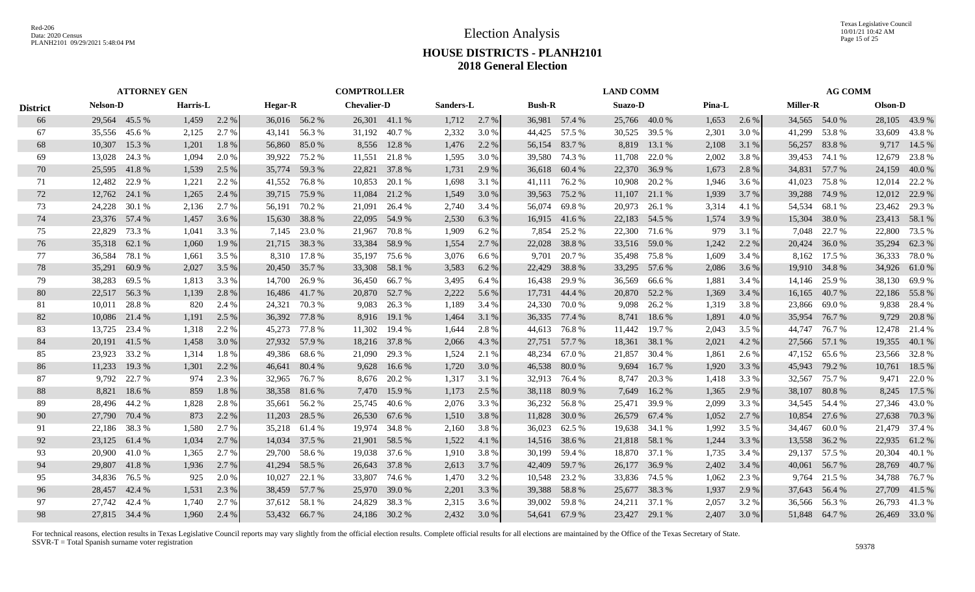Texas Legislative Council 10/01/21 10:42 AM Page 15 of 25

# **HOUSE DISTRICTS - PLANH2101 2018 General Election**

|                 |                 | <b>ATTORNEY GEN</b> |          |       |                |               | <b>COMPTROLLER</b> |               |           |       |               |               | <b>LAND COMM</b> |               |        |       |                 | <b>AG COMM</b> |         |               |
|-----------------|-----------------|---------------------|----------|-------|----------------|---------------|--------------------|---------------|-----------|-------|---------------|---------------|------------------|---------------|--------|-------|-----------------|----------------|---------|---------------|
| <b>District</b> | <b>Nelson-D</b> |                     | Harris-L |       | <b>Hegar-R</b> |               | <b>Chevalier-D</b> |               | Sanders-L |       | <b>Bush-R</b> |               | Suazo-D          |               | Pina-L |       | <b>Miller-R</b> |                | Olson-D |               |
| 66              | 29,564 45.5 %   |                     | 1,459    | 2.2 % | 36,016 56.2 %  |               |                    | 26,301 41.1 % | 1,712     | 2.7 % |               | 36,981 57.4 % |                  | 25,766 40.0 % | 1,653  | 2.6 % | 34,565 54.0 %   |                |         | 28,105 43.9 % |
| 67              |                 | 35,556 45.6 %       | 2,125    | 2.7 % |                | 43,141 56.3 % | 31,192             | 40.7 %        | 2,332     | 3.0 % | 44,425        | 57.5 %        | 30,525           | 39.5 %        | 2,301  | 3.0 % | 41,299          | 53.8%          | 33,609  | 43.8%         |
| 68              | 10,307          | 15.3 %              | 1,201    | 1.8%  | 56,860 85.0 %  |               | 8,556              | 12.8%         | 1,476     | 2.2 % | 56,154        | 83.7 %        | 8,819            | 13.1 %        | 2,108  | 3.1 % | 56,257          | 83.8%          |         | 9,717 14.5 %  |
| 69              | 13,028 24.3 %   |                     | 1,094    | 2.0 % | 39,922 75.2 %  |               | 11,551             | 21.8%         | 1,595     | 3.0 % |               | 39,580 74.3 % | 11,708           | 22.0 %        | 2,002  | 3.8%  |                 | 39,453 74.1 %  | 12,679  | 23.8%         |
| 70              | 25,595          | 41.8%               | 1,539    | 2.5 % | 35,774         | 59.3 %        | 22,821             | 37.8%         | 1,731     | 2.9 % | 36,618        | 60.4 %        | 22,370           | 36.9%         | 1,673  | 2.8%  | 34,831          | 57.7 %         | 24,159  | 40.0 %        |
| 71              | 12,482          | 22.9 %              | 1,221    | 2.2 % | 41,552         | 76.8 %        | 10,853             | 20.1 %        | 1,698     | 3.1 % | 41,111        | 76.2 %        | 10,908           | 20.2 %        | 1,946  | 3.6 % | 41,023          | 75.8%          | 12,014  | 22.2 %        |
| 72              | 12,762          | 24.1 %              | 1,265    | 2.4 % | 39,715 75.9 %  |               | 11,084             | 21.2 %        | 1,549     | 3.0 % | 39,563        | 75.2 %        | 11,107           | 21.1 %        | 1,939  | 3.7 % | 39,288          | 74.9 %         |         | 12,012 22.9 % |
| 73              | 24,228          | 30.1 %              | 2,136    | 2.7%  | 56,191 70.2 %  |               | 21,091             | 26.4 %        | 2,740     | 3.4 % | 56,074        | 69.8%         | 20,973           | 26.1 %        | 3,314  | 4.1 % |                 | 54,534 68.1 %  |         | 23,462 29.3 % |
| 74              | 23,376 57.4 %   |                     | 1,457    | 3.6 % | 15,630         | 38.8%         | 22,095             | 54.9 %        | 2,530     | 6.3%  |               | 16,915 41.6 % |                  | 22,183 54.5 % | 1,574  | 3.9%  | 15,304          | 38.0%          |         | 23,413 58.1 % |
| 75              | 22,829          | 73.3 %              | 1,041    | 3.3 % | 7,145          | 23.0 %        | 21,967             | 70.8%         | 1,909     | 6.2%  | 7,854         | 25.2 %        |                  | 22,300 71.6 % | 979    | 3.1 % | 7,048           | 22.7 %         | 22,800  | 73.5 %        |
| 76              | 35,318          | 62.1 %              | 1,060    | 1.9 % |                | 21,715 38.3 % | 33,384             | 58.9%         | 1,554     | 2.7 % | 22,028        | 38.8%         |                  | 33,516 59.0 % | 1,242  | 2.2 % | 20,424          | 36.0%          | 35,294  | 62.3%         |
| 77              | 36,584          | 78.1 %              | 1,661    | 3.5 % |                | 8,310 17.8 %  | 35,197             | 75.6 %        | 3,076     | 6.6%  | 9.701         | 20.7 %        |                  | 35,498 75.8 % | 1,609  | 3.4 % |                 | 8,162 17.5 %   |         | 36,333 78.0 % |
| 78              | 35,291          | 60.9%               | 2,027    | 3.5 % | 20,450 35.7 %  |               | 33,308             | 58.1 %        | 3,583     | 6.2 % | 22,429        | 38.8%         |                  | 33,295 57.6 % | 2,086  | 3.6 % |                 | 19,910 34.8 %  |         | 34,926 61.0 % |
| 79              | 38,283          | 69.5 %              | 1,813    | 3.3 % | 14,700 26.9 %  |               | 36,450             | 66.7 %        | 3,495     | 6.4 % | 16,438        | 29.9 %        |                  | 36,569 66.6 % | 1,881  | 3.4 % | 14,146          | 25.9 %         |         | 38,130 69.9 % |
| 80              | 22,517 56.3 %   |                     | 1,139    | 2.8 % |                | 16,486 41.7 % | 20,870 52.7 %      |               | 2,222     | 5.6 % |               | 17,731 44.4 % |                  | 20,870 52.2 % | 1,369  | 3.4 % |                 | 16,165 40.7 %  |         | 22,186 55.8 % |
| 81              | 10.011          | 28.8%               | 820      | 2.4 % | 24,321 70.3 %  |               |                    | 9,083 26.3 %  | 1,189     | 3.4 % |               | 24,330 70.0 % |                  | 9,098 26.2 %  | 1,319  | 3.8%  |                 | 23,866 69.0 %  |         | 9,838 28.4 %  |
| 82              |                 | 10,086 21.4 %       | 1,191    | 2.5 % | 36,392 77.8 %  |               |                    | 8,916 19.1 %  | 1,464     | 3.1 % | 36,335 77.4 % |               |                  | 8,741 18.6 %  | 1,891  | 4.0%  | 35,954          | 76.7 %         |         | 9,729 20.8 %  |
| 83              | 13.725          | 23.4 %              | 1,318    | 2.2 % | 45,273         | 77.8 %        | 11,302             | 19.4 %        | 1,644     | 2.8%  | 44,613        | 76.8%         | 11,442           | 19.7 %        | 2,043  | 3.5 % | 44,747          | 76.7 %         | 12,478  | 21.4 %        |
| 84              | 20,191 41.5 %   |                     | 1,458    | 3.0 % |                | 27,932 57.9 % |                    | 18,216 37.8 % | 2,066     | 4.3 % | 27,751 57.7 % |               | 18,361           | 38.1 %        | 2,021  | 4.2 % | 27,566          | 57.1 %         | 19,355  | 40.1 %        |
| 85              | 23,923          | 33.2 %              | 1,314    | 1.8%  | 49,386         | 68.6 %        | 21,090             | 29.3 %        | 1,524     | 2.1 % | 48,234        | 67.0 %        | 21,857           | 30.4 %        | 1,861  | 2.6 % | 47,152          | 65.6 %         |         | 23,566 32.8 % |
| 86              | 11,233          | 19.3 %              | 1,301    | 2.2 % | 46,641 80.4 %  |               | 9,628              | 16.6 %        | 1,720     | 3.0 % | 46,538        | 80.0%         | 9,694            | 16.7 %        | 1,920  | 3.3 % | 45,943          | 79.2 %         | 10,761  | 18.5 %        |
| 87              |                 | 9,792 22.7 %        | 974      | 2.3 % | 32,965         | 76.7 %        | 8,676              | 20.2 %        | 1,317     | 3.1 % | 32,913        | 76.4 %        | 8,747            | 20.3 %        | 1,418  | 3.3 % | 32,567          | 75.7 %         | 9,471   | 22.0 %        |
| 88              | 8,821           | 18.6 %              | 859      | 1.8%  | 38,358 81.6 %  |               | 7,470              | 15.9 %        | 1,173     | 2.5 % | 38,118 80.9 % |               | 7,649            | 16.2 %        | 1,365  | 2.9 % | 38,107          | 80.8%          | 8,245   | 17.5 %        |
| 89              | 28,496 44.2 %   |                     | 1,828    | 2.8 % | 35,661 56.2 %  |               | 25,745             | 40.6 %        | 2,076     | 3.3 % |               | 36,232 56.8 % | 25,471           | 39.9 %        | 2,099  | 3.3 % | 34,545 54.4 %   |                |         | 27,346 43.0 % |
| 90              | 27,790 70.4 %   |                     | 873      | 2.2 % |                | 11,203 28.5 % | 26,530             | 67.6 %        | 1,510     | 3.8%  | 11,828        | 30.0 %        |                  | 26,579 67.4 % | 1,052  | 2.7 % |                 | 10,854 27.6 %  |         | 27,638 70.3 % |
| 91              | 22,186 38.3 %   |                     | 1.580    | 2.7 % | 35,218         | 61.4 %        | 19.974             | 34.8 %        | 2,160     | 3.8%  |               | 36,023 62.5 % |                  | 19,638 34.1 % | 1,992  | 3.5 % | 34.467          | 60.0%          |         | 21,479 37.4 % |
| 92              | 23,125          | 61.4 %              | 1,034    | 2.7 % | 14,034         | 37.5 %        | 21,901             | 58.5 %        | 1,522     | 4.1 % | 14,516        | 38.6 %        | 21,818           | 58.1 %        | 1,244  | 3.3 % | 13,558          | 36.2 %         | 22,935  | 61.2%         |
| 93              | 20,900          | 41.0 %              | 1,365    | 2.7 % | 29,700         | 58.6%         | 19,038             | 37.6 %        | 1,910     | 3.8%  | 30,199        | 59.4 %        |                  | 18,870 37.1 % | 1,735  | 3.4 % | 29,137          | 57.5 %         | 20,304  | 40.1 %        |
| 94              | 29,807 41.8 %   |                     | 1,936    | 2.7 % | 41,294         | 58.5 %        | 26,643             | 37.8 %        | 2,613     | 3.7 % | 42,409        | 59.7 %        | 26,177           | 36.9 %        | 2,402  | 3.4 % | 40,061          | 56.7 %         | 28,769  | 40.7 %        |
| 95              | 34,836 76.5 %   |                     | 925      | 2.0 % | 10,027         | 22.1 %        | 33,807             | 74.6 %        | 1,470     | 3.2 % | 10,548        | 23.2 %        |                  | 33,836 74.5 % | 1,062  | 2.3 % |                 | 9,764 21.5 %   |         | 34,788 76.7 % |
| 96              | 28,457          | 42.4 %              | 1,531    | 2.3 % | 38,459 57.7 %  |               | 25,970             | 39.0 %        | 2,201     | 3.3 % | 39,388        | 58.8%         |                  | 25,677 38.3 % | 1,937  | 2.9 % | 37,643 56.4 %   |                |         | 27,709 41.5 % |
| 97              | 27,742          | 42.4 %              | 1,740    | 2.7 % | 37,612 58.1 %  |               | 24,829             | 38.3 %        | 2,315     | 3.6 % | 39,002        | 59.8%         |                  | 24,211 37.1 % | 2,057  | 3.2 % |                 | 36,566 56.3 %  |         | 26,793 41.3%  |
| 98              | 27,815 34.4 %   |                     | 1.960    | 2.4 % | 53,432 66.7 %  |               | 24,186 30.2 %      |               | 2,432     | 3.0 % | 54,641 67.9 % |               |                  | 23,427 29.1 % | 2,407  | 3.0 % | 51,848 64.7 %   |                |         | 26,469 33.0 % |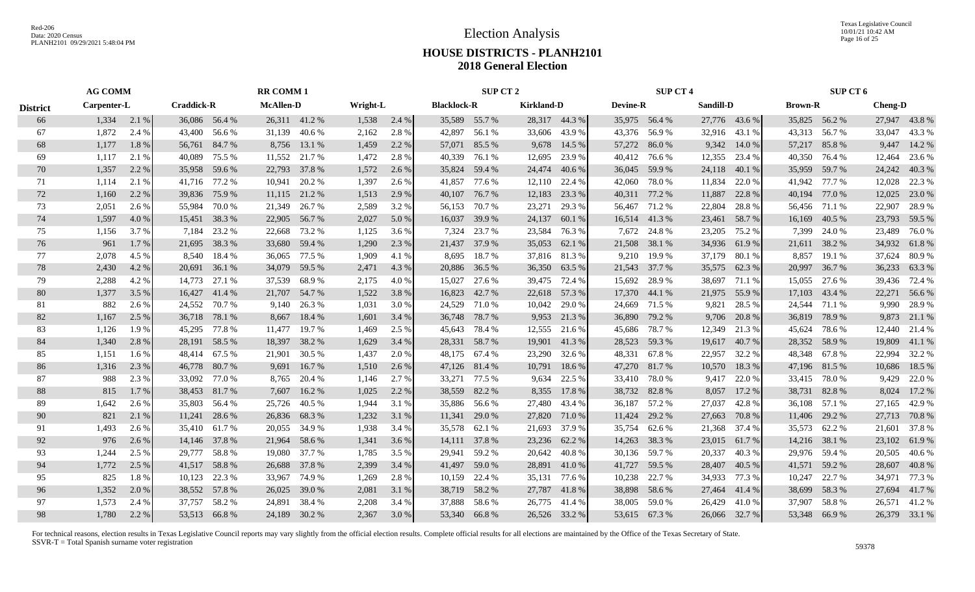Texas Legislative Council 10/01/21 10:42 AM Page 16 of 25

# **HOUSE DISTRICTS - PLANH2101 2018 General Election**

|                 | <b>AG COMM</b><br>Carpenter-L |       |                   |               | <b>RR COMM1</b>  |               |          |       |                    | SUP CT 2      |                   |               |                 | <b>SUP CT 4</b> |           |               |                | SUP CT 6      |                |               |
|-----------------|-------------------------------|-------|-------------------|---------------|------------------|---------------|----------|-------|--------------------|---------------|-------------------|---------------|-----------------|-----------------|-----------|---------------|----------------|---------------|----------------|---------------|
| <b>District</b> |                               |       | <b>Craddick-R</b> |               | <b>McAllen-D</b> |               | Wright-L |       | <b>Blacklock-R</b> |               | <b>Kirkland-D</b> |               | <b>Devine-R</b> |                 | Sandill-D |               | <b>Brown-R</b> |               | <b>Cheng-D</b> |               |
| 66              | 1,334                         | 2.1 % |                   | 36,086 56.4 % |                  | 26,311 41.2 % | 1,538    | 2.4%  |                    | 35,589 55.7 % |                   | 28,317 44.3 % |                 | 35,975 56.4 %   |           | 27,776 43.6 % |                | 35,825 56.2 % |                | 27,947 43.8%  |
| 67              | 1,872                         | 2.4 % | 43,400            | 56.6 %        | 31,139           | 40.6 %        | 2,162    | 2.8%  |                    | 42,897 56.1 % |                   | 33,606 43.9 % |                 | 43,376 56.9 %   | 32,916    | 43.1 %        | 43,313         | 56.7 %        | 33,047         | 43.3 %        |
| 68              | 1,177                         | 1.8%  | 56,761            | 84.7 %        |                  | 8,756 13.1 %  | 1,459    | 2.2 % |                    | 57,071 85.5 % | 9,678             | 14.5 %        | 57,272          | 86.0%           | 9,342     | 14.0 %        | 57,217         | 85.8%         | 9,447          | 14.2 %        |
| 69              | 1,117                         | 2.1 % | 40,089            | 75.5 %        |                  | 11,552 21.7 % | 1,472    | 2.8 % |                    | 40,339 76.1 % | 12,695            | 23.9 %        | 40,412          | 76.6 %          | 12,355    | 23.4 %        | 40,350         | 76.4 %        | 12,464         | 23.6 %        |
| 70              | 1,357                         | 2.2 % | 35,958            | 59.6 %        | 22,793           | 37.8%         | 1,572    | 2.6 % |                    | 35,824 59.4 % | 24,474            | 40.6 %        |                 | 36,045 59.9 %   | 24,118    | 40.1 %        | 35,959         | 59.7 %        |                | 24,242 40.3 % |
| 71              | 1,114                         | 2.1 % | 41,716            | 77.2 %        | 10.941           | 20.2 %        | 1,397    | 2.6 % | 41,857             | 77.6 %        | 12,110            | 22.4 %        | 42,060          | 78.0 %          | 11,834    | 22.0 %        | 41,942         | 77.7 %        | 12,028         | 22.3 %        |
| 72              | 1,160                         | 2.2 % | 39,836            | 75.9 %        |                  | 11,115 21.2 % | 1,513    | 2.9 % |                    | 40,107 76.7 % | 12,183            | 23.3 %        |                 | 40,311 77.2 %   | 11,887    | 22.8 %        | 40,194 77.0 %  |               | 12,025         | 23.0 %        |
| 73              | 2,051                         | 2.6 % | 55,984            | 70.0 %        | 21,349           | 26.7 %        | 2,589    | 3.2 % |                    | 56,153 70.7 % | 23,271            | 29.3 %        |                 | 56,467 71.2 %   | 22,804    | 28.8%         |                | 56,456 71.1 % |                | 22,907 28.9 % |
| 74              | 1,597                         | 4.0 % | 15,451            | 38.3 %        | 22,905           | 56.7 %        | 2,027    | 5.0 % |                    | 16,037 39.9 % | 24,137            | 60.1 %        |                 | 16,514 41.3 %   | 23,461    | 58.7%         | 16,169         | 40.5 %        |                | 23,793 59.5 % |
| 75              | 1,156                         | 3.7 % | 7,184             | 23.2 %        | 22,668           | 73.2 %        | 1,125    | 3.6 % | 7,324              | 23.7 %        | 23,584            | 76.3 %        | 7,672           | 24.8%           | 23,205    | 75.2 %        | 7,399          | 24.0 %        | 23,489         | 76.0 %        |
| 76              | 961                           | 1.7 % | 21,695            | 38.3 %        | 33,680           | 59.4 %        | 1,290    | 2.3 % |                    | 21,437 37.9 % | 35,053            | 62.1 %        | 21,508          | 38.1 %          |           | 34,936 61.9 % | 21,611         | 38.2 %        |                | 34,932 61.8 % |
| 77              | 2,078                         | 4.5 % | 8,540             | 18.4 %        | 36,065           | 77.5 %        | 1,909    | 4.1 % |                    | 8,695 18.7 %  |                   | 37,816 81.3 % | 9,210           | 19.9 %          | 37,179    | 80.1 %        | 8,857          | 19.1 %        | 37,624         | 80.9 %        |
| 78              | 2,430                         | 4.2 % |                   | 20,691 36.1 % | 34,079           | 59.5 %        | 2,471    | 4.3 % |                    | 20,886 36.5 % | 36,350            | 63.5 %        |                 | 21,543 37.7 %   | 35,575    | 62.3%         |                | 20,997 36.7 % |                | 36,233 63.3 % |
| 79              | 2,288                         | 4.2 % | 14,773            | 27.1 %        | 37,539           | 68.9%         | 2,175    | 4.0 % |                    | 15,027 27.6 % | 39,475 72.4 %     |               | 15,692          | 28.9 %          | 38,697    | 71.1 %        | 15,055         | 27.6 %        |                | 39,436 72.4 % |
| 80              | 1,377                         | 3.5 % |                   | 16,427 41.4 % |                  | 21,707 54.7 % | 1,522    | 3.8%  |                    | 16,823 42.7 % |                   | 22,618 57.3 % |                 | 17,370 44.1 %   | 21,975    | 55.9%         |                | 17,103 43.4 % | 22,271         | 56.6 %        |
| 81              | 882                           | 2.6 % | 24,552            | 70.7 %        | 9,140            | 26.3 %        | 1,031    | 3.0 % |                    | 24,529 71.0 % | 10,042            | 29.0 %        |                 | 24,669 71.5 %   | 9,821     | 28.5 %        |                | 24,544 71.1 % |                | 9,990 28.9 %  |
| 82              | 1,167                         | 2.5 % | 36,718            | 78.1 %        |                  | 8,667 18.4 %  | 1,601    | 3.4 % |                    | 36,748 78.7 % |                   | 9,953 21.3 %  |                 | 36,890 79.2 %   | 9,706     | 20.8 %        |                | 36,819 78.9 % |                | 9,873 21.1 %  |
| 83              | 1,126                         | 1.9 % | 45,295            | 77.8 %        | 11,477           | 19.7 %        | 1,469    | 2.5 % |                    | 45,643 78.4 % | 12,555            | 21.6 %        | 45,686          | 78.7 %          | 12,349    | 21.3 %        | 45,624         | 78.6 %        |                | 12,440 21.4 % |
| 84              | 1,340                         | 2.8 % | 28,191            | 58.5 %        | 18,397           | 38.2 %        | 1,629    | 3.4 % | 28,331             | 58.7 %        |                   | 19,901 41.3 % |                 | 28,523 59.3 %   | 19,617    | 40.7 %        | 28,352         | 58.9%         | 19,809         | 41.1 %        |
| 85              | 1,151                         | 1.6 % | 48,414            | 67.5 %        | 21,901           | 30.5 %        | 1,437    | 2.0 % |                    | 48,175 67.4 % | 23,290            | 32.6 %        | 48,331          | 67.8 %          | 22,957    | 32.2 %        |                | 48,348 67.8 % | 22,994         | 32.2 %        |
| 86              | 1,316                         | 2.3 % | 46,778            | 80.7%         | 9,691            | 16.7 %        | 1,510    | 2.6 % |                    | 47,126 81.4 % | 10,791            | 18.6 %        |                 | 47,270 81.7 %   | 10,570    | 18.3 %        | 47,196 81.5 %  |               | 10,686         | 18.5 %        |
| 87              | 988                           | 2.3 % | 33,092            | 77.0 %        | 8,765            | 20.4 %        | 1,146    | 2.7 % | 33,271             | 77.5 %        | 9,634             | 22.5 %        | 33,410          | 78.0 %          | 9,417     | 22.0 %        |                | 33,415 78.0 % |                | 9,429 22.0 %  |
| 88              | 815                           | 1.7%  | 38,453            | 81.7 %        | 7,607            | 16.2%         | 1,025    | 2.2 % |                    | 38,559 82.2 % | 8,355             | 17.8%         |                 | 38,732 82.8 %   | 8,057     | 17.2 %        | 38,731 82.8 %  |               | 8,024          | 17.2 %        |
| 89              | 1,642                         | 2.6 % | 35,803            | 56.4 %        | 25,726           | 40.5 %        | 1,944    | 3.1 % |                    | 35,886 56.6 % | 27,480            | 43.4 %        |                 | 36,187 57.2 %   | 27,037    | 42.8%         |                | 36,108 57.1 % |                | 27,165 42.9 % |
| 90              | 821                           | 2.1 % | 11,241            | 28.6 %        |                  | 26,836 68.3 % | 1,232    | 3.1 % |                    | 11,341 29.0 % | 27,820            | 71.0 %        | 11,424          | 29.2 %          | 27,663    | 70.8 %        | 11,406         | 29.2 %        |                | 27,713 70.8 % |
| 91              | 1,493                         | 2.6 % | 35,410            | 61.7 %        | 20,055           | 34.9 %        | 1,938    | 3.4 % |                    | 35,578 62.1 % | 21,693            | 37.9 %        | 35,754          | 62.6 %          | 21,368    | 37.4 %        |                | 35,573 62.2 % |                | 21,601 37.8 % |
| 92              | 976                           | 2.6 % | 14,146            | 37.8 %        | 21,964           | 58.6%         | 1,341    | 3.6 % | 14,111             | 37.8 %        | 23,236            | 62.2 %        | 14,263          | 38.3 %          | 23,015    | 61.7 %        | 14,216         | 38.1 %        | 23,102         | 61.9%         |
| 93              | 1,244                         | 2.5 % | 29,777            | 58.8%         | 19,080           | 37.7 %        | 1,785    | 3.5 % | 29,941             | 59.2 %        | 20,642            | 40.8%         | 30,136          | 59.7 %          | 20,337    | 40.3%         |                | 29,976 59.4 % | 20,505         | 40.6 %        |
| 94              | 1,772                         | 2.5 % | 41,517            | 58.8 %        | 26,688           | 37.8%         | 2,399    | 3.4 % |                    | 41,497 59.0 % | 28,891 41.0 %     |               | 41,727          | 59.5 %          | 28,407    | 40.5 %        | 41,571         | 59.2 %        | 28,607         | 40.8 %        |
| 95              | 825                           | 1.8%  | 10,123            | 22.3 %        | 33,967           | 74.9 %        | 1,269    | 2.8%  |                    | 10,159 22.4 % |                   | 35,131 77.6 % | 10,238          | 22.7 %          | 34,933    | 77.3 %        | 10,247         | 22.7 %        | 34,971         | 77.3 %        |
| 96              | 1,352                         | 2.0 % |                   | 38,552 57.8 % | 26,025           | 39.0 %        | 2,081    | 3.1 % |                    | 38,719 58.2 % |                   | 27,787 41.8%  |                 | 38,898 58.6 %   | 27,464    | 41.4 %        | 38,699         | 58.3 %        | 27,694         | 41.7 %        |
| 97              | 1,573                         | 2.4 % | 37,757            | 58.2 %        | 24,891           | 38.4 %        | 2,208    | 3.4 % |                    | 37,888 58.6 % | 26,775            | 41.4 %        |                 | 38,005 59.0 %   | 26,429    | 41.0%         | 37,907         | 58.8%         | 26,571         | 41.2%         |
| 98              | 1,780                         | 2.2 % |                   | 53,513 66.8%  |                  | 24,189 30.2 % | 2,367    | 3.0 % |                    | 53,340 66.8 % |                   | 26,526 33.2 % |                 | 53,615 67.3 %   |           | 26,066 32.7 % | 53,348 66.9 %  |               |                | 26,379 33.1 % |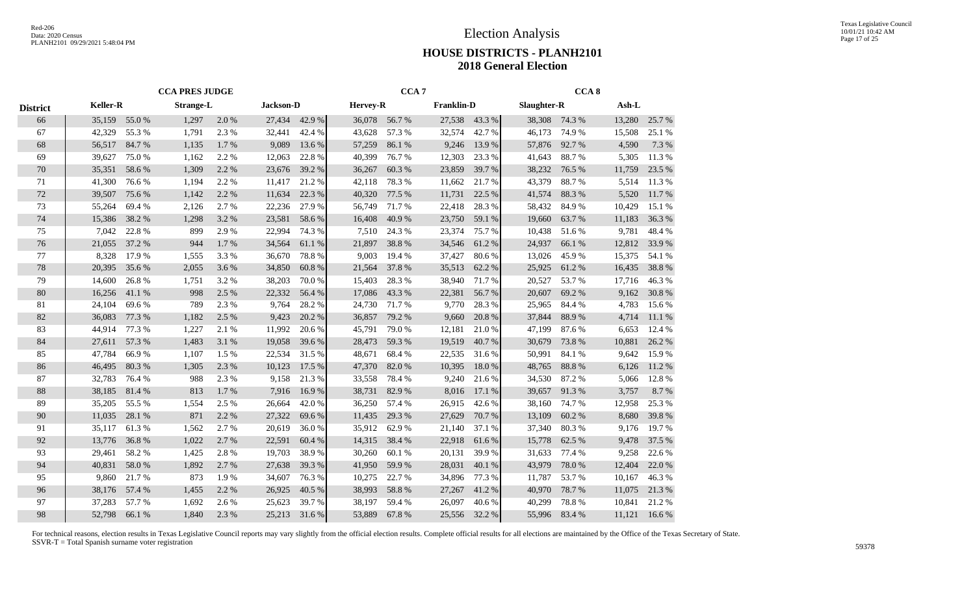|                 |                 |        | <b>CCA PRES JUDGE</b> |       |                  |        |                 | CCA <sub>7</sub> |                   |        |             | CCA <sub>8</sub> |        |        |
|-----------------|-----------------|--------|-----------------------|-------|------------------|--------|-----------------|------------------|-------------------|--------|-------------|------------------|--------|--------|
| <b>District</b> | <b>Keller-R</b> |        | <b>Strange-L</b>      |       | <b>Jackson-D</b> |        | <b>Hervey-R</b> |                  | <b>Franklin-D</b> |        | Slaughter-R |                  | Ash-L  |        |
| 66              | 35,159          | 55.0%  | 1,297                 | 2.0%  | 27,434           | 42.9%  | 36,078          | 56.7%            | 27,538            | 43.3 % | 38,308      | 74.3 %           | 13,280 | 25.7%  |
| 67              | 42,329          | 55.3%  | 1,791                 | 2.3%  | 32,441           | 42.4 % | 43,628          | 57.3 %           | 32,574            | 42.7%  | 46,173      | 74.9%            | 15,508 | 25.1 % |
| 68              | 56,517          | 84.7%  | 1,135                 | 1.7 % | 9,089            | 13.6 % | 57,259          | 86.1%            | 9,246             | 13.9 % | 57,876      | 92.7%            | 4,590  | 7.3 %  |
| 69              | 39,627          | 75.0%  | 1,162                 | 2.2 % | 12,063           | 22.8%  | 40,399          | 76.7%            | 12,303            | 23.3 % | 41,643      | 88.7%            | 5,305  | 11.3%  |
| 70              | 35,351          | 58.6%  | 1,309                 | 2.2 % | 23,676           | 39.2 % | 36,267          | 60.3%            | 23,859            | 39.7 % | 38,232      | 76.5 %           | 11,759 | 23.5 % |
| 71              | 41,300          | 76.6%  | 1,194                 | 2.2 % | 11,417           | 21.2%  | 42,118          | 78.3%            | 11,662            | 21.7 % | 43,379      | 88.7%            | 5,514  | 11.3%  |
| 72              | 39,507          | 75.6 % | 1,142                 | 2.2 % | 11,634           | 22.3 % | 40,320          | 77.5 %           | 11,731            | 22.5 % | 41,574      | 88.3%            | 5,520  | 11.7%  |
| 73              | 55,264          | 69.4%  | 2,126                 | 2.7 % | 22,236           | 27.9 % | 56,749          | 71.7%            | 22,418            | 28.3%  | 58,432      | 84.9%            | 10,429 | 15.1 % |
| 74              | 15,386          | 38.2%  | 1,298                 | 3.2 % | 23,581           | 58.6%  | 16,408          | 40.9%            | 23,750            | 59.1 % | 19,660      | 63.7%            | 11,183 | 36.3%  |
| 75              | 7,042           | 22.8%  | 899                   | 2.9%  | 22,994           | 74.3 % | 7,510           | 24.3 %           | 23,374            | 75.7%  | 10,438      | 51.6%            | 9,781  | 48.4%  |
| 76              | 21,055          | 37.2 % | 944                   | 1.7 % | 34,564           | 61.1 % | 21,897          | 38.8%            | 34,546            | 61.2%  | 24,937      | 66.1 %           | 12,812 | 33.9%  |
| 77              | 8,328           | 17.9 % | 1,555                 | 3.3 % | 36,670           | 78.8%  | 9,003           | 19.4 %           | 37,427            | 80.6%  | 13,026      | 45.9%            | 15,375 | 54.1 % |
| 78              | 20,395          | 35.6%  | 2,055                 | 3.6%  | 34,850           | 60.8%  | 21,564          | 37.8%            | 35,513            | 62.2%  | 25,925      | 61.2%            | 16,435 | 38.8%  |
| 79              | 14,600          | 26.8%  | 1,751                 | 3.2%  | 38,203           | 70.0%  | 15,403          | 28.3%            | 38,940            | 71.7 % | 20,527      | 53.7%            | 17,716 | 46.3%  |
| 80              | 16,256          | 41.1%  | 998                   | 2.5 % | 22,332           | 56.4%  | 17,086          | 43.3%            | 22,381            | 56.7%  | 20,607      | 69.2%            | 9,162  | 30.8%  |
| 81              | 24,104          | 69.6%  | 789                   | 2.3 % | 9,764            | 28.2%  | 24,730          | 71.7%            | 9,770             | 28.3%  | 25,965      | 84.4 %           | 4,783  | 15.6%  |
| 82              | 36,083          | 77.3 % | 1,182                 | 2.5 % | 9,423            | 20.2 % | 36,857          | 79.2 %           | 9,660             | 20.8%  | 37,844      | 88.9%            | 4,714  | 11.1 % |
| 83              | 44,914          | 77.3 % | 1,227                 | 2.1 % | 11,992           | 20.6 % | 45,791          | 79.0%            | 12,181            | 21.0%  | 47,199      | 87.6%            | 6,653  | 12.4 % |
| 84              | 27,611          | 57.3 % | 1,483                 | 3.1 % | 19,058           | 39.6 % | 28,473          | 59.3%            | 19,519            | 40.7%  | 30,679      | 73.8%            | 10,881 | 26.2%  |
| 85              | 47,784          | 66.9%  | 1,107                 | 1.5 % | 22,534           | 31.5 % | 48,671          | 68.4%            | 22,535            | 31.6%  | 50,991      | 84.1 %           | 9,642  | 15.9%  |
| 86              | 46,495          | 80.3%  | 1,305                 | 2.3 % | 10,123           | 17.5 % | 47,370          | 82.0%            | 10,395            | 18.0%  | 48,765      | 88.8%            | 6,126  | 11.2%  |
| 87              | 32,783          | 76.4 % | 988                   | 2.3 % | 9,158            | 21.3%  | 33,558          | 78.4%            | 9,240             | 21.6%  | 34,530      | 87.2%            | 5,066  | 12.8%  |
| 88              | 38,185          | 81.4%  | 813                   | 1.7%  | 7,916            | 16.9%  | 38,731          | 82.9%            | 8,016             | 17.1 % | 39,657      | 91.3%            | 3,757  | 8.7 %  |
| 89              | 35,205          | 55.5 % | 1,554                 | 2.5 % | 26,664           | 42.0%  | 36,250          | 57.4 %           | 26,915            | 42.6%  | 38,160      | 74.7%            | 12,958 | 25.3 % |
| 90              | 11,035          | 28.1 % | 871                   | 2.2 % | 27,322           | 69.6%  | 11,435          | 29.3 %           | 27,629            | 70.7%  | 13,109      | 60.2%            | 8,680  | 39.8%  |
| 91              | 35,117          | 61.3%  | 1,562                 | 2.7%  | 20,619           | 36.0%  | 35,912          | 62.9%            | 21,140            | 37.1 % | 37,340      | 80.3%            | 9,176  | 19.7%  |
| 92              | 13,776          | 36.8%  | 1,022                 | 2.7 % | 22,591           | 60.4%  | 14,315          | 38.4%            | 22,918            | 61.6%  | 15,778      | 62.5 %           | 9,478  | 37.5 % |
| 93              | 29,461          | 58.2%  | 1,425                 | 2.8%  | 19,703           | 38.9%  | 30,260          | 60.1%            | 20,131            | 39.9%  | 31,633      | 77.4 %           | 9,258  | 22.6%  |
| 94              | 40,831          | 58.0%  | 1,892                 | 2.7 % | 27,638           | 39.3 % | 41,950          | 59.9%            | 28,031            | 40.1 % | 43,979      | 78.0%            | 12,404 | 22.0%  |
| 95              | 9,860           | 21.7 % | 873                   | 1.9%  | 34,607           | 76.3 % | 10,275          | 22.7 %           | 34,896            | 77.3 % | 11,787      | 53.7%            | 10,167 | 46.3%  |
| 96              | 38,176          | 57.4 % | 1,455                 | 2.2 % | 26,925           | 40.5 % | 38,993          | 58.8%            | 27,267            | 41.2%  | 40,970      | 78.7%            | 11,075 | 21.3%  |
| 97              | 37,283          | 57.7%  | 1,692                 | 2.6 % | 25,623           | 39.7%  | 38,197          | 59.4%            | 26,097            | 40.6%  | 40,299      | 78.8%            | 10,841 | 21.2%  |
| 98              | 52,798          | 66.1%  | 1,840                 | 2.3 % | 25,213           | 31.6%  | 53,889          | 67.8%            | 25,556            | 32.2 % | 55,996      | 83.4%            | 11,121 | 16.6%  |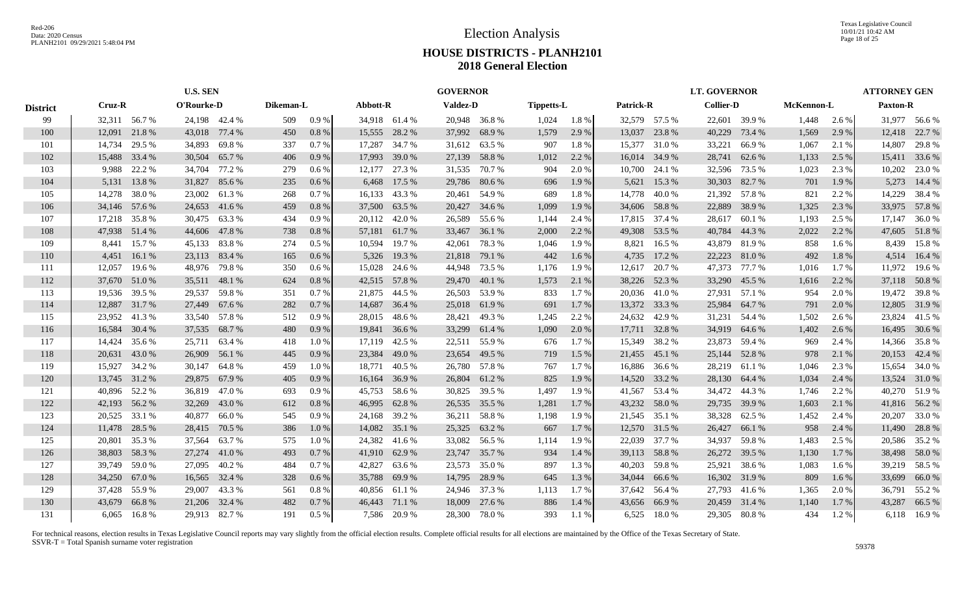Texas Legislative Council 10/01/21 10:42 AM Page 18 of 25

# **HOUSE DISTRICTS - PLANH2101 2018 General Election**

|                 |               |                                                       | <b>U.S. SEN</b> |               |           |         |               |               | <b>GOVERNOR</b> |               |                   |         |           |               | <b>LT. GOVERNOR</b> |               |            |         | <b>ATTORNEY GEN</b> |               |
|-----------------|---------------|-------------------------------------------------------|-----------------|---------------|-----------|---------|---------------|---------------|-----------------|---------------|-------------------|---------|-----------|---------------|---------------------|---------------|------------|---------|---------------------|---------------|
| <b>District</b> |               | Cruz-R<br>O'Rourke-D<br>32,311 56.7%<br>24,198 42.4 % |                 |               | Dikeman-L |         | Abbott-R      |               | <b>Valdez-D</b> |               | <b>Tippetts-L</b> |         | Patrick-R |               | <b>Collier-D</b>    |               | McKennon-L |         | <b>Paxton-R</b>     |               |
| 99              |               |                                                       |                 |               | 509       | 0.9%    | 34,918 61.4 % |               |                 | 20,948 36.8 % | 1,024             | 1.8%    |           | 32,579 57.5 % |                     | 22,601 39.9 % | 1,448      | 2.6 %   |                     | 31,977 56.6 % |
| 100             | 12,091        | 21.8%                                                 | 43,018 77.4 %   |               | 450       | $0.8\%$ | 15,555        | 28.2 %        |                 | 37,992 68.9 % | 1,579             | 2.9 %   |           | 13,037 23.8 % | 40,229              | 73.4 %        | 1,569      | 2.9 %   | 12,418              | 22.7 %        |
| 101             | 14,734        | 29.5 %                                                | 34,893          | 69.8%         | 337       | 0.7%    | 17,287 34.7 % |               |                 | 31,612 63.5 % | 907               | 1.8%    |           | 15,377 31.0 % | 33,221              | 66.9%         | 1,067      | 2.1 %   | 14,807              | 29.8%         |
| 102             | 15,488 33.4 % |                                                       | 30,504          | 65.7%         | 406       | 0.9%    | 17,993 39.0 % |               |                 | 27,139 58.8 % | 1,012             | 2.2 %   |           | 16,014 34.9 % | 28,741              | 62.6 %        | 1,133      | 2.5 %   |                     | 15,411 33.6 % |
| 103             |               | 9,988 22.2 %                                          | 34,704          | 77.2 %        | 279       | 0.6%    | 12,177        | 27.3 %        |                 | 31,535 70.7 % | 904               | 2.0%    | 10,700    | 24.1 %        | 32,596              | 73.5 %        | 1,023      | 2.3 %   | 10,202              | 23.0 %        |
| 104             |               | 5,131 13.8 %                                          | 31,827          | 85.6%         | 235       | 0.6%    | 6,468         | 17.5 %        |                 | 29,786 80.6 % | 696               | 1.9%    | 5,621     | 15.3 %        | 30,303              | 82.7%         | 701        | 1.9 %   | 5,273               | 14.4 %        |
| 105             | 14,278        | 38.0%                                                 | 23,002          | 61.3%         | 268       | 0.7%    | 16,133        | 43.3 %        |                 | 20,461 54.9 % | 689               | 1.8%    | 14,778    | 40.0%         |                     | 21,392 57.8 % | 821        | 2.2 %   | 14,229              | 38.4 %        |
| 106             |               | 34,146 57.6 %                                         | 24,653          | 41.6 %        | 459       | 0.8%    | 37,500        | 63.5 %        |                 | 20,427 34.6 % | 1,099             | 1.9%    |           | 34,606 58.8 % | 22,889              | 38.9%         | 1,325      | 2.3 %   |                     | 33,975 57.8 % |
| 107             | 17,218        | 35.8%                                                 | 30,475          | 63.3%         | 434       | 0.9%    | 20,112        | 42.0 %        | 26,589          | 55.6 %        | 1,144             | 2.4 %   |           | 17,815 37.4 % | 28,617              | 60.1%         | 1,193      | 2.5 %   | 17,147              | 36.0%         |
| 108             | 47,938 51.4 % |                                                       |                 | 44,606 47.8 % | 738       | $0.8\%$ | 57,181        | 61.7 %        |                 | 33,467 36.1 % | 2,000             | 2.2 %   |           | 49,308 53.5 % | 40,784              | 44.3 %        | 2,022      | 2.2 %   |                     | 47,605 51.8%  |
| 109             | 8,441         | 15.7 %                                                | 45,133          | 83.8%         | 274       | 0.5%    | 10,594        | 19.7 %        |                 | 42,061 78.3 % | 1,046             | 1.9 %   | 8,821     | 16.5 %        | 43,879              | 81.9%         | 858        | $1.6\%$ |                     | 8,439 15.8 %  |
| 110             |               | 4,451 16.1 %                                          |                 | 23,113 83.4 % | 165       | $0.6\%$ |               | 5,326 19.3 %  |                 | 21,818 79.1 % | 442               | 1.6 %   |           | 4,735 17.2 %  | 22,223              | 81.0%         | 492        | 1.8%    |                     | 4,514 16.4 %  |
| 111             | 12,057        | 19.6 %                                                | 48,976          | 79.8 %        | 350       | $0.6\%$ | 15,028        | 24.6 %        |                 | 44,948 73.5 % | 1,176             | 1.9%    | 12,617    | 20.7 %        | 47,373              | 77.7 %        | 1,016      | 1.7 %   |                     | 11,972 19.6 % |
| 112             | 37,670 51.0 % |                                                       |                 | 35,511 48.1 % | 624       | 0.8%    | 42,515 57.8 % |               |                 | 29,470 40.1 % | 1,573             | 2.1 %   |           | 38,226 52.3 % | 33,290              | 45.5 %        | 1,616      | 2.2 %   |                     | 37,118 50.8%  |
| 113             | 19,536 39.5 % |                                                       | 29,537          | 59.8%         | 351       | 0.7%    | 21,875 44.5 % |               |                 | 26,503 53.9 % | 833               | 1.7 %   |           | 20,036 41.0 % |                     | 27,931 57.1 % | 954        | 2.0 %   |                     | 19,472 39.8 % |
| 114             |               | 12,887 31.7 %                                         | 27,449          | 67.6 %        | 282       | 0.7%    | 14,687 36.4 % |               |                 | 25,018 61.9 % | 691               | 1.7%    |           | 13,372 33.3 % | 25,984              | 64.7%         | 791        | 2.0 %   |                     | 12,805 31.9 % |
| 115             | 23,952        | 41.3%                                                 | 33,540          | 57.8 %        | 512       | 0.9%    | 28,015        | 48.6 %        |                 | 28,421 49.3 % | 1,245             | 2.2 %   | 24,632    | 42.9 %        | 31,231              | 54.4 %        | 1,502      | 2.6 %   | 23,824              | 41.5 %        |
| 116             | 16,584        | 30.4 %                                                | 37,535          | 68.7 %        | 480       | $0.9\%$ |               | 19,841 36.6 % |                 | 33,299 61.4 % | 1,090             | 2.0 %   | 17,711    | 32.8%         | 34,919              | 64.6 %        | 1,402      | 2.6 %   | 16,495              | 30.6 %        |
| 117             | 14,424        | 35.6 %                                                | 25,711          | 63.4 %        | 418       | 1.0%    | 17,119        | 42.5 %        |                 | 22,511 55.9 % | 676               | 1.7 %   | 15,349    | 38.2 %        | 23,873              | 59.4 %        | 969        | 2.4 %   |                     | 14,366 35.8 % |
| 118             | 20,631        | 43.0%                                                 | 26,909          | 56.1 %        | 445       | 0.9%    | 23,384        | 49.0 %        |                 | 23,654 49.5 % | 719               | 1.5 %   |           | 21,455 45.1 % | 25,144              | 52.8%         | 978        | 2.1 %   |                     | 20,153 42.4 % |
| 119             | 15,927        | 34.2 %                                                | 30,147          | 64.8%         | 459       | 1.0%    | 18,771        | 40.5 %        |                 | 26,780 57.8 % | 767               | 1.7 %   | 16,886    | 36.6 %        | 28,219              | 61.1 %        | 1,046      | 2.3 %   |                     | 15,654 34.0 % |
| 120             | 13,745 31.2 % |                                                       | 29,875          | 67.9%         | 405       | 0.9%    | 16,164        | 36.9%         |                 | 26,804 61.2%  | 825               | 1.9%    |           | 14,520 33.2 % | 28,130              | 64.4 %        | 1,034      | 2.4 %   |                     | 13,524 31.0 % |
| 121             | 40,896 52.2 % |                                                       | 36,819          | 47.0 %        | 693       | 0.9%    | 45,753 58.6 % |               |                 | 30,825 39.5 % | 1,497             | 1.9%    |           | 41,567 53.4 % | 34,472              | 44.3 %        | 1,746      | 2.2 %   |                     | 40,270 51.9 % |
| 122             | 42,193 56.2 % |                                                       | 32,269          | 43.0 %        | 612       | 0.8 %   | 46,995        | 62.8%         |                 | 26,535 35.5 % | 1,281             | 1.7 %   |           | 43,232 58.0 % | 29,735              | 39.9 %        | 1,603      | 2.1 %   |                     | 41,816 56.2%  |
| 123             | 20,525        | 33.1 %                                                | 40,877          | 66.0%         | 545       | 0.9%    | 24,168        | 39.2 %        |                 | 36,211 58.8 % | 1,198             | 1.9%    |           | 21,545 35.1 % | 38,328              | 62.5 %        | 1,452      | 2.4 %   | 20,207              | 33.0%         |
| 124             | 11,478        | 28.5 %                                                | 28,415          | 70.5 %        | 386       | 1.0%    | 14,082 35.1 % |               | 25,325          | 63.2 %        | 667               | 1.7%    |           | 12,570 31.5 % | 26,427              | 66.1 %        | 958        | 2.4 %   | 11,490              | 28.8%         |
| 125             | 20,801 35.3 % |                                                       | 37,564          | 63.7 %        | 575       | $1.0\%$ | 24,382 41.6 % |               |                 | 33,082 56.5 % | 1,114             | 1.9 %   | 22,039    | 37.7 %        | 34,937              | 59.8%         | 1,483      | 2.5 %   |                     | 20,586 35.2 % |
| 126             | 38,803 58.3%  |                                                       | 27,274          | 41.0 %        | 493       | 0.7%    | 41,910 62.9 % |               |                 | 23,747 35.7 % | 934               | 1.4 %   |           | 39,113 58.8 % | 26,272              | 39.5 %        | 1,130      | 1.7 %   |                     | 38,498 58.0 % |
| 127             | 39,749 59.0 % |                                                       | 27,095          | 40.2 %        | 484       | 0.7%    | 42,827        | 63.6 %        |                 | 23,573 35.0 % | 897               | 1.3%    | 40,203    | 59.8%         | 25,921              | 38.6%         | 1,083      | 1.6 %   |                     | 39,219 58.5 % |
| 128             | 34,250        | 67.0%                                                 | 16,565          | 32.4 %        | 328       | 0.6%    | 35,788 69.9 % |               |                 | 14,795 28.9 % | 645               | 1.3 %   |           | 34,044 66.6 % | 16,302              | 31.9%         | 809        | 1.6 %   | 33,699              | 66.0%         |
| 129             | 37,428 55.9 % |                                                       | 29,007          | 43.3 %        | 561       | 0.8 %   | 40,856 61.1 % |               |                 | 24,946 37.3 % | 1,113             | 1.7 %   |           | 37,642 56.4 % | 27,793              | 41.6 %        | 1,365      | 2.0 %   |                     | 36,791 55.2 % |
| 130             | 43.679        | 66.8%                                                 |                 | 21,206 32.4 % | 482       | 0.7%    | 46,443 71.1 % |               |                 | 18,009 27.6 % | 886               | 1.4 %   |           | 43,656 66.9 % | 20,459              | 31.4 %        | 1,140      | 1.7 %   | 43,287              | 66.5%         |
| 131             |               | 6,065 16.8 %                                          |                 | 29.913 82.7 % | 191       | $0.5\%$ |               | 7.586 20.9 %  |                 | 28,300 78.0 % | 393               | $1.1\%$ |           | 6,525 18.0 %  | 29,305              | 80.8%         | 434        | 1.2 %   |                     | 6,118 16.9%   |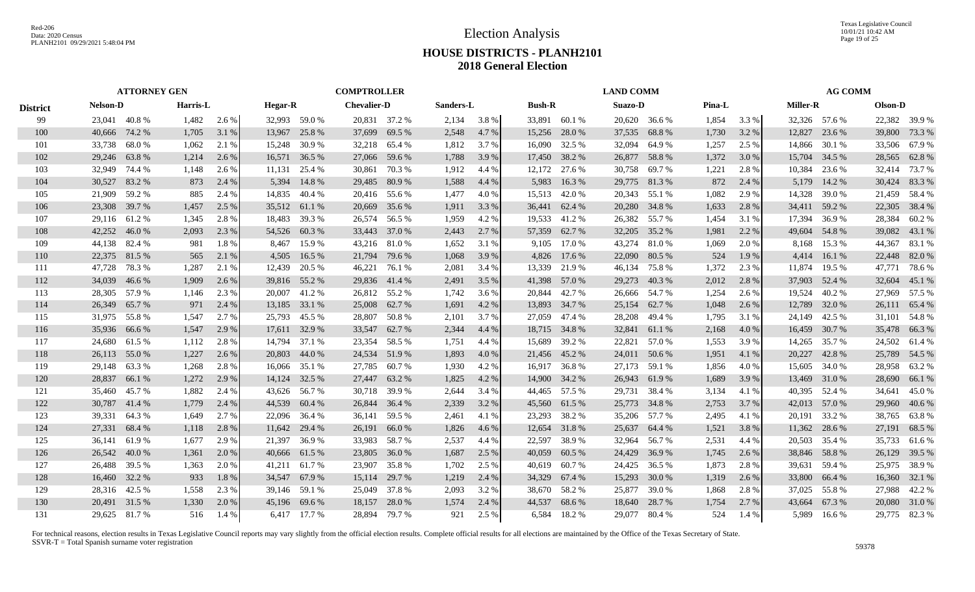Texas Legislative Council 10/01/21 10:42 AM Page 19 of 25

# **HOUSE DISTRICTS - PLANH2101 2018 General Election**

|                 |                 | <b>ATTORNEY GEN</b> |          |         |                |               | <b>COMPTROLLER</b> |        |           |       |               |        | <b>LAND COMM</b> |               |        |       |               | <b>AG COMM</b> |         |               |
|-----------------|-----------------|---------------------|----------|---------|----------------|---------------|--------------------|--------|-----------|-------|---------------|--------|------------------|---------------|--------|-------|---------------|----------------|---------|---------------|
| <b>District</b> | <b>Nelson-D</b> |                     | Harris-L |         | <b>Hegar-R</b> |               | <b>Chevalier-D</b> |        | Sanders-L |       | <b>Bush-R</b> |        | <b>Suazo-D</b>   |               | Pina-L |       | Miller-R      |                | Olson-D |               |
| 99              | 23,041 40.8 %   |                     | 1,482    | $2.6\%$ |                | 32,993 59.0 % | 20,831 37.2 %      |        | 2,134     | 3.8 % | 33,891 60.1 % |        |                  | 20,620 36.6 % | 1,854  | 3.3 % | 32,326 57.6 % |                |         | 22,382 39.9 % |
| <b>100</b>      | 40,666          | 74.2 %              | 1,705    | 3.1 %   | 13,967         | 25.8 %        | 37,699             | 69.5 % | 2,548     | 4.7 % | 15,256        | 28.0 % | 37,535           | 68.8 %        | 1,730  | 3.2 % | 12,827        | 23.6 %         | 39,800  | 73.3 %        |
| 101             | 33,738          | 68.0%               | 1,062    | 2.1 %   | 15,248         | 30.9 %        | 32,218             | 65.4 % | 1,812     | 3.7 % | 16,090        | 32.5 % | 32,094           | 64.9 %        | 1,257  | 2.5 % | 14,866        | 30.1 %         |         | 33,506 67.9 % |
| 102             | 29,246          | 63.8%               | 1,214    | 2.6 %   |                | 16,571 36.5 % | 27,066             | 59.6 % | 1,788     | 3.9 % | 17,450        | 38.2 % | 26,877 58.8 %    |               | 1,372  | 3.0 % | 15,704        | 34.5 %         | 28,565  | 62.8%         |
| 103             | 32,949          | 74.4 %              | 1,148    | 2.6 %   | 11,131         | 25.4 %        | 30,861             | 70.3 % | 1,912     | 4.4 % | 12,172        | 27.6 % | 30,758           | 69.7 %        | 1,221  | 2.8%  | 10,384        | 23.6 %         | 32,414  | 73.7 %        |
| 104             | 30,527          | 83.2%               | 873      | 2.4 %   | 5,394          | 14.8%         | 29,485             | 80.9%  | 1,588     | 4.4 % | 5,983         | 16.3%  | 29,775           | 81.3%         | 872    | 2.4 % | 5,179         | 14.2 %         |         | 30,424 83.3 % |
| 105             | 21,909          | 59.2 %              | 885      | 2.4 %   | 14,835         | 40.4 %        | 20,416             | 55.6 % | 1,477     | 4.0 % | 15,513        | 42.0 % | 20,343           | 55.1 %        | 1,082  | 2.9 % | 14,328        | 39.0 %         |         | 21,459 58.4 % |
| 106             | 23,308          | 39.7 %              | 1,457    | 2.5 %   |                | 35,512 61.1 % | 20,669             | 35.6 % | 1,911     | 3.3 % | 36,441 62.4 % |        | 20,280           | 34.8 %        | 1,633  | 2.8 % | 34,411        | 59.2 %         | 22,305  | 38.4 %        |
| 107             | 29,116 61.2 %   |                     | 1,345    | 2.8%    | 18,483         | 39.3 %        | 26,574             | 56.5 % | 1,959     | 4.2 % | 19,533        | 41.2 % |                  | 26,382 55.7 % | 1,454  | 3.1 % | 17,394        | 36.9%          | 28,384  | 60.2 %        |
| 108             | 42,252          | 46.0%               | 2,093    | 2.3 %   | 54,526         | 60.3%         | 33,443             | 37.0 % | 2,443     | 2.7 % | 57,359        | 62.7 % | 32,205           | 35.2 %        | 1,981  | 2.2 % | 49,604        | 54.8%          | 39,082  | 43.1 %        |
| 109             | 44,138          | 82.4 %              | 981      | 1.8%    | 8.467          | 15.9%         | 43,216             | 81.0 % | 1,652     | 3.1 % | 9,105         | 17.0 % | 43,274           | 81.0 %        | 1,069  | 2.0 % | 8,168         | 15.3 %         | 44,367  | 83.1 %        |
| 110             | 22,375 81.5 %   |                     | 565      | 2.1 %   | 4,505          | 16.5 %        | 21,794             | 79.6 % | 1,068     | 3.9 % | 4,826         | 17.6 % | 22,090           | 80.5 %        | 524    | 1.9%  |               | 4,414 16.1 %   | 22,448  | 82.0 %        |
| 111             | 47,728          | 78.3%               | 1,287    | 2.1 %   | 12,439         | 20.5 %        | 46,221             | 76.1 % | 2,081     | 3.4 % | 13,339        | 21.9%  | 46,134           | 75.8 %        | 1,372  | 2.3 % | 11,874        | 19.5 %         | 47,771  | 78.6 %        |
| 112             | 34,039          | 46.6 %              | 1,909    | 2.6 %   |                | 39,816 55.2 % | 29,836             | 41.4 % | 2,491     | 3.5 % | 41,398 57.0 % |        | 29,273           | 40.3 %        | 2,012  | 2.8%  | 37,903        | 52.4 %         | 32,604  | 45.1 %        |
| 113             | 28,305 57.9 %   |                     | 1,146    | 2.3 %   |                | 20,007 41.2 % | 26,812 55.2 %      |        | 1,742     | 3.6 % | 20,844 42.7 % |        |                  | 26,666 54.7 % | 1,254  | 2.6 % | 19.524        | 40.2 %         |         | 27,969 57.5 % |
| 114             | 26,349 65.7 %   |                     | 971      | 2.4 %   |                | 13,185 33.1 % | 25,008             | 62.7 % | 1,691     | 4.2 % | 13,893 34.7 % |        | 25,154 62.7 %    |               | 1,048  | 2.6 % | 12,789        | 32.0 %         | 26,111  | 65.4 %        |
| 115             | 31,975 55.8 %   |                     | 1,547    | 2.7 %   | 25,793         | 45.5 %        | 28,807             | 50.8%  | 2,101     | 3.7 % | 27,059        | 47.4 % | 28,208           | 49.4 %        | 1,795  | 3.1 % | 24,149        | 42.5 %         |         | 31,101 54.8 % |
| 116             | 35,936          | 66.6 %              | 1,547    | 2.9 %   | 17,611         | 32.9 %        | 33,547             | 62.7 % | 2,344     | 4.4 % | 18,715 34.8 % |        | 32,841           | 61.1 %        | 2,168  | 4.0 % | 16,459        | 30.7 %         | 35,478  | 66.3%         |
| 117             | 24,680          | 61.5 %              | 1,112    | 2.8%    | 14,794         | 37.1 %        | 23,354             | 58.5 % | 1,751     | 4.4 % | 15,689        | 39.2 % | 22,821           | 57.0 %        | 1,553  | 3.9 % | 14,265        | 35.7 %         | 24,502  | 61.4%         |
| 118             | 26,113          | 55.0 %              | 1,227    | 2.6 %   | 20,803         | 44.0 %        | 24,534             | 51.9%  | 1,893     | 4.0 % | 21,456 45.2 % |        | 24,011           | 50.6 %        | 1,951  | 4.1 % | 20,227        | 42.8%          | 25,789  | 54.5 %        |
| 119             | 29,148          | 63.3 %              | 1,268    | 2.8%    | 16,066         | 35.1 %        | 27,785             | 60.7%  | 1,930     | 4.2 % | 16,917        | 36.8%  | 27,173 59.1 %    |               | 1,856  | 4.0%  | 15,605        | 34.0 %         |         | 28,958 63.2 % |
| 120             | 28,837          | 66.1 %              | 1,272    | 2.9 %   | 14,124         | 32.5 %        | 27,447             | 63.2 % | 1,825     | 4.2 % | 14,900        | 34.2 % | 26,943           | 61.9%         | 1,689  | 3.9 % | 13,469        | 31.0 %         | 28,690  | 66.1 %        |
| 121             | 35,460          | 45.7 %              | 1,882    | 2.4 %   | 43,626         | 56.7 %        | 30,718             | 39.9 % | 2,644     | 3.4 % | 44,465 57.5 % |        | 29,731           | 38.4 %        | 3,134  | 4.1 % | 40,395        | 52.4 %         | 34,641  | 45.0 %        |
| 122             | 30,787 41.4 %   |                     | 1,779    | 2.4 %   | 44,539         | 60.4 %        | 26,844             | 36.4 % | 2,339     | 3.2 % | 45,560        | 61.5 % | 25,773           | 34.8 %        | 2,753  | 3.7 % | 42,013 57.0 % |                | 29,960  | 40.6 %        |
| 123             | 39,331          | 64.3%               | 1,649    | 2.7 %   |                | 22,096 36.4 % | 36,141             | 59.5 % | 2,461     | 4.1 % | 23,293        | 38.2 % |                  | 35,206 57.7 % | 2,495  | 4.1 % | 20,191 33.2 % |                |         | 38,765 63.8%  |
| 124             | 27,331          | 68.4 %              | 1,118    | 2.8 %   | 11,642         | 29.4 %        | 26,191             | 66.0%  | 1,826     | 4.6 % | 12,654        | 31.8%  | 25,637           | 64.4 %        | 1,521  | 3.8 % | 11,362        | 28.6 %         | 27,191  | 68.5 %        |
| 125             | 36,141          | 61.9%               | 1,677    | 2.9 %   | 21,397         | 36.9%         | 33,983             | 58.7%  | 2,537     | 4.4 % | 22,597        | 38.9%  | 32,964           | 56.7 %        | 2,531  | 4.4 % | 20,503        | 35.4 %         | 35,733  | 61.6 %        |
| 126             | 26,542 40.0 %   |                     | 1,361    | 2.0 %   |                | 40,666 61.5 % | 23,805             | 36.0%  | 1,687     | 2.5 % | 40,059        | 60.5 % | 24,429           | 36.9 %        | 1,745  | 2.6 % | 38,846        | 58.8%          | 26,129  | 39.5 %        |
| 127             | 26,488          | 39.5 %              | 1,363    | 2.0 %   |                | 41,211 61.7 % | 23,907             | 35.8%  | 1,702     | 2.5 % | 40,619        | 60.7 % | 24,425 36.5 %    |               | 1,873  | 2.8%  | 39,631 59.4 % |                |         | 25,975 38.9 % |
| 128             | 16,460          | 32.2 %              | 933      | 1.8%    | 34,547         | 67.9%         | 15,114             | 29.7 % | 1,219     | 2.4 % | 34,329        | 67.4 % | 15,293           | 30.0 %        | 1,319  | 2.6 % | 33,800        | 66.4 %         | 16,360  | 32.1 %        |
| 129             | 28,316 42.5 %   |                     | 1,558    | 2.3 %   |                | 39,146 59.1 % | 25,049             | 37.8%  | 2,093     | 3.2 % | 38,670        | 58.2 % |                  | 25,877 39.0 % | 1,868  | 2.8%  | 37,025        | 55.8%          |         | 27,988 42.2 % |
| 130             | 20,491 31.5 %   |                     | 1,330    | 2.0%    |                | 45,196 69.6 % | 18,157             | 28.0 % | 1,574     | 2.4 % | 44,537        | 68.6%  | 18,640           | 28.7 %        | 1,754  | 2.7 % | 43,664        | 67.3 %         |         | 20,080 31.0 % |
| 131             | 29,625 81.7 %   |                     | 516      | 1.4 %   |                | 6,417 17.7 %  | 28,894 79.7 %      |        | 921       | 2.5 % | 6,584         | 18.2 % |                  | 29,077 80.4 % | 524    | 1.4 % |               | 5,989 16.6 %   |         | 29,775 82.3%  |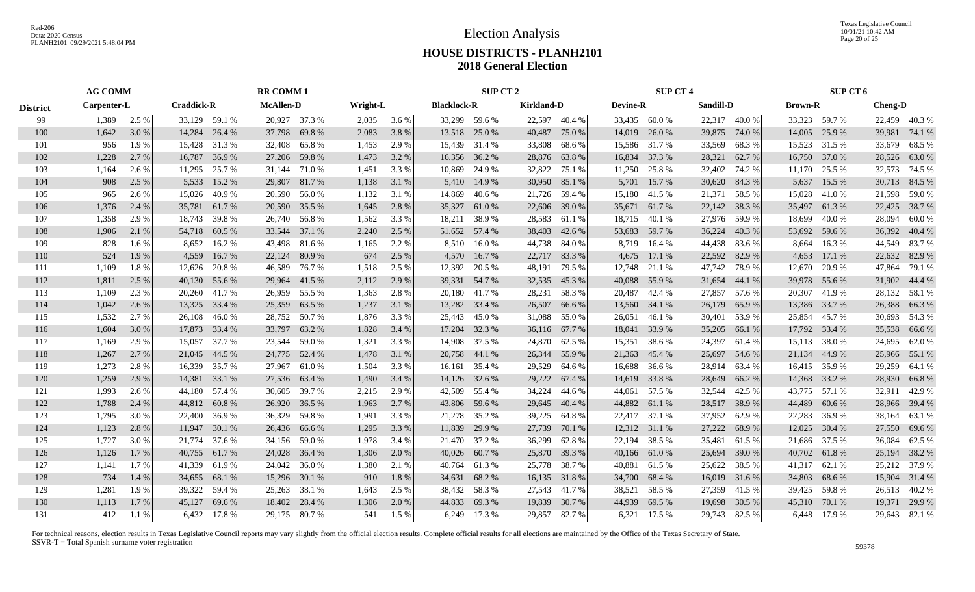Texas Legislative Council 10/01/21 10:42 AM Page 20 of 25

# **HOUSE DISTRICTS - PLANH2101 2018 General Election**

|                 | <b>AG COMM</b><br>Carpenter-L |         |                   |               | <b>RR COMM1</b>  |               |          |       |                    | SUP CT 2      |                   |               |                 | <b>SUP CT 4</b> |           |               |                | SUP CT 6     |                |               |
|-----------------|-------------------------------|---------|-------------------|---------------|------------------|---------------|----------|-------|--------------------|---------------|-------------------|---------------|-----------------|-----------------|-----------|---------------|----------------|--------------|----------------|---------------|
| <b>District</b> |                               |         | <b>Craddick-R</b> |               | <b>McAllen-D</b> |               | Wright-L |       | <b>Blacklock-R</b> |               | <b>Kirkland-D</b> |               | <b>Devine-R</b> |                 | Sandill-D |               | <b>Brown-R</b> |              | <b>Cheng-D</b> |               |
| 99              | 1,389                         | $2.5\%$ |                   | 33,129 59.1 % |                  | 20,927 37.3 % | 2,035    | 3.6 % |                    | 33,299 59.6 % |                   | 22,597 40.4 % |                 | 33,435 60.0 %   |           | 22,317 40.0 % | 33,323 59.7 %  |              |                | 22,459 40.3%  |
| 100             | 1,642                         | 3.0 %   | 14,284            | 26.4 %        |                  | 37,798 69.8 % | 2,083    | 3.8%  |                    | 13,518 25.0 % | 40,487            | 75.0 %        | 14,019          | 26.0 %          | 39,875    | 74.0 %        | 14,005         | 25.9 %       | 39,981         | 74.1 %        |
| 101             | 956                           | 1.9 %   | 15,428            | 31.3 %        | 32,408           | 65.8%         | 1,453    | 2.9 % |                    | 15,439 31.4 % | 33,808            | 68.6 %        |                 | 15,586 31.7 %   | 33,569    | 68.3%         | 15,523 31.5 %  |              | 33,679         | 68.5 %        |
| 102             | 1,228                         | 2.7 %   | 16,787            | 36.9%         | 27,206           | 59.8%         | 1,473    | 3.2 % |                    | 16,356 36.2 % | 28,876            | 63.8%         | 16,834          | 37.3 %          | 28,321    | 62.7 %        | 16,750 37.0 %  |              | 28,526         | 63.0 %        |
| 103             | 1,164                         | 2.6 %   | 11,295            | 25.7 %        |                  | 31,144 71.0 % | 1,451    | 3.3 % |                    | 10,869 24.9 % | 32,822            | 75.1 %        | 11,250          | 25.8%           | 32,402    | 74.2 %        | 11,170         | 25.5 %       |                | 32,573 74.5 % |
| 104             | 908                           | 2.5 %   | 5,533             | 15.2 %        |                  | 29,807 81.7 % | 1,138    | 3.1 % |                    | 5,410 14.9 %  | 30,950            | 85.1 %        | 5,701           | 15.7 %          | 30,620    | 84.3%         | 5,637          | 15.5 %       |                | 30,713 84.5 % |
| 105             | 965                           | 2.6 %   | 15,026            | 40.9%         |                  | 20,590 56.0 % | 1,132    | 3.1 % | 14,869             | 40.6 %        |                   | 21,726 59.4 % |                 | 15,180 41.5 %   | 21,371    | 58.5 %        | 15,028 41.0 %  |              |                | 21,598 59.0 % |
| 106             | 1,376                         | 2.4 %   | 35,781            | 61.7%         | 20,590           | 35.5 %        | 1,645    | 2.8%  | 35,327             | 61.0%         | 22,606            | 39.0 %        |                 | 35,671 61.7 %   | 22,142    | 38.3 %        | 35,497         | 61.3%        |                | 22,425 38.7 % |
| 107             | 1,358                         | 2.9 %   | 18.743            | 39.8%         | 26,740           | 56.8%         | 1,562    | 3.3 % | 18,211             | 38.9%         | 28,583            | 61.1 %        | 18,715          | 40.1 %          | 27,976    | 59.9%         | 18,699         | 40.0%        | 28,094         | 60.0%         |
| 108             | 1,906                         | 2.1 %   | 54,718            | 60.5 %        | 33,544           | 37.1 %        | 2,240    | 2.5 % |                    | 51,652 57.4 % | 38,403            | 42.6 %        | 53,683          | 59.7 %          | 36,224    | 40.3%         | 53,692         | 59.6 %       |                | 36,392 40.4 % |
| 109             | 828                           | $1.6\%$ | 8,652             | 16.2 %        | 43,498           | 81.6 %        | 1,165    | 2.2 % |                    | 8,510 16.0 %  | 44,738            | 84.0 %        | 8,719           | 16.4 %          | 44,438    | 83.6 %        | 8,664          | 16.3 %       |                | 44,549 83.7 % |
| 110             | 524                           | 1.9%    | 4,559             | 16.7 %        | 22,124           | 80.9%         | 674      | 2.5 % |                    | 4,570 16.7 %  | 22,717            | 83.3%         | 4,675           | 17.1 %          | 22,592    | 82.9 %        | 4,653          | 17.1 %       |                | 22,632 82.9 % |
| 111             | 1,109                         | 1.8%    | 12,626            | 20.8 %        | 46,589           | 76.7%         | 1,518    | 2.5 % |                    | 12,392 20.5 % | 48,191            | 79.5 %        |                 | 12,748 21.1 %   | 47,742    | 78.9 %        | 12,670         | 20.9 %       | 47,864         | 79.1 %        |
| 112             | 1,811                         | 2.5 %   |                   | 40,130 55.6 % |                  | 29,964 41.5 % | 2,112    | 2.9 % |                    | 39,331 54.7 % | 32,535            | 45.3 %        |                 | 40,088 55.9 %   | 31,654    | 44.1 %        | 39,978 55.6 %  |              |                | 31,902 44.4 % |
| 113             | 1,109                         | 2.3 %   |                   | 20,260 41.7 % |                  | 26,959 55.5 % | 1,363    | 2.8%  |                    | 20,180 41.7 % |                   | 28,231 58.3 % |                 | 20,487 42.4 %   | 27,857    | 57.6 %        | 20,307 41.9 %  |              |                | 28,132 58.1 % |
| 114             | 1,042                         | 2.6 %   | 13,325            | 33.4 %        |                  | 25,359 63.5 % | 1,237    | 3.1 % |                    | 13,282 33.4 % | 26,507            | 66.6 %        |                 | 13,560 34.1 %   | 26,179    | 65.9%         | 13,386 33.7 %  |              |                | 26,388 66.3 % |
| 115             | 1,532                         | 2.7 %   | 26,108            | 46.0%         |                  | 28,752 50.7 % | 1,876    | 3.3 % |                    | 25,443 45.0 % | 31,088            | 55.0 %        | 26,051          | 46.1 %          | 30,401    | 53.9%         | 25,854         | 45.7 %       |                | 30,693 54.3 % |
| 116             | 1,604                         | 3.0 %   | 17,873            | 33.4 %        |                  | 33,797 63.2 % | 1,828    | 3.4 % |                    | 17,204 32.3 % | 36,116 67.7 %     |               |                 | 18,041 33.9 %   | 35,205    | 66.1%         | 17,792 33.4 %  |              |                | 35,538 66.6 % |
| 117             | 1,169                         | 2.9 %   | 15,057            | 37.7 %        |                  | 23,544 59.0 % | 1,321    | 3.3 % |                    | 14,908 37.5 % |                   | 24,870 62.5 % | 15,351          | 38.6 %          | 24,397    | 61.4 %        | 15,113 38.0 %  |              |                | 24,695 62.0 % |
| 118             | 1,267                         | 2.7 %   | 21,045            | 44.5 %        | 24,775           | 52.4 %        | 1,478    | 3.1 % |                    | 20,758 44.1 % | 26,344 55.9 %     |               | 21,363          | 45.4 %          | 25,697    | 54.6 %        | 21,134 44.9 %  |              |                | 25,966 55.1 % |
| 119             | 1,273                         | 2.8%    | 16,339            | 35.7 %        | 27.967           | 61.0 %        | 1,504    | 3.3 % |                    | 16,161 35.4 % | 29,529            | 64.6 %        | 16,688          | 36.6 %          | 28,914    | 63.4 %        | 16,415 35.9 %  |              |                | 29,259 64.1 % |
| 120             | 1,259                         | 2.9%    | 14,381            | 33.1 %        |                  | 27,536 63.4 % | 1,490    | 3.4 % |                    | 14,126 32.6 % | 29,222            | 67.4 %        | 14,619          | 33.8%           | 28,649    | 66.2 %        | 14,368 33.2 %  |              | 28,930         | 66.8%         |
| 121             | 1,993                         | 2.6 %   | 44,180            | 57.4 %        | 30,605           | 39.7 %        | 2,215    | 2.9 % |                    | 42,509 55.4 % | 34,224            | 44.6 %        | 44,061          | 57.5 %          | 32,544    | 42.5 %        | 43,775 57.1 %  |              | 32,911         | 42.9 %        |
| 122             | 1,788                         | 2.4 %   | 44,812            | 60.8%         | 26,920           | 36.5 %        | 1,963    | 2.7 % |                    | 43,806 59.6 % | 29,645            | 40.4 %        | 44,882          | 61.1 %          | 28,517    | 38.9 %        | 44,489         | 60.6 %       |                | 28,966 39.4 % |
| 123             | 1,795                         | 3.0 %   | 22,400            | 36.9 %        | 36,329           | 59.8%         | 1,991    | 3.3 % |                    | 21,278 35.2 % | 39,225            | 64.8%         | 22,417          | 37.1 %          | 37,952    | 62.9 %        | 22,283         | 36.9%        | 38,164         | 63.1 %        |
| 124             | 1,123                         | 2.8 %   | 11,947            | 30.1 %        | 26,436           | 66.6 %        | 1,295    | 3.3 % | 11,839             | 29.9 %        | 27,739            | 70.1 %        |                 | 12,312 31.1 %   | 27,222    | 68.9%         | 12,025         | 30.4 %       | 27,550         | 69.6 %        |
| 125             | 1,727                         | 3.0 %   | 21,774            | 37.6 %        | 34,156           | 59.0 %        | 1,978    | 3.4 % |                    | 21,470 37.2 % | 36,299            | 62.8%         | 22,194          | 38.5 %          | 35,481    | 61.5%         | 21,686 37.5 %  |              | 36,084         | 62.5 %        |
| 126             | 1,126                         | 1.7 %   | 40,755            | 61.7%         | 24,028           | 36.4 %        | 1,306    | 2.0 % |                    | 40,026 60.7 % |                   | 25,870 39.3 % |                 | 40,166 61.0 %   | 25,694    | 39.0 %        | 40,702 61.8 %  |              | 25,194         | 38.2 %        |
| 127             | 1,141                         | 1.7 %   |                   | 41,339 61.9 % |                  | 24,042 36.0 % | 1,380    | 2.1 % |                    | 40,764 61.3 % |                   | 25,778 38.7 % | 40,881          | 61.5 %          | 25,622    | 38.5 %        | 41,317 62.1 %  |              |                | 25,212 37.9 % |
| 128             | 734                           | 1.4 %   | 34,655            | 68.1 %        |                  | 15,296 30.1 % | 910      | 1.8%  |                    | 34,631 68.2 % | 16,135 31.8 %     |               |                 | 34,700 68.4 %   | 16,019    | 31.6 %        | 34,803         | 68.6 %       |                | 15,904 31.4 % |
| 129             | 1,281                         | 1.9%    | 39,322            | 59.4 %        | 25,263           | 38.1 %        | 1,643    | 2.5 % |                    | 38,432 58.3 % | 27,543 41.7 %     |               |                 | 38,521 58.5 %   | 27,359    | 41.5 %        | 39,425 59.8 %  |              |                | 26,513 40.2 % |
| 130             | 1,113                         | 1.7%    | 45,127            | 69.6%         | 18,402           | 28.4 %        | 1,306    | 2.0 % |                    | 44,833 69.3 % | 19,839            | 30.7 %        |                 | 44,939 69.5 %   | 19,698    | 30.5 %        | 45,310         | 70.1 %       | 19,371         | 29.9 %        |
| 131             | 412                           | 1.1%    |                   | 6.432 17.8 %  |                  | 29.175 80.7 % | 541      | 1.5 % |                    | 6.249 17.3 %  | 29,857            | 82.7 %        |                 | 6,321 17.5 %    |           | 29.743 82.5 % |                | 6.448 17.9 % |                | 29,643 82.1 % |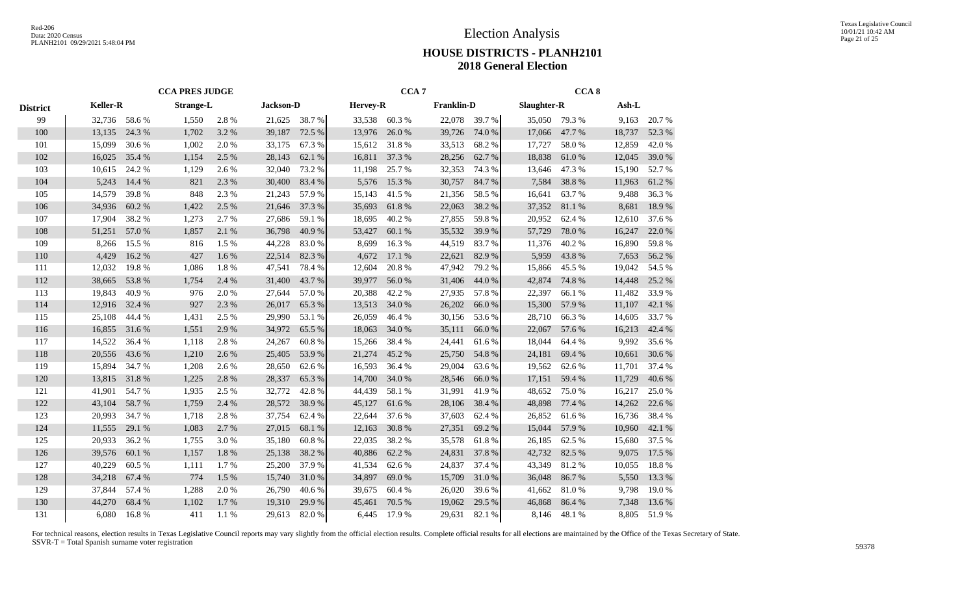|                 |                 |        | <b>CCA PRES JUDGE</b> |       |                  |        |                 | CCA <sub>7</sub> |                   |        |             | CCA <sub>8</sub> |        |        |
|-----------------|-----------------|--------|-----------------------|-------|------------------|--------|-----------------|------------------|-------------------|--------|-------------|------------------|--------|--------|
| <b>District</b> | <b>Keller-R</b> |        | <b>Strange-L</b>      |       | <b>Jackson-D</b> |        | <b>Hervey-R</b> |                  | <b>Franklin-D</b> |        | Slaughter-R |                  | Ash-L  |        |
| 99              | 32,736          | 58.6%  | 1,550                 | 2.8%  | 21,625           | 38.7%  | 33,538          | 60.3%            | 22,078            | 39.7%  | 35,050      | 79.3 %           | 9,163  | 20.7%  |
| 100             | 13,135          | 24.3 % | 1,702                 | 3.2 % | 39,187           | 72.5 % | 13,976          | 26.0%            | 39,726            | 74.0 % | 17,066      | 47.7 %           | 18,737 | 52.3 % |
| 101             | 15,099          | 30.6%  | 1,002                 | 2.0%  | 33,175           | 67.3%  | 15,612          | 31.8%            | 33,513            | 68.2%  | 17,727      | 58.0%            | 12,859 | 42.0%  |
| 102             | 16,025          | 35.4 % | 1,154                 | 2.5 % | 28,143           | 62.1 % | 16,811          | 37.3 %           | 28,256            | 62.7 % | 18,838      | 61.0%            | 12,045 | 39.0%  |
| 103             | 10,615          | 24.2 % | 1,129                 | 2.6 % | 32,040           | 73.2 % | 11,198          | 25.7 %           | 32,353            | 74.3 % | 13,646      | 47.3%            | 15,190 | 52.7%  |
| 104             | 5,243           | 14.4 % | 821                   | 2.3 % | 30,400           | 83.4%  | 5,576           | 15.3 %           | 30,757            | 84.7%  | 7,584       | 38.8%            | 11,963 | 61.2%  |
| 105             | 14,579          | 39.8%  | 848                   | 2.3 % | 21,243           | 57.9%  | 15,143          | 41.5%            | 21,356            | 58.5%  | 16,641      | 63.7%            | 9,488  | 36.3%  |
| 106             | 34,936          | 60.2%  | 1,422                 | 2.5 % | 21,646           | 37.3 % | 35,693          | 61.8%            | 22,063            | 38.2 % | 37,352      | 81.1 %           | 8,681  | 18.9%  |
| 107             | 17,904          | 38.2 % | 1,273                 | 2.7%  | 27,686           | 59.1 % | 18,695          | 40.2%            | 27,855            | 59.8%  | 20,952      | 62.4 %           | 12,610 | 37.6%  |
| 108             | 51,251          | 57.0 % | 1,857                 | 2.1 % | 36,798           | 40.9%  | 53,427          | 60.1%            | 35,532            | 39.9%  | 57,729      | 78.0%            | 16,247 | 22.0%  |
| 109             | 8,266           | 15.5 % | 816                   | 1.5 % | 44,228           | 83.0%  | 8,699           | 16.3%            | 44,519            | 83.7%  | 11,376      | 40.2%            | 16,890 | 59.8%  |
| 110             | 4,429           | 16.2 % | 427                   | 1.6 % | 22,514           | 82.3 % | 4,672           | 17.1 %           | 22,621            | 82.9%  | 5,959       | 43.8%            | 7,653  | 56.2%  |
| 111             | 12,032          | 19.8%  | 1,086                 | 1.8%  | 47,541           | 78.4%  | 12,604          | 20.8%            | 47,942            | 79.2 % | 15,866      | 45.5 %           | 19,042 | 54.5 % |
| 112             | 38,665          | 53.8%  | 1,754                 | 2.4 % | 31,400           | 43.7%  | 39,977          | 56.0%            | 31,406            | 44.0%  | 42,874      | 74.8%            | 14,448 | 25.2 % |
| 113             | 19,843          | 40.9%  | 976                   | 2.0%  | 27,644           | 57.0%  | 20,388          | 42.2 %           | 27,935            | 57.8%  | 22,397      | 66.1%            | 11,482 | 33.9%  |
| 114             | 12,916          | 32.4 % | 927                   | 2.3 % | 26,017           | 65.3%  | 13,513          | 34.0 %           | 26,202            | 66.0%  | 15,300      | 57.9%            | 11,107 | 42.1 % |
| 115             | 25,108          | 44.4 % | 1,431                 | 2.5 % | 29,990           | 53.1 % | 26,059          | 46.4%            | 30,156            | 53.6 % | 28,710      | 66.3%            | 14,605 | 33.7%  |
| 116             | 16,855          | 31.6 % | 1,551                 | 2.9%  | 34,972           | 65.5 % | 18,063          | 34.0%            | 35,111            | 66.0%  | 22,067      | 57.6 %           | 16,213 | 42.4 % |
| 117             | 14,522          | 36.4 % | 1,118                 | 2.8%  | 24,267           | 60.8%  | 15,266          | 38.4%            | 24,441            | 61.6%  | 18,044      | 64.4 %           | 9,992  | 35.6%  |
| 118             | 20,556          | 43.6%  | 1,210                 | 2.6 % | 25,405           | 53.9%  | 21,274          | 45.2%            | 25,750            | 54.8%  | 24,181      | 69.4 %           | 10,661 | 30.6%  |
| 119             | 15,894          | 34.7%  | 1,208                 | 2.6 % | 28,650           | 62.6 % | 16,593          | 36.4 %           | 29,004            | 63.6 % | 19,562      | 62.6 %           | 11,701 | 37.4 % |
| 120             | 13,815          | 31.8%  | 1,225                 | 2.8%  | 28,337           | 65.3%  | 14,700          | 34.0 %           | 28,546            | 66.0%  | 17,151      | 59.4%            | 11,729 | 40.6%  |
| 121             | 41,901          | 54.7%  | 1,935                 | 2.5 % | 32,772           | 42.8%  | 44,439          | 58.1 %           | 31,991            | 41.9%  | 48,652      | 75.0%            | 16,217 | 25.0%  |
| 122             | 43,104          | 58.7%  | 1,759                 | 2.4 % | 28,572           | 38.9%  | 45,127          | 61.6%            | 28,106            | 38.4%  | 48,898      | 77.4 %           | 14,262 | 22.6 % |
| 123             | 20,993          | 34.7%  | 1,718                 | 2.8%  | 37,754           | 62.4 % | 22,644          | 37.6 %           | 37,603            | 62.4 % | 26,852      | 61.6%            | 16,736 | 38.4%  |
| 124             | 11,555          | 29.1 % | 1,083                 | 2.7 % | 27,015           | 68.1 % | 12,163          | 30.8%            | 27,351            | 69.2%  | 15,044      | 57.9 %           | 10,960 | 42.1 % |
| 125             | 20,933          | 36.2%  | 1,755                 | 3.0%  | 35,180           | 60.8%  | 22,035          | 38.2%            | 35,578            | 61.8%  | 26,185      | 62.5 %           | 15,680 | 37.5 % |
| 126             | 39,576          | 60.1 % | 1,157                 | 1.8%  | 25,138           | 38.2%  | 40,886          | 62.2 %           | 24,831            | 37.8%  | 42,732      | 82.5 %           | 9,075  | 17.5 % |
| 127             | 40,229          | 60.5%  | 1,111                 | 1.7%  | 25,200           | 37.9 % | 41,534          | 62.6 %           | 24,837            | 37.4 % | 43,349      | 81.2%            | 10,055 | 18.8%  |
| 128             | 34,218          | 67.4 % | 774                   | 1.5 % | 15,740           | 31.0%  | 34,897          | 69.0%            | 15,709            | 31.0%  | 36,048      | 86.7%            | 5,550  | 13.3 % |
| 129             | 37,844          | 57.4 % | 1,288                 | 2.0%  | 26,790           | 40.6%  | 39,675          | 60.4%            | 26,020            | 39.6 % | 41,662      | 81.0%            | 9,798  | 19.0%  |
| 130             | 44,270          | 68.4%  | 1,102                 | 1.7%  | 19,310           | 29.9%  | 45,461          | 70.5 %           | 19,062            | 29.5 % | 46,868      | 86.4%            | 7,348  | 13.6%  |
| 131             | 6,080           | 16.8%  | 411                   | 1.1%  | 29,613           | 82.0%  | 6.445           | 17.9%            | 29,631            | 82.1 % | 8,146       | 48.1%            | 8,805  | 51.9%  |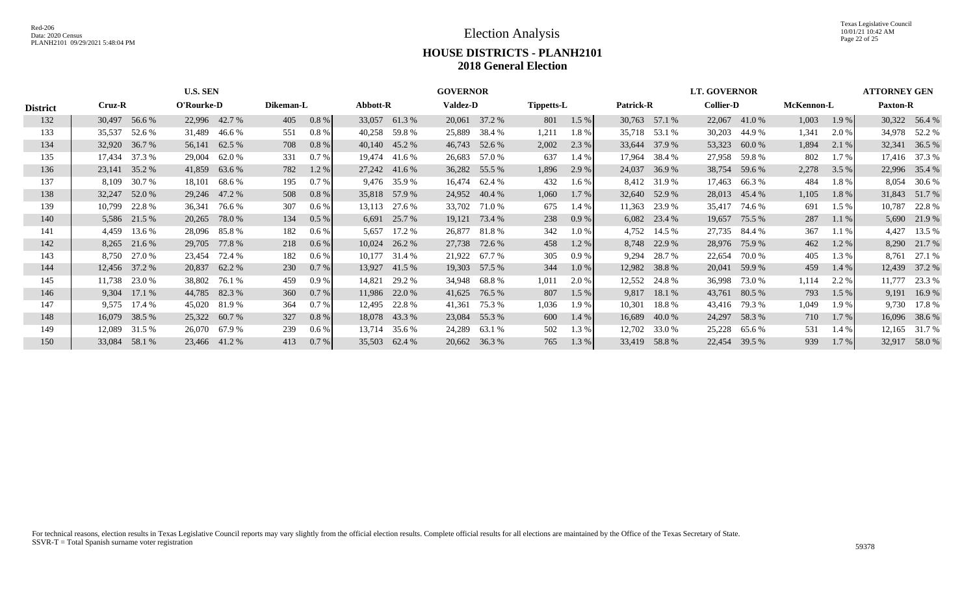Texas Legislative Council 10/01/21 10:42 AM Page 22 of 25

# **HOUSE DISTRICTS - PLANH2101 2018 General Election**

|                 |                                                   |                                                                        | <b>U.S. SEN</b> |               |           |         |          |               | <b>GOVERNOR</b> |               |                   |       |                  |               | <b>LT. GOVERNOR</b> |        |            |         | <b>ATTORNEY GEN</b> |               |
|-----------------|---------------------------------------------------|------------------------------------------------------------------------|-----------------|---------------|-----------|---------|----------|---------------|-----------------|---------------|-------------------|-------|------------------|---------------|---------------------|--------|------------|---------|---------------------|---------------|
| <b>District</b> | Cruz-R                                            |                                                                        | O'Rourke-D      |               | Dikeman-L |         | Abbott-R |               | <b>Valdez-D</b> |               | <b>Tippetts-L</b> |       | <b>Patrick-R</b> |               | <b>Collier-D</b>    |        | McKennon-L |         | <b>Paxton-R</b>     |               |
| 132             | 30,497                                            | 56.6 %                                                                 |                 | 22,996 42.7 % | 405       | $0.8\%$ | 33,057   | 61.3%         | 20,061          | 37.2 %        | 801               | 1.5 % |                  | 30,763 57.1 % | 22,067              | 41.0 % | 1,003      | 1.9%    |                     | 30,322 56.4 % |
| 133             | 35,537                                            | 52.6 %                                                                 | 31,489          | 46.6 %        | 551       | 0.8%    | 40,258   | 59.8 %        | 25,889          | 38.4 %        | 1,211             | 1.8%  |                  | 35,718 53.1 % | 30,203              | 44.9 % | 1,341      | 2.0 %   |                     | 34,978 52.2 % |
| 134             | 32,920                                            | 36.7 %                                                                 | 56,141          | 62.5 %        | 708       | 0.8%    | 40.140   | 45.2 %        | 46,743          | 52.6 %        | 2,002             | 2.3 % | 33,644           | 37.9 %        | 53,323              | 60.0%  | 1,894      | 2.1 %   | 32,341              | 36.5 %        |
| 135             | 17,434                                            | 37.3 %                                                                 | 29,004          | 62.0%         | 331       | 0.7 %   | 19,474   | 41.6 %        | 26,683          | 57.0 %        | 637               | 1.4 % | 17,964           | 38.4 %        | 27,958              | 59.8%  | 802        | 1.7 %   |                     | 17,416 37.3 % |
| 136             | 23,141                                            | 35.2 %                                                                 | 41,859          | 63.6 %        | 782       | 1.2%    |          | 27,242 41.6 % | 36,282          | 55.5 %        | 1,896             | 2.9%  | 24,037           | 36.9%         | 38,754              | 59.6 % | 2,278      | 3.5 %   |                     | 22,996 35.4 % |
| 137             | 8,109                                             | 30.7 %<br>18,101<br>68.6 %<br>195<br>52.0 %<br>47.2 %<br>508<br>29,246 |                 |               |           | 0.7%    |          | 9,476 35.9 %  | 16,474          | 62.4 %        | 432               | 1.6%  |                  | 8,412 31.9 %  | 17,463              | 66.3%  | 484        | 1.8%    | 8,054               | 30.6 %        |
| 138             | 32,247                                            |                                                                        |                 |               |           | 0.8%    | 35,818   | 57.9 %        | 24,952          | 40.4 %        | 1,060             | 1.7 % | 32,640           | 52.9 %        | 28,013              | 45.4 % | 1,105      | 1.8%    | 31,843              | 51.7 %        |
| 139             | 10,799                                            | 22.8%<br>307<br>36,341<br>76.6 %<br>0.6 %                              |                 |               |           |         | 13,113   | 27.6 %        | 33,702          | 71.0 %        | 675               | 1.4 % | 11,363           | 23.9 %        | 35,417              | 74.6 % | 691        | 1.5%    | 10,787              | 22.8 %        |
| 140             |                                                   | 5,586 21.5 %                                                           | 20,265          | 78.0%         | 134       | $0.5\%$ | 6,691    | 25.7 %        | 19,121          | 73.4 %        | 238               | 0.9%  |                  | 6,082 23.4 %  | 19,657              | 75.5 % | 287        | $1.1\%$ | 5,690               | 21.9 %        |
| 141             | 4,459                                             | 13.6 %                                                                 | 28,096          | 85.8 %        | 182       | 0.6 %   | 5,657    | 17.2 %        | 26,877          | 81.8 %        | 342               | 1.0%  | 4,752            | 14.5 %        | 27,735              | 84.4 % | 367        | 1.1%    | 4,427               | 13.5 %        |
| 142             | 8,265                                             | 21.6 %                                                                 | 29,705          | 77.8%         | 218       | 0.6 %   | 10,024   | 26.2 %        | 27,738          | 72.6 %        | 458               | 1.2%  | 8,748            | 22.9 %        | 28,976              | 75.9 % | 462        | 1.2 %   | 8,290               | 21.7 %        |
| 143             | 8,750                                             | 27.0 %                                                                 | 23,454          | 72.4 %        | 182       | 0.6 %   | 10,177   | 31.4 %        | 21,922          | 67.7 %        | 305               | 0.9%  | 9,294            | 28.7 %        | 22,654              | 70.0%  | 405        | 1.3 %   | 8,761               | 27.1 %        |
| 144             |                                                   | 12,456 37.2 %                                                          | 20,837          | 62.2 %        | 230       | 0.7%    | 13,927   | 41.5 %        |                 | 19,303 57.5 % | 344               | 1.0%  | 12,982           | 38.8%         | 20,041              | 59.9%  | 459        | 1.4%    | 12,439              | 37.2 %        |
| 145             | 11,738                                            | 23.0 %                                                                 | 38,802          | 76.1 %        | 459       | 0.9%    | 14,821   | 29.2 %        | 34,948          | 68.8 %        | 1,011             | 2.0 % | 12,552           | 24.8 %        | 36,998              | 73.0 % | 1,114      | 2.2 %   | 11,777              | 23.3 %        |
| 146             | 9,304                                             | 17.1 %                                                                 | 44,785          | 82.3%         | 360       | 0.7 %   |          | 11,986 22.0 % | 41,625          | 76.5 %        | 807               | 1.5 % | 9,817            | 18.1 %        | 43,761              | 80.5 % | 793        | 1.5 %   | 9,191               | 16.9%         |
| 147             | 9,575                                             | 17.4 %                                                                 | 45,020          | 81.9%         | 364       | 0.7%    | 12,495   | 22.8%         | 41,361          | 75.3 %        | 1,036             | 1.9%  | 10,301           | 18.8%         | 43,416              | 79.3 % | 1,049      | 1.9%    | 9,730               | 17.8%         |
| 148             |                                                   | 16,079 38.5 %                                                          |                 | 25,322 60.7 % | 327       | $0.8\%$ |          | 18,078 43.3 % |                 | 23,084 55.3 % | 600               | 1.4 % | 16,689           | 40.0 %        | 24,297              | 58.3%  | 710        | $1.7\%$ |                     | 16,096 38.6 % |
| 149             | 31.5 %<br>26,070<br>67.9 %<br>239<br>12,089       |                                                                        |                 |               |           | $0.6\%$ | 13,714   | 35.6 %        | 24,289          | 63.1 %        | 502               | 1.3 % | 12,702           | 33.0 %        | 25,228              | 65.6 % | 531        | 1.4 %   | 12,165              | 31.7 %        |
| 150             | 23,466 41.2 %<br>413<br>0.7 %<br>33,084<br>58.1 % |                                                                        |                 |               |           |         |          | 35,503 62.4 % | 20,662          | 36.3 %        | 765               | 1.3%  | 33,419           | 58.8%         | 22,454              | 39.5 % | 939        | $1.7\%$ |                     | 32,917 58.0 % |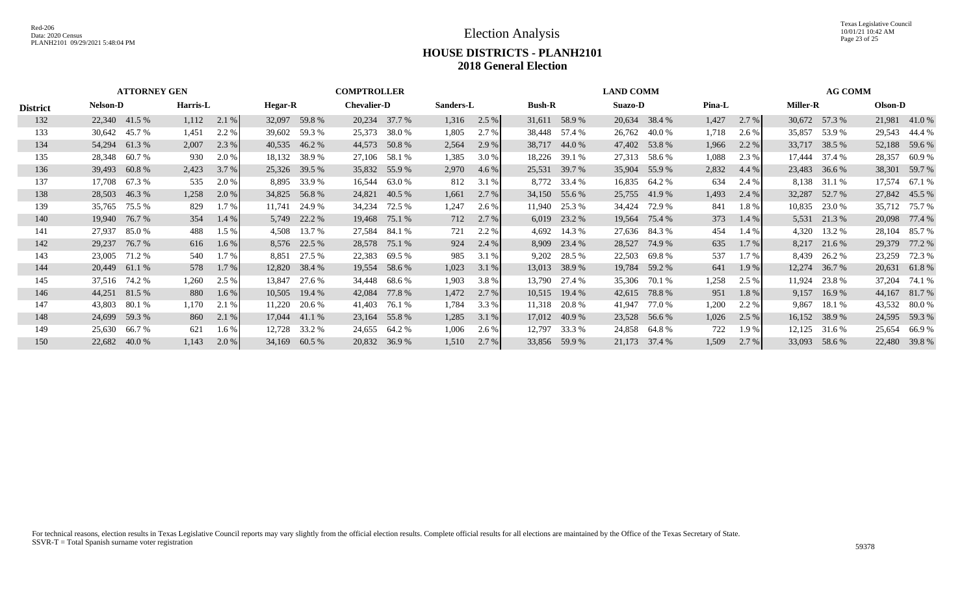Election Analysis

Texas Legislative Council 10/01/21 10:42 AM Page 23 of 25

#### **HOUSE DISTRICTS - PLANH2101 2018 General Election**

|                 |                 | <b>ATTORNEY GEN</b> |                 |         |                |                 | <b>COMPTROLLER</b> |               |           |       |               |               | <b>LAND COMM</b> |               |               |         |                 | <b>AG COMM</b> |         |               |
|-----------------|-----------------|---------------------|-----------------|---------|----------------|-----------------|--------------------|---------------|-----------|-------|---------------|---------------|------------------|---------------|---------------|---------|-----------------|----------------|---------|---------------|
| <b>District</b> | <b>Nelson-D</b> |                     | <b>Harris-L</b> |         | <b>Hegar-R</b> |                 | <b>Chevalier-D</b> |               | Sanders-L |       | <b>Bush-R</b> |               | <b>Suazo-D</b>   |               | <b>Pina-L</b> |         | <b>Miller-R</b> |                | Olson-D |               |
| 132             | 22,340 41.5 %   |                     | 1,112           | 2.1 %   |                | 32,097 59.8 %   |                    | 20,234 37.7 % | 1,316     | 2.5 % |               | 31,611 58.9 % |                  | 20,634 38.4 % | 1,427         | $2.7\%$ |                 | 30,672 57.3 %  |         | 21,981 41.0 % |
| 133             | 30,642          | 45.7 %              | 1,451           | 2.2 %   |                | 39,602 59.3 %   | 25,373             | 38.0%         | 1,805     | 2.7 % |               | 38,448 57.4 % | 26,762           | 40.0 %        | 1,718         | 2.6 %   | 35,857          | 53.9 %         | 29,543  | 44.4 %        |
| 134             | 54,294 61.3 %   |                     | 2,007           | 2.3 %   |                | 40,535 46.2 %   | 44,573             | 50.8%         | 2,564     | 2.9 % | 38,717        | 44.0 %        |                  | 47,402 53.8 % | 1,966         | 2.2 %   |                 | 33,717 38.5 %  | 52,188  | 59.6 %        |
| 135             | 28,348          | 60.7%               | 930             | 2.0 %   | 18,132         | 38.9 %          |                    | 27,106 58.1 % | 1,385     | 3.0 % | 18,226        | 39.1 %        |                  | 27,313 58.6 % | 1,088         | 2.3 %   |                 | 17,444 37.4 %  | 28,357  | 60.9%         |
| 136             | 39,493 60.8 %   |                     | 2,423           | 3.7 %   |                | 25,326 39.5 %   |                    | 35,832 55.9 % | 2,970     | 4.6 % | 25,531        | 39.7 %        |                  | 35,904 55.9 % | 2,832         | 4.4 $%$ |                 | 23,483 36.6 %  |         | 38,301 59.7 % |
| 137             | 17,708          | 67.3 %              | 535             | 2.0 %   | 8,895          | 33.9 %          | 16,544             | 63.0 %        | 812       | 3.1 % |               | 8,772 33.4 %  |                  | 16,835 64.2 % | 634           | 2.4 %   |                 | 8,138 31.1 %   | 17,574  | 67.1 %        |
| 138             | 28,503 46.3 %   |                     | 1,258           | 2.0 %   |                | 34,825 56.8 %   |                    | 24,821 40.5 % | 1,661     | 2.7 % |               | 34,150 55.6 % |                  | 25,755 41.9 % | 1,493         | 2.4 %   | 32,287          | 52.7 %         |         | 27,842 45.5 % |
| 139             | 35,765          | 75.5 %              | 829             | 1.7%    | 11,741         | 24.9 %          | 34,234             | 72.5 %        | 1,247     | 2.6 % | 11,940        | 25.3 %        | 34,424           | 72.9 %        | 841           | 1.8%    |                 | 10,835 23.0 %  | 35,712  | 75.7 %        |
| 140             | 19,940 76.7 %   |                     | 354             | 1.4 %   |                | 5,749 22.2 %    |                    | 19,468 75.1 % | 712       | 2.7 % |               | 6,019 23.2 %  |                  | 19,564 75.4 % | 373           | 1.4 %   |                 | 5,531 21.3 %   |         | 20,098 77.4 % |
| 141             | 27,937          | 85.0%               | 488             | 1.5 %   | 4,508          | 13.7 %          | 27,584             | 84.1 %        | 721       | 2.2 % | 4,692         | 14.3 %        | 27,636           | 84.3 %        | 454           | 1.4 %   | 4,320           | 13.2 %         | 28,104  | 85.7%         |
| 142             | 29,237          | 76.7 %              | 616             | 1.6 %   |                | 8,576 22.5 %    | 28,578             | 75.1 %        | 924       | 2.4 % | 8,909         | 23.4 %        | 28,527           | 74.9 %        | 635           | 1.7%    |                 | 8,217 21.6 %   | 29,379  | 77.2 %        |
| 143             | 23,005          | 71.2 %              | 540             | 1.7%    | 8,851          | 27.5 %          | 22,383             | 69.5 %        | 985       | 3.1 % | 9,202         | 28.5 %        | 22,503           | 69.8 %        | 537           | 1.7%    |                 | 8,439 26.2 %   | 23,259  | 72.3 %        |
| 144             | 20,449 61.1 %   |                     | 578             | 1.7 %   |                | 12,820 38.4 %   |                    | 19,554 58.6 % | 1,023     | 3.1 % |               | 13,013 38.9 % |                  | 19,784 59.2 % | 641           | 1.9%    |                 | 12,274 36.7 %  |         | 20,631 61.8 % |
| 145             | 37,516 74.2 %   |                     | 1,260           | 2.5 %   | 13,847         | 27.6 %          | 34,448             | 68.6 %        | 1,903     | 3.8 % | 13,790        | 27.4 %        | 35,306           | 70.1 %        | 1,258         | 2.5 %   | 11,924          | 23.8 %         | 37,204  | 74.1 %        |
| 146             | 44,251 81.5 %   |                     | 880             | $1.6\%$ |                | $10,505$ 19.4 % | 42,084             | 77.8 %        | 1,472     | 2.7 % | 10,515        | 19.4 %        | 42,615           | 78.8 %        | 951           | 1.8%    | 9,157           | 16.9%          | 44,167  | 81.7 %        |
| 147             | 43,803          | 80.1 %              | 1,170           | 2.1 %   | 11,220         | 20.6 %          | 41,403             | 76.1 %        | 1,784     | 3.3 % | 11,318        | 20.8 %        | 41,947           | 77.0 %        | 1,200         | 2.2 %   | 9,867           | 18.1 %         | 43,532  | 80.0%         |
| 148             | 24,699 59.3 %   |                     | 860             | 2.1 %   | 17,044         | 41.1 %          |                    | 23,164 55.8 % | 1,285     | 3.1 % | 17,012        | 40.9 %        |                  | 23,528 56.6 % | 1,026         | 2.5%    |                 | 16,152 38.9 %  |         | 24,595 59.3 % |
| 149             | 25,630          | 66.7 %              | 621             | $1.6\%$ | 12,728         | 33.2 %          | 24,655             | 64.2 %        | 1,006     | 2.6 % | 12,797        | 33.3 %        |                  | 24,858 64.8 % | 722           | 1.9%    | 12,125          | 31.6 %         | 25,654  | 66.9 %        |
| 150             | 22,682          | 40.0%               | 1,143           | 2.0 %   | 34,169         | 60.5 %          |                    | 20,832 36.9 % | 1,510     | 2.7%  | 33,856        | 59.9 %        | 21,173           | 37.4 %        | 1,509         | 2.7 %   |                 | 33,093 58.6 %  |         | 22,480 39.8 % |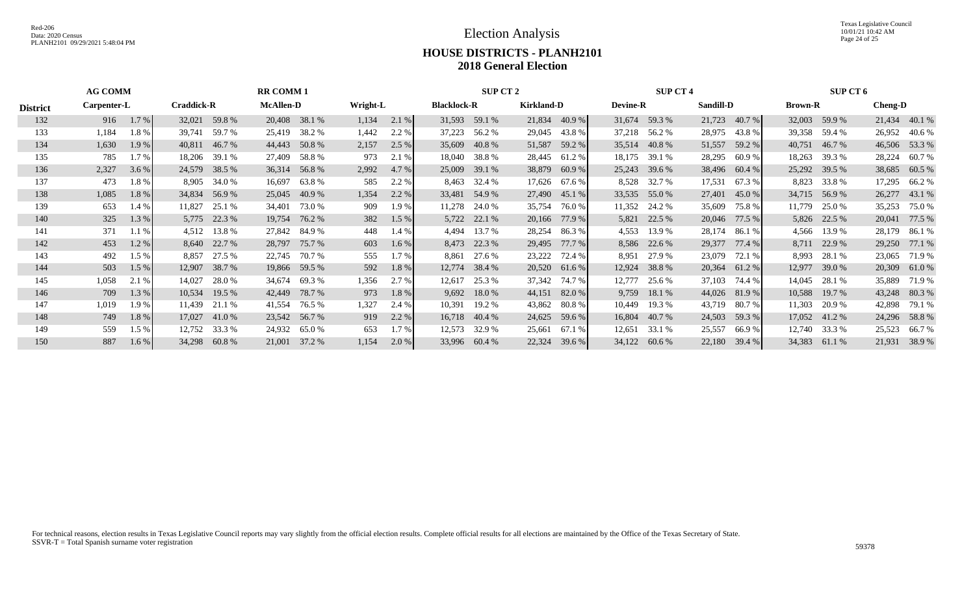Texas Legislative Council 10/01/21 10:42 AM Page 24 of 25

# **HOUSE DISTRICTS - PLANH2101 2018 General Election**

|                 | <b>AG COMM</b> |       |                   |               | <b>RR COMM1</b>  |               |          |       |                    | SUP CT 2      |                   |        |                 | <b>SUP CT 4</b> |                  |        |                | <b>SUP CT 6</b> |                |               |
|-----------------|----------------|-------|-------------------|---------------|------------------|---------------|----------|-------|--------------------|---------------|-------------------|--------|-----------------|-----------------|------------------|--------|----------------|-----------------|----------------|---------------|
| <b>District</b> | Carpenter-L    |       | <b>Craddick-R</b> |               | <b>McAllen-D</b> |               | Wright-L |       | <b>Blacklock-R</b> |               | <b>Kirkland-D</b> |        | <b>Devine-R</b> |                 | <b>Sandill-D</b> |        | <b>Brown-R</b> |                 | <b>Cheng-D</b> |               |
| 132             | 916            | 1.7%  | 32,021            | 59.8%         | 20,408           | 38.1 %        | 1,134    | 2.1%  |                    | 31,593 59.1 % | 21,834            | 40.9%  | 31,674          | 59.3 %          | 21,723           | 40.7 % |                | 32,003 59.9 %   | 21,434         | 40.1 %        |
| 133             | 1,184          | 1.8%  | 39,741            | 59.7 %        | 25,419           | 38.2 %        | 1,442    | 2.2 % | 37,223             | 56.2 %        | 29,045            | 43.8%  |                 | 37,218 56.2 %   | 28,975           | 43.8%  |                | 39,358 59.4 %   | 26,952         | 40.6 %        |
| 134             | 1,630          | 1.9%  | 40,811            | 46.7 %        | 44,443           | 50.8%         | 2,157    | 2.5 % | 35,609             | 40.8%         | 51,587            | 59.2 % | 35,514          | 40.8%           | 51,557           | 59.2 % | 40,751         | 46.7 %          | 46,506         | 53.3 %        |
| 135             | 785            | 1.7%  | 18,206            | 39.1 %        | 27,409           | 58.8%         | 973      | 2.1 % | 18,040             | 38.8 %        | 28,445            | 61.2 % | 18,175          | 39.1 %          | 28,295           | 60.9%  | 18,263         | 39.3 %          | 28,224         | 60.7 %        |
| 136             | 2,327          | 3.6%  | 24,579            | 38.5 %        | 36,314           | 56.8%         | 2,992    | 4.7 % |                    | 25,009 39.1 % | 38,879            | 60.9%  | 25,243          | 39.6 %          | 38,496           | 60.4 % | 25,292         | 39.5 %          | 38,685         | 60.5 %        |
| 137             | 473            | 1.8%  | 8,905             | 34.0 %        | 16,697           | 63.8%         | 585      | 2.2 % | 8,463              | 32.4 %        | 17,626            | 67.6 % | 8,528           | 32.7 %          | 17,531           | 67.3%  | 8,823          | 33.8%           | 17,295         | 66.2%         |
| 138             | 1,085          | 1.8%  | 34,834            | 56.9%         | 25,045           | 40.9%         | 1,354    | 2.2 % | 33,481             | 54.9 %        | 27,490            | 45.1 % | 33,535          | 55.0 %          | 27,401           | 45.0 % | 34,715         | 56.9%           | 26,277         | 43.1 %        |
| 139             | 653            | 1.4 % | 11,827            | 25.1 %        | 34,401           | 73.0 %        | 909      | 1.9 % | 11,278             | 24.0 %        | 35,754            | 76.0%  | 11,352          | 24.2 %          | 35,609           | 75.8%  | 11,779         | 25.0 %          | 35,253         | 75.0%         |
| 140             | 325            | 1.3 % |                   | 5,775 22.3 %  | 19,754           | 76.2 %        | 382      | 1.5 % | 5,722              | 22.1 %        | 20,166            | 77.9 % | 5,821           | 22.5 %          | 20,046           | 77.5 % | 5,826          | 22.5 %          | 20,041         | 77.5 %        |
| 141             | 371            | 1.1%  | 4,512             | 13.8 %        | 27,842           | 84.9 %        | 448      | 1.4 % | 4,494              | 13.7 %        | 28,254            | 86.3%  | 4,553           | 13.9 %          | 28,174           | 86.1 % | 4,566          | 13.9 %          | 28,179         | 86.1 %        |
| 142             | 453            | 1.2%  | 8,640             | 22.7 %        | 28,797           | 75.7 %        | 603      | 1.6 % | 8,473              | 22.3 %        | 29,495            | 77.7 % | 8,586           | 22.6 %          | 29,377           | 77.4 % | 8,711          | 22.9 %          | 29,250         | 77.1 %        |
| 143             | 492            | 1.5 % | 8,857             | 27.5 %        | 22,745           | 70.7%         | 555      | 1.7%  | 8,861              | 27.6 %        | 23,222            | 72.4 % | 8,951           | 27.9 %          | 23,079           | 72.1 % | 8,993          | 28.1 %          | 23,065         | 71.9%         |
| 144             | 503            | 1.5%  |                   | 12,907 38.7 % |                  | 19,866 59.5 % | 592      | 1.8%  |                    | 12,774 38.4 % | 20,520            | 61.6 % | 12,924          | 38.8 %          | 20,364           | 61.2 % | 12,977         | 39.0 %          | 20,309         | 61.0%         |
| 145             | 1,058          | 2.1%  | 14,027            | 28.0%         | 34,674           | 69.3%         | 1,356    | 2.7 % | 12,617             | 25.3 %        | 37,342            | 74.7 % | 12,777          | 25.6 %          | 37,103           | 74.4 % | 14,045         | 28.1 %          | 35,889         | 71.9%         |
| 146             | 709            | 1.3%  | 10,534            | 19.5 %        | 42,449           | 78.7%         | 973      | 1.8%  | 9,692              | 18.0%         | 44,151            | 82.0%  | 9,759           | 18.1 %          | 44,026           | 81.9%  | 10,588         | 19.7 %          | 43,248         | 80.3%         |
| 147             | 1,019          | 1.9%  | 11,439            | 21.1 %        | 41,554           | 76.5 %        | 1,327    | 2.4 % | 10,391             | 19.2 %        | 43,862            | 80.8%  | 10,449          | 19.3 %          | 43,719           | 80.7%  | 11,303         | 20.9 %          | 42,898         | 79.1 %        |
| 148             | 749            | 1.8%  |                   | 17,027 41.0 % |                  | 23,542 56.7 % | 919      | 2.2 % |                    | 16,718 40.4 % | 24,625            | 59.6 % | 16,804          | 40.7 %          | 24,503           | 59.3 % |                | 17,052 41.2 %   |                | 24,296 58.8 % |
| 149             | 559            | 1.5 % | 12,752            | 33.3 %        | 24,932           | 65.0%         | 653      | 1.7%  | 12,573             | 32.9 %        | 25,661            | 67.1 % | 12,651          | 33.1 %          | 25,557           | 66.9%  | 12,740         | 33.3 %          | 25,523         | 66.7 %        |
| 150             | 887            | 1.6%  | 34,298            | 60.8%         | 21,001           | 37.2 %        | 1,154    | 2.0 % |                    | 33,996 60.4 % | 22,324            | 39.6 % | 34,122          | 60.6 %          | 22,180           | 39.4 % | 34,383         | 61.1 %          | 21,931         | 38.9 %        |